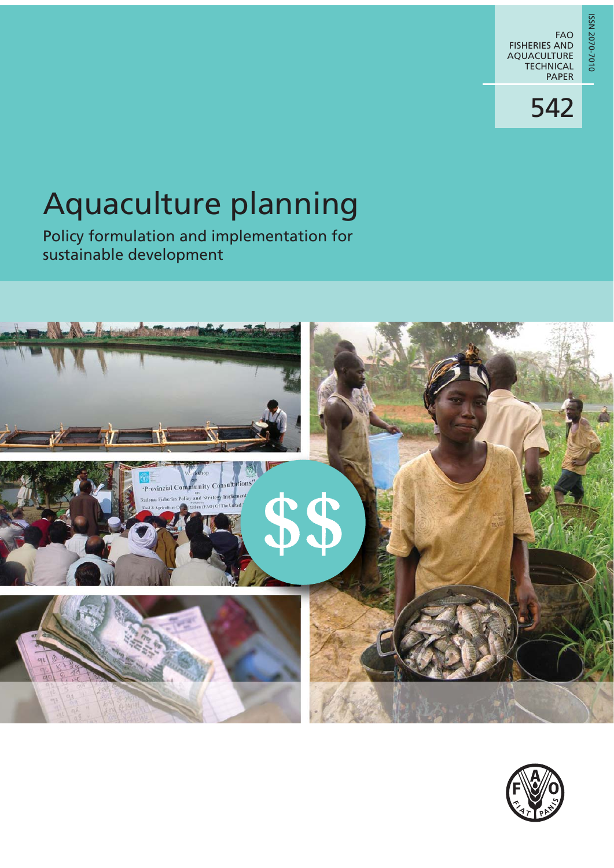0102-0202 NSSI ISSN 2070-7010

# Aquaculture planning

Policy formulation and implementation for sustainable development



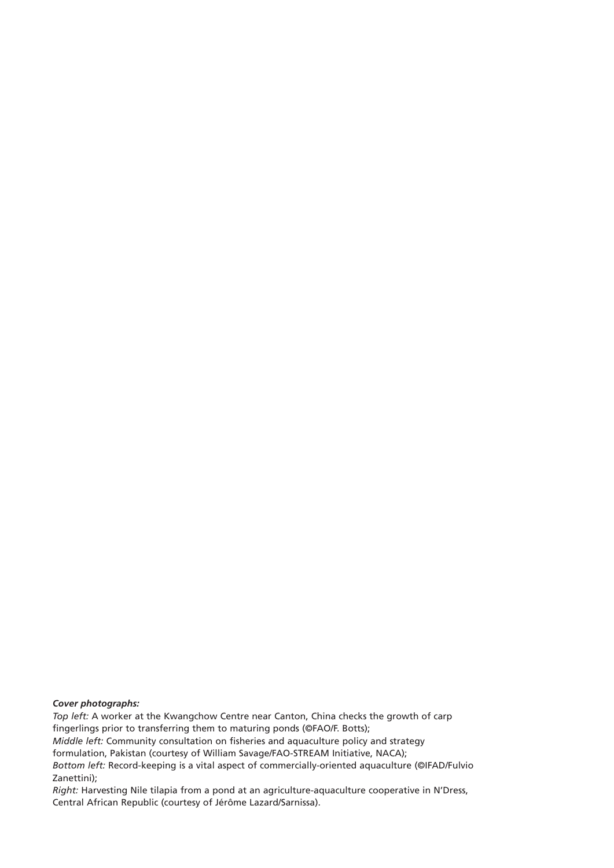*Cover photographs: Top left:* A worker at the Kwangchow Centre near Canton, China checks the growth of carp fingerlings prior to transferring them to maturing ponds (©FAO/F. Botts); *Middle left:* Community consultation on fisheries and aquaculture policy and strategy formulation, Pakistan (courtesy of William Savage/FAO-STREAM Initiative, NACA); *Bottom left:* Record-keeping is a vital aspect of commercially-oriented aquaculture (©IFAD/Fulvio Zanettini);

*Right:* Harvesting Nile tilapia from a pond at an agriculture-aquaculture cooperative in N'Dress, Central African Republic (courtesy of Jérôme Lazard/Sarnissa).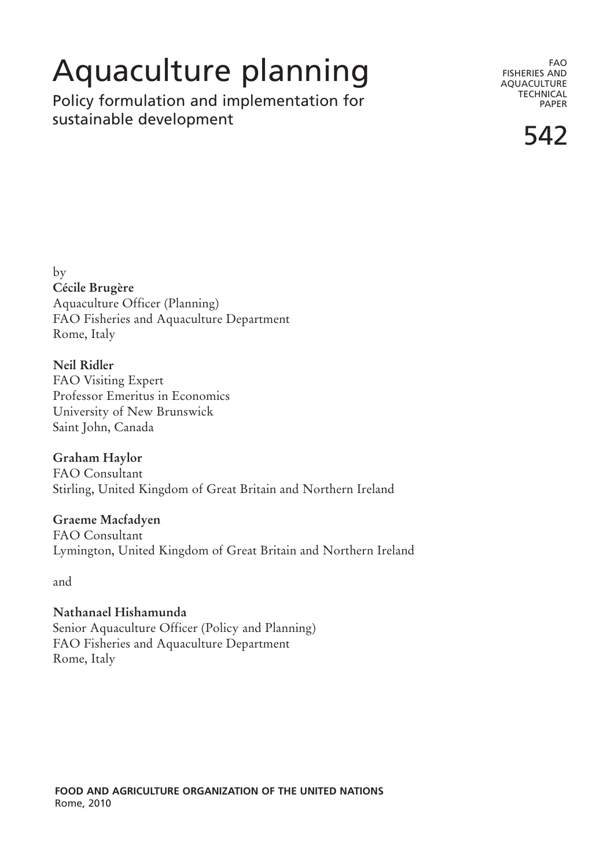## Aquaculture planning

Policy formulation and implementation for sustainable development

FAO FISHERIES AND AQUACULTURE **TECHNICAL** PAPER

542

by **Cécile Brugère** Aquaculture Officer (Planning) FAO Fisheries and Aquaculture Department Rome, Italy

**Neil Ridler** FAO Visiting Expert Professor Emeritus in Economics University of New Brunswick Saint John, Canada

**Graham Haylor** FAO Consultant Stirling, United Kingdom of Great Britain and Northern Ireland

**Graeme Macfadyen** FAO Consultant Lymington, United Kingdom of Great Britain and Northern Ireland

and

**Nathanael Hishamunda** Senior Aquaculture Officer (Policy and Planning) FAO Fisheries and Aquaculture Department Rome, Italy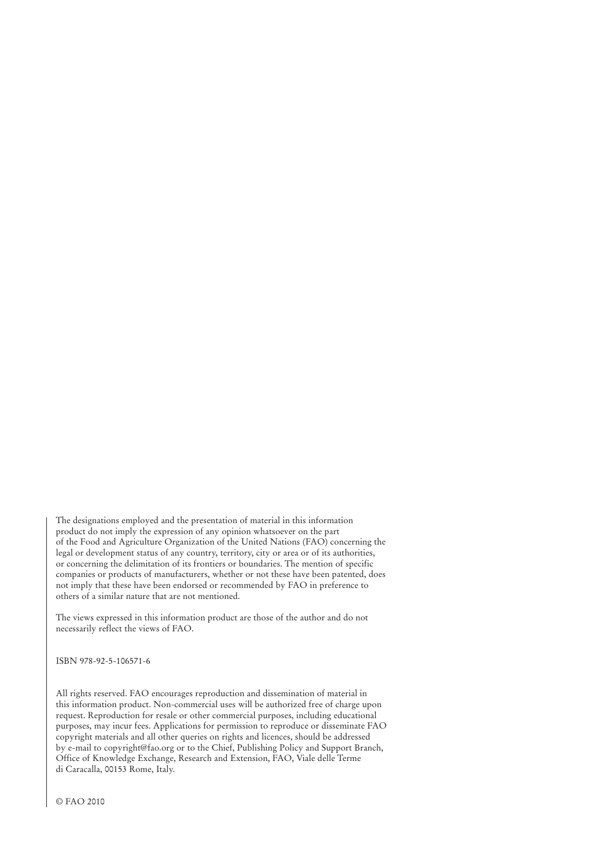The designations employed and the presentation of material in this information product do not imply the expression of any opinion whatsoever on the part of the Food and Agriculture Organization of the United Nations (FAO) concerning the legal or development status of any country, territory, city or area or of its authorities, or concerning the delimitation of its frontiers or boundaries. The mention of specific companies or products of manufacturers, whether or not these have been patented, does not imply that these have been endorsed or recommended by FAO in preference to others of a similar nature that are not mentioned.

The views expressed in this information product are those of the author and do not necessarily reflect the views of FAO.

ISBN 978-92-5-106571-6

All rights reserved. FAO encourages reproduction and dissemination of material in this information product. Non-commercial uses will be authorized free of charge upon request. Reproduction for resale or other commercial purposes, including educational purposes, may incur fees. Applications for permission to reproduce or disseminate FAO copyright materials and all other queries on rights and licences, should be addressed by e-mail to copyright@fao.org or to the Chief, Publishing Policy and Support Branch, Office of Knowledge Exchange, Research and Extension, FAO, Viale delle Terme di Caracalla, 00153 Rome, Italy.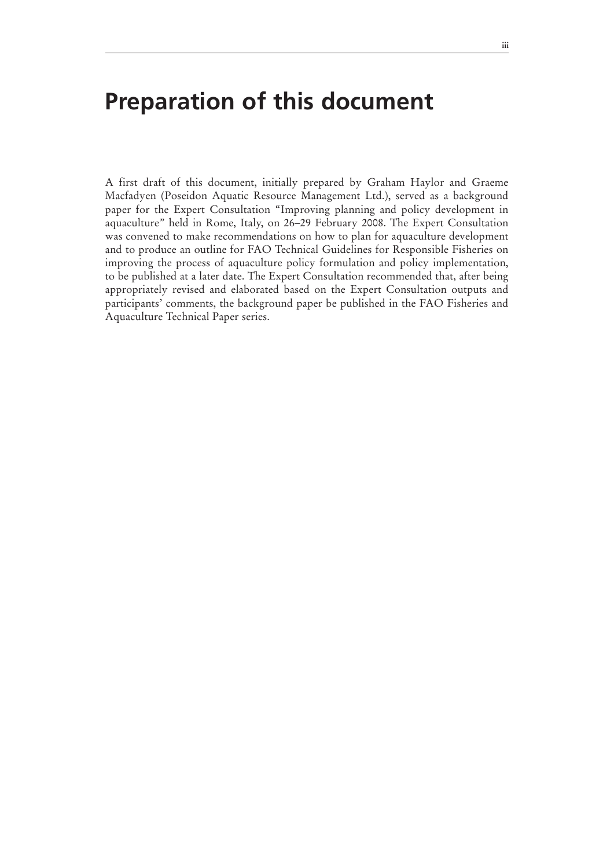### **Preparation of this document**

A first draft of this document, initially prepared by Graham Haylor and Graeme Macfadyen (Poseidon Aquatic Resource Management Ltd.), served as a background paper for the Expert Consultation "Improving planning and policy development in aquaculture" held in Rome, Italy, on 26–29 February 2008. The Expert Consultation was convened to make recommendations on how to plan for aquaculture development and to produce an outline for FAO Technical Guidelines for Responsible Fisheries on improving the process of aquaculture policy formulation and policy implementation, to be published at a later date. The Expert Consultation recommended that, after being appropriately revised and elaborated based on the Expert Consultation outputs and participants' comments, the background paper be published in the FAO Fisheries and Aquaculture Technical Paper series.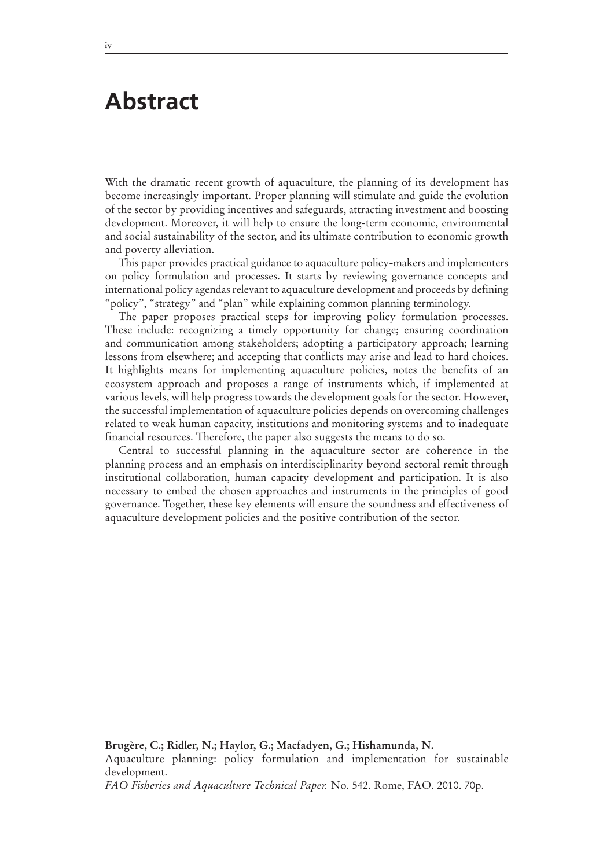### **Abstract**

With the dramatic recent growth of aquaculture, the planning of its development has become increasingly important. Proper planning will stimulate and guide the evolution of the sector by providing incentives and safeguards, attracting investment and boosting development. Moreover, it will help to ensure the long-term economic, environmental and social sustainability of the sector, and its ultimate contribution to economic growth and poverty alleviation.

This paper provides practical guidance to aquaculture policy-makers and implementers on policy formulation and processes. It starts by reviewing governance concepts and international policy agendas relevant to aquaculture development and proceeds by defining "policy", "strategy" and "plan" while explaining common planning terminology.

The paper proposes practical steps for improving policy formulation processes. These include: recognizing a timely opportunity for change; ensuring coordination and communication among stakeholders; adopting a participatory approach; learning lessons from elsewhere; and accepting that conflicts may arise and lead to hard choices. It highlights means for implementing aquaculture policies, notes the benefits of an ecosystem approach and proposes a range of instruments which, if implemented at various levels, will help progress towards the development goals for the sector. However, the successful implementation of aquaculture policies depends on overcoming challenges related to weak human capacity, institutions and monitoring systems and to inadequate financial resources. Therefore, the paper also suggests the means to do so.

Central to successful planning in the aquaculture sector are coherence in the planning process and an emphasis on interdisciplinarity beyond sectoral remit through institutional collaboration, human capacity development and participation. It is also necessary to embed the chosen approaches and instruments in the principles of good governance. Together, these key elements will ensure the soundness and effectiveness of aquaculture development policies and the positive contribution of the sector.

**Brugère, C.; Ridler, N.; Haylor, G.; Macfadyen, G.; Hishamunda, N.** 

Aquaculture planning: policy formulation and implementation for sustainable development.

*FAO Fisheries and Aquaculture Technical Paper.* No. 542. Rome, FAO. 2010. 70p.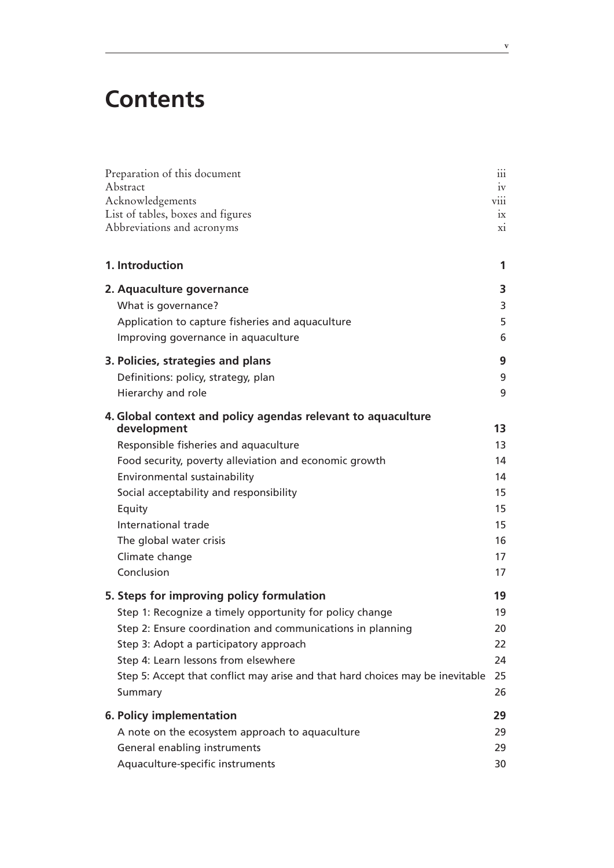### **Contents**

| Preparation of this document<br>Abstract<br>Acknowledgements<br>List of tables, boxes and figures | 111<br>1V<br>V111<br>1X |
|---------------------------------------------------------------------------------------------------|-------------------------|
| Abbreviations and acronyms                                                                        | X1                      |
| 1. Introduction                                                                                   | 1                       |
| 2. Aquaculture governance                                                                         | 3                       |
| What is governance?                                                                               | 3                       |
| Application to capture fisheries and aquaculture                                                  | 5                       |
| Improving governance in aquaculture                                                               | 6                       |
| 3. Policies, strategies and plans                                                                 | 9                       |
| Definitions: policy, strategy, plan                                                               | 9                       |
| Hierarchy and role                                                                                | 9                       |
| 4. Global context and policy agendas relevant to aquaculture<br>development                       | 13                      |
| Responsible fisheries and aquaculture                                                             | 13                      |
| Food security, poverty alleviation and economic growth                                            | 14                      |
| Environmental sustainability                                                                      | 14                      |
| Social acceptability and responsibility                                                           | 15                      |
| Equity                                                                                            | 15                      |
| International trade                                                                               | 15                      |
| The global water crisis                                                                           | 16                      |
| Climate change                                                                                    | 17                      |
| Conclusion                                                                                        | 17                      |
| 5. Steps for improving policy formulation                                                         | 19                      |
| Step 1: Recognize a timely opportunity for policy change                                          | 19                      |
| Step 2: Ensure coordination and communications in planning                                        | 20                      |
| Step 3: Adopt a participatory approach                                                            | 22                      |
| Step 4: Learn lessons from elsewhere                                                              | 24                      |
| Step 5: Accept that conflict may arise and that hard choices may be inevitable                    | 25                      |
| Summary                                                                                           | 26                      |
| 6. Policy implementation                                                                          | 29                      |
| A note on the ecosystem approach to aquaculture                                                   | 29                      |
| General enabling instruments                                                                      | 29                      |
| Aquaculture-specific instruments                                                                  | 30                      |

**v**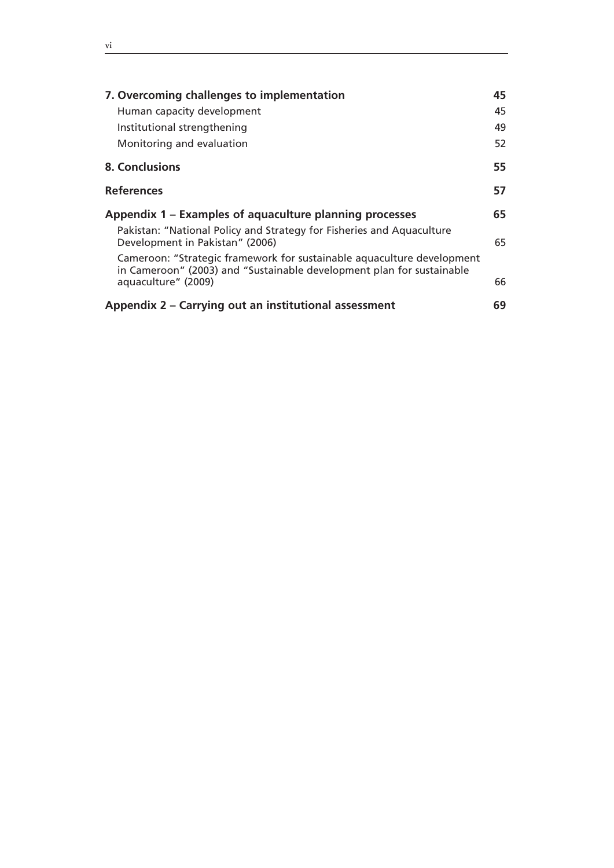| 7. Overcoming challenges to implementation<br>Human capacity development<br>Institutional strengthening<br>Monitoring and evaluation                                   | 45<br>45<br>49<br>52 |
|------------------------------------------------------------------------------------------------------------------------------------------------------------------------|----------------------|
|                                                                                                                                                                        |                      |
| 8. Conclusions                                                                                                                                                         | 55                   |
| <b>References</b>                                                                                                                                                      | 57                   |
| Appendix 1 – Examples of aquaculture planning processes                                                                                                                | 65                   |
| Pakistan: "National Policy and Strategy for Fisheries and Aquaculture<br>Development in Pakistan" (2006)                                                               | 65                   |
| Cameroon: "Strategic framework for sustainable aquaculture development<br>in Cameroon" (2003) and "Sustainable development plan for sustainable<br>aquaculture" (2009) | 66                   |
| Appendix 2 – Carrying out an institutional assessment                                                                                                                  | 69                   |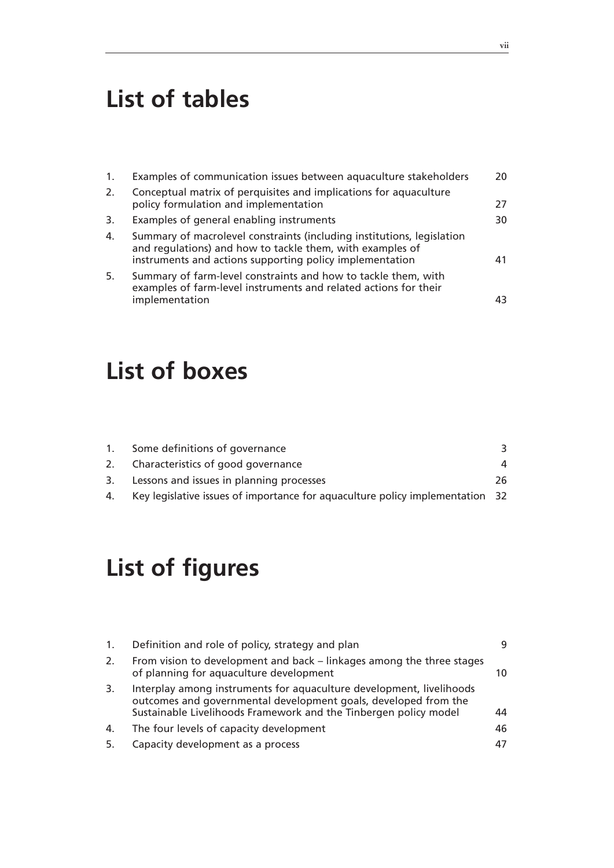### **List of tables**

| 1. | Examples of communication issues between aquaculture stakeholders                                                                                                                               | 20 |
|----|-------------------------------------------------------------------------------------------------------------------------------------------------------------------------------------------------|----|
| 2. | Conceptual matrix of perquisites and implications for aquaculture<br>policy formulation and implementation                                                                                      | 27 |
| 3. | Examples of general enabling instruments                                                                                                                                                        | 30 |
| 4. | Summary of macrolevel constraints (including institutions, legislation<br>and regulations) and how to tackle them, with examples of<br>instruments and actions supporting policy implementation | 41 |
| 5. | Summary of farm-level constraints and how to tackle them, with<br>examples of farm-level instruments and related actions for their<br>implementation                                            | 43 |

### **List of boxes**

| 2. Characteristics of good governance       |                                |
|---------------------------------------------|--------------------------------|
| 3. Lessons and issues in planning processes | 26                             |
|                                             | Some definitions of governance |

4. Key legislative issues of importance for aquaculture policy implementation 32

### **List of figures**

| 1. | Definition and role of policy, strategy and plan                                                                                                                                                            | 9  |
|----|-------------------------------------------------------------------------------------------------------------------------------------------------------------------------------------------------------------|----|
| 2. | From vision to development and back – linkages among the three stages<br>of planning for aquaculture development                                                                                            | 10 |
| 3. | Interplay among instruments for aquaculture development, livelihoods<br>outcomes and governmental development goals, developed from the<br>Sustainable Livelihoods Framework and the Tinbergen policy model | 44 |
| 4. | The four levels of capacity development                                                                                                                                                                     | 46 |
| 5. | Capacity development as a process                                                                                                                                                                           |    |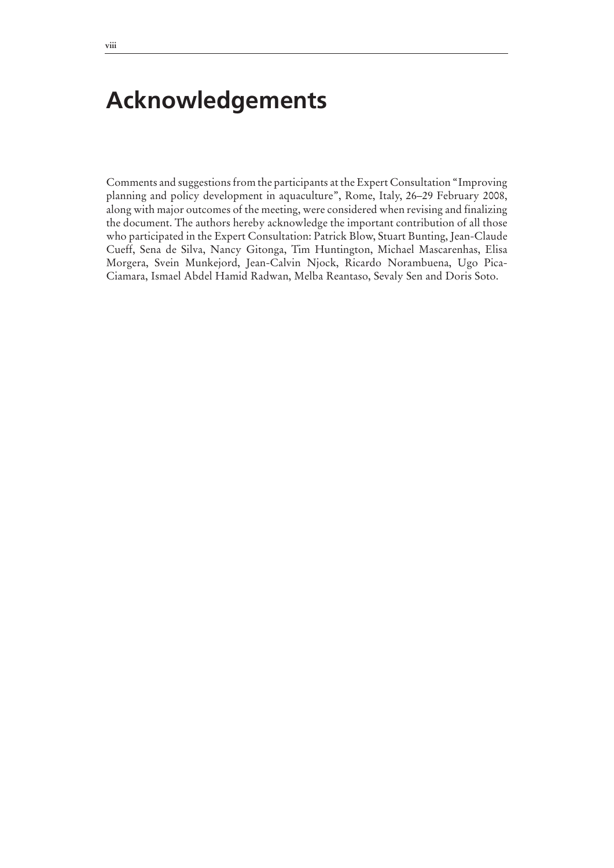### **Acknowledgements**

Comments and suggestions from the participants at the Expert Consultation "Improving planning and policy development in aquaculture", Rome, Italy, 26–29 February 2008, along with major outcomes of the meeting, were considered when revising and finalizing the document. The authors hereby acknowledge the important contribution of all those who participated in the Expert Consultation: Patrick Blow, Stuart Bunting, Jean-Claude Cueff, Sena de Silva, Nancy Gitonga, Tim Huntington, Michael Mascarenhas, Elisa Morgera, Svein Munkejord, Jean-Calvin Njock, Ricardo Norambuena, Ugo Pica-Ciamara, Ismael Abdel Hamid Radwan, Melba Reantaso, Sevaly Sen and Doris Soto.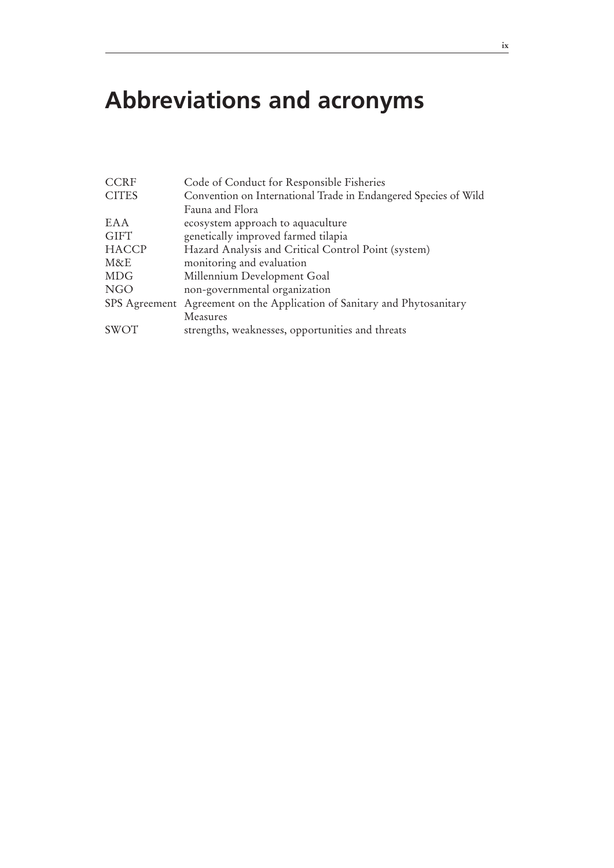## **Abbreviations and acronyms**

| <b>CCRF</b>  | Code of Conduct for Responsible Fisheries                                |  |  |
|--------------|--------------------------------------------------------------------------|--|--|
| <b>CITES</b> | Convention on International Trade in Endangered Species of Wild          |  |  |
|              | Fauna and Flora                                                          |  |  |
| EAA          | ecosystem approach to aquaculture                                        |  |  |
| <b>GIFT</b>  | genetically improved farmed tilapia                                      |  |  |
| <b>HACCP</b> | Hazard Analysis and Critical Control Point (system)                      |  |  |
| M&E          | monitoring and evaluation                                                |  |  |
| <b>MDG</b>   | Millennium Development Goal                                              |  |  |
| <b>NGO</b>   | non-governmental organization                                            |  |  |
|              | SPS Agreement Agreement on the Application of Sanitary and Phytosanitary |  |  |
|              | Measures                                                                 |  |  |
| SWOT         | strengths, weaknesses, opportunities and threats                         |  |  |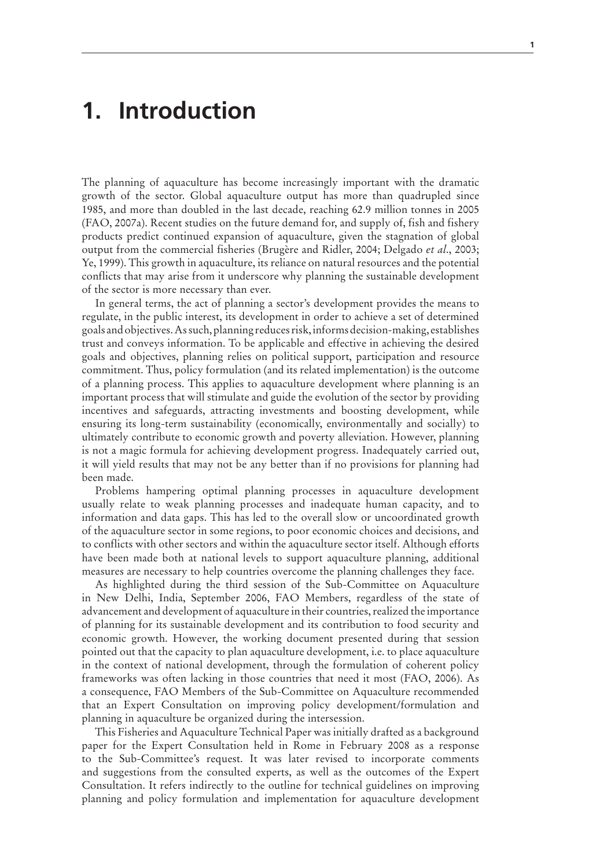### **1. Introduction**

The planning of aquaculture has become increasingly important with the dramatic growth of the sector. Global aquaculture output has more than quadrupled since 1985, and more than doubled in the last decade, reaching 62.9 million tonnes in 2005 (FAO, 2007a). Recent studies on the future demand for, and supply of, fish and fishery products predict continued expansion of aquaculture, given the stagnation of global output from the commercial fisheries (Brugère and Ridler, 2004; Delgado *et al*., 2003; Ye, 1999). This growth in aquaculture, its reliance on natural resources and the potential conflicts that may arise from it underscore why planning the sustainable development of the sector is more necessary than ever.

In general terms, the act of planning a sector's development provides the means to regulate, in the public interest, its development in order to achieve a set of determined goals and objectives. As such, planning reduces risk, informs decision-making, establishes trust and conveys information. To be applicable and effective in achieving the desired goals and objectives, planning relies on political support, participation and resource commitment. Thus, policy formulation (and its related implementation) is the outcome of a planning process. This applies to aquaculture development where planning is an important process that will stimulate and guide the evolution of the sector by providing incentives and safeguards, attracting investments and boosting development, while ensuring its long-term sustainability (economically, environmentally and socially) to ultimately contribute to economic growth and poverty alleviation. However, planning is not a magic formula for achieving development progress. Inadequately carried out, it will yield results that may not be any better than if no provisions for planning had been made.

Problems hampering optimal planning processes in aquaculture development usually relate to weak planning processes and inadequate human capacity, and to information and data gaps. This has led to the overall slow or uncoordinated growth of the aquaculture sector in some regions, to poor economic choices and decisions, and to conflicts with other sectors and within the aquaculture sector itself. Although efforts have been made both at national levels to support aquaculture planning, additional measures are necessary to help countries overcome the planning challenges they face.

As highlighted during the third session of the Sub-Committee on Aquaculture in New Delhi, India, September 2006, FAO Members, regardless of the state of advancement and development of aquaculture in their countries, realized the importance of planning for its sustainable development and its contribution to food security and economic growth. However, the working document presented during that session pointed out that the capacity to plan aquaculture development, i.e. to place aquaculture in the context of national development, through the formulation of coherent policy frameworks was often lacking in those countries that need it most (FAO, 2006). As a consequence, FAO Members of the Sub-Committee on Aquaculture recommended that an Expert Consultation on improving policy development/formulation and planning in aquaculture be organized during the intersession.

This Fisheries and Aquaculture Technical Paper was initially drafted as a background paper for the Expert Consultation held in Rome in February 2008 as a response to the Sub-Committee's request. It was later revised to incorporate comments and suggestions from the consulted experts, as well as the outcomes of the Expert Consultation. It refers indirectly to the outline for technical guidelines on improving planning and policy formulation and implementation for aquaculture development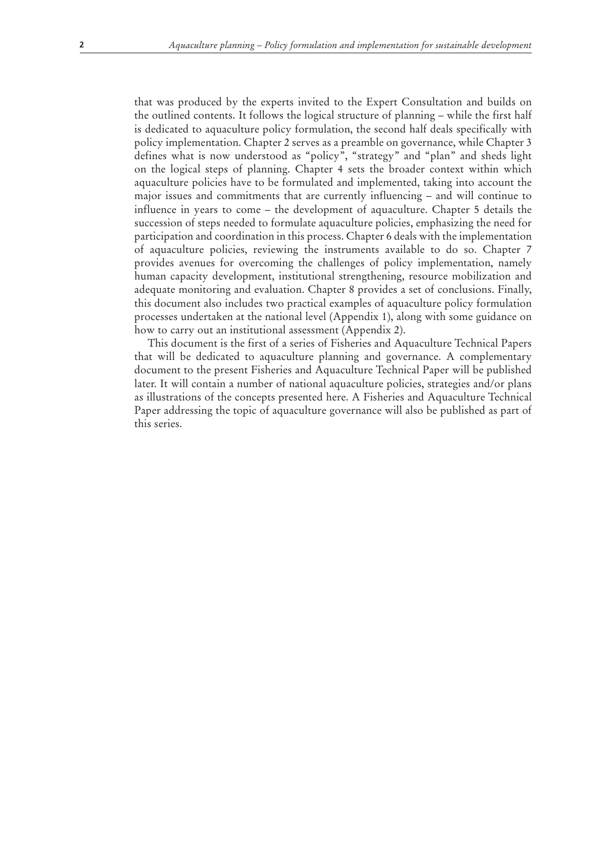that was produced by the experts invited to the Expert Consultation and builds on the outlined contents. It follows the logical structure of planning – while the first half is dedicated to aquaculture policy formulation, the second half deals specifically with policy implementation. Chapter 2 serves as a preamble on governance, while Chapter 3 defines what is now understood as "policy", "strategy" and "plan" and sheds light on the logical steps of planning. Chapter 4 sets the broader context within which aquaculture policies have to be formulated and implemented, taking into account the major issues and commitments that are currently influencing – and will continue to influence in years to come – the development of aquaculture. Chapter 5 details the succession of steps needed to formulate aquaculture policies, emphasizing the need for participation and coordination in this process. Chapter 6 deals with the implementation of aquaculture policies, reviewing the instruments available to do so. Chapter 7 provides avenues for overcoming the challenges of policy implementation, namely human capacity development, institutional strengthening, resource mobilization and adequate monitoring and evaluation. Chapter 8 provides a set of conclusions. Finally, this document also includes two practical examples of aquaculture policy formulation processes undertaken at the national level (Appendix 1), along with some guidance on how to carry out an institutional assessment (Appendix 2).

This document is the first of a series of Fisheries and Aquaculture Technical Papers that will be dedicated to aquaculture planning and governance. A complementary document to the present Fisheries and Aquaculture Technical Paper will be published later. It will contain a number of national aquaculture policies, strategies and/or plans as illustrations of the concepts presented here. A Fisheries and Aquaculture Technical Paper addressing the topic of aquaculture governance will also be published as part of this series.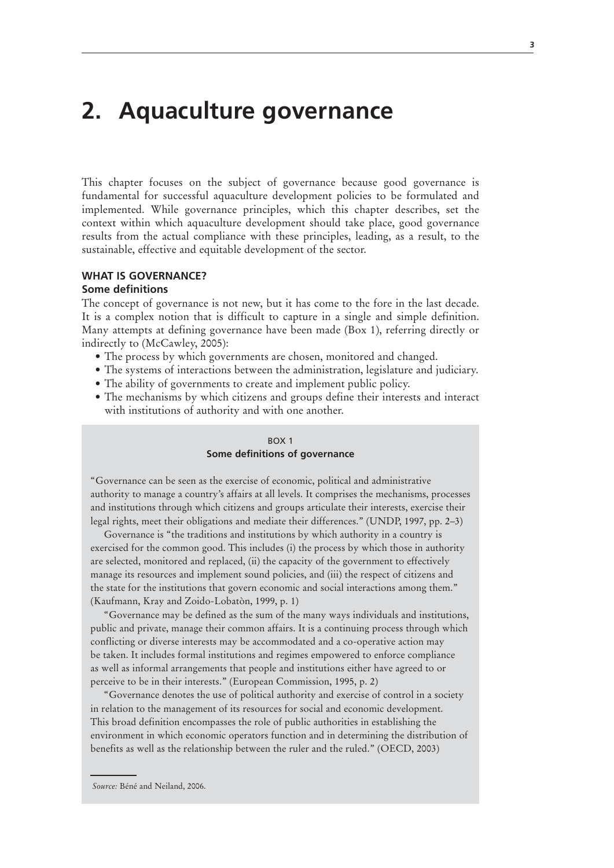### **2. Aquaculture governance**

This chapter focuses on the subject of governance because good governance is fundamental for successful aquaculture development policies to be formulated and implemented. While governance principles, which this chapter describes, set the context within which aquaculture development should take place, good governance results from the actual compliance with these principles, leading, as a result, to the sustainable, effective and equitable development of the sector.

### **WHAT IS GOVERNANCE?**

#### **Some definitions**

The concept of governance is not new, but it has come to the fore in the last decade. It is a complex notion that is difficult to capture in a single and simple definition. Many attempts at defining governance have been made (Box 1), referring directly or indirectly to (McCawley, 2005):

- The process by which governments are chosen, monitored and changed.
- The systems of interactions between the administration, legislature and judiciary.
- The ability of governments to create and implement public policy.
- The mechanisms by which citizens and groups define their interests and interact with institutions of authority and with one another.

#### BOX 1

#### **Some definitions of governance**

"Governance can be seen as the exercise of economic, political and administrative authority to manage a country's affairs at all levels. It comprises the mechanisms, processes and institutions through which citizens and groups articulate their interests, exercise their legal rights, meet their obligations and mediate their differences." (UNDP, 1997, pp. 2–3)

Governance is "the traditions and institutions by which authority in a country is exercised for the common good. This includes (i) the process by which those in authority are selected, monitored and replaced, (ii) the capacity of the government to effectively manage its resources and implement sound policies, and (iii) the respect of citizens and the state for the institutions that govern economic and social interactions among them." (Kaufmann, Kray and Zoido-Lobatòn, 1999, p. 1)

"Governance may be defined as the sum of the many ways individuals and institutions, public and private, manage their common affairs. It is a continuing process through which conflicting or diverse interests may be accommodated and a co-operative action may be taken. It includes formal institutions and regimes empowered to enforce compliance as well as informal arrangements that people and institutions either have agreed to or perceive to be in their interests." (European Commission, 1995, p. 2)

"Governance denotes the use of political authority and exercise of control in a society in relation to the management of its resources for social and economic development. This broad definition encompasses the role of public authorities in establishing the environment in which economic operators function and in determining the distribution of benefits as well as the relationship between the ruler and the ruled." (OECD, 2003)

*Source:* Béné and Neiland, 2006.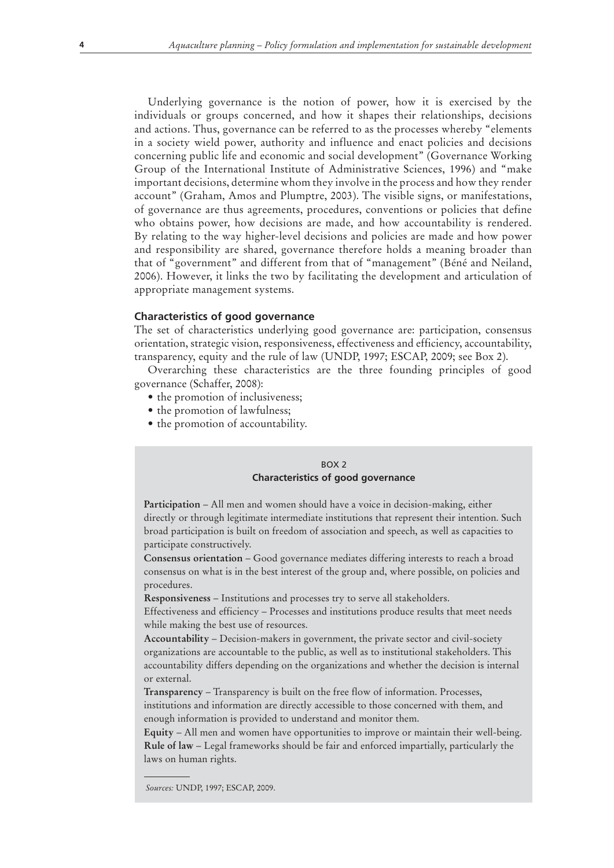Underlying governance is the notion of power, how it is exercised by the individuals or groups concerned, and how it shapes their relationships, decisions and actions. Thus, governance can be referred to as the processes whereby "elements in a society wield power, authority and influence and enact policies and decisions concerning public life and economic and social development" (Governance Working Group of the International Institute of Administrative Sciences, 1996) and "make important decisions, determine whom they involve in the process and how they render account" (Graham, Amos and Plumptre, 2003). The visible signs, or manifestations, of governance are thus agreements, procedures, conventions or policies that define who obtains power, how decisions are made, and how accountability is rendered. By relating to the way higher-level decisions and policies are made and how power and responsibility are shared, governance therefore holds a meaning broader than that of "government" and different from that of "management" (Béné and Neiland, 2006). However, it links the two by facilitating the development and articulation of appropriate management systems.

#### **Characteristics of good governance**

The set of characteristics underlying good governance are: participation, consensus orientation, strategic vision, responsiveness, effectiveness and efficiency, accountability, transparency, equity and the rule of law (UNDP, 1997; ESCAP, 2009; see Box 2).

Overarching these characteristics are the three founding principles of good governance (Schaffer, 2008):

- the promotion of inclusiveness;
- the promotion of lawfulness;
- the promotion of accountability.

#### $ROX$ <sub>2</sub> **Characteristics of good governance**

**Participation** – All men and women should have a voice in decision-making, either directly or through legitimate intermediate institutions that represent their intention. Such broad participation is built on freedom of association and speech, as well as capacities to participate constructively.

**Consensus orientation** – Good governance mediates differing interests to reach a broad consensus on what is in the best interest of the group and, where possible, on policies and procedures.

**Responsiveness** – Institutions and processes try to serve all stakeholders.

Effectiveness and efficiency – Processes and institutions produce results that meet needs while making the best use of resources.

**Accountability** – Decision-makers in government, the private sector and civil-society organizations are accountable to the public, as well as to institutional stakeholders. This accountability differs depending on the organizations and whether the decision is internal or external.

**Transparency** – Transparency is built on the free flow of information. Processes, institutions and information are directly accessible to those concerned with them, and enough information is provided to understand and monitor them.

**Equity** – All men and women have opportunities to improve or maintain their well-being. **Rule of law** – Legal frameworks should be fair and enforced impartially, particularly the laws on human rights.

*Sources:* UNDP, 1997; ESCAP, 2009.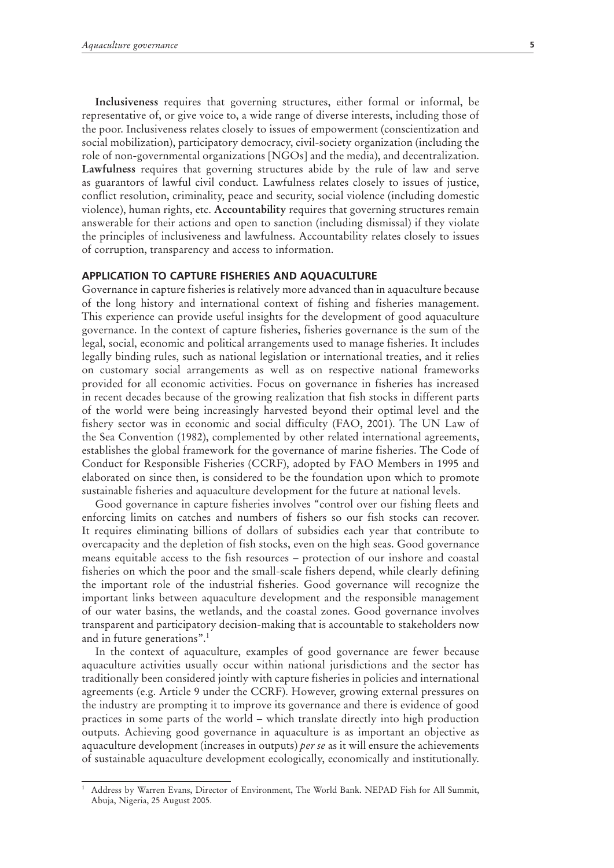**Inclusiveness** requires that governing structures, either formal or informal, be representative of, or give voice to, a wide range of diverse interests, including those of the poor. Inclusiveness relates closely to issues of empowerment (conscientization and social mobilization), participatory democracy, civil-society organization (including the role of non-governmental organizations [NGOs] and the media), and decentralization. **Lawfulness** requires that governing structures abide by the rule of law and serve as guarantors of lawful civil conduct. Lawfulness relates closely to issues of justice, conflict resolution, criminality, peace and security, social violence (including domestic violence), human rights, etc. **Accountability** requires that governing structures remain answerable for their actions and open to sanction (including dismissal) if they violate the principles of inclusiveness and lawfulness. Accountability relates closely to issues of corruption, transparency and access to information.

#### **APPLICATION TO CAPTURE FISHERIES AND AQUACULTURE**

Governance in capture fisheries is relatively more advanced than in aquaculture because of the long history and international context of fishing and fisheries management. This experience can provide useful insights for the development of good aquaculture governance. In the context of capture fisheries, fisheries governance is the sum of the legal, social, economic and political arrangements used to manage fisheries. It includes legally binding rules, such as national legislation or international treaties, and it relies on customary social arrangements as well as on respective national frameworks provided for all economic activities. Focus on governance in fisheries has increased in recent decades because of the growing realization that fish stocks in different parts of the world were being increasingly harvested beyond their optimal level and the fishery sector was in economic and social difficulty (FAO, 2001). The UN Law of the Sea Convention (1982), complemented by other related international agreements, establishes the global framework for the governance of marine fisheries. The Code of Conduct for Responsible Fisheries (CCRF), adopted by FAO Members in 1995 and elaborated on since then, is considered to be the foundation upon which to promote sustainable fisheries and aquaculture development for the future at national levels.

Good governance in capture fisheries involves "control over our fishing fleets and enforcing limits on catches and numbers of fishers so our fish stocks can recover. It requires eliminating billions of dollars of subsidies each year that contribute to overcapacity and the depletion of fish stocks, even on the high seas. Good governance means equitable access to the fish resources – protection of our inshore and coastal fisheries on which the poor and the small-scale fishers depend, while clearly defining the important role of the industrial fisheries. Good governance will recognize the important links between aquaculture development and the responsible management of our water basins, the wetlands, and the coastal zones. Good governance involves transparent and participatory decision-making that is accountable to stakeholders now and in future generations".<sup>1</sup>

In the context of aquaculture, examples of good governance are fewer because aquaculture activities usually occur within national jurisdictions and the sector has traditionally been considered jointly with capture fisheries in policies and international agreements (e.g. Article 9 under the CCRF). However, growing external pressures on the industry are prompting it to improve its governance and there is evidence of good practices in some parts of the world – which translate directly into high production outputs. Achieving good governance in aquaculture is as important an objective as aquaculture development (increases in outputs) *per se* as it will ensure the achievements of sustainable aquaculture development ecologically, economically and institutionally.

<sup>1</sup> Address by Warren Evans, Director of Environment, The World Bank. NEPAD Fish for All Summit, Abuja, Nigeria, 25 August 2005.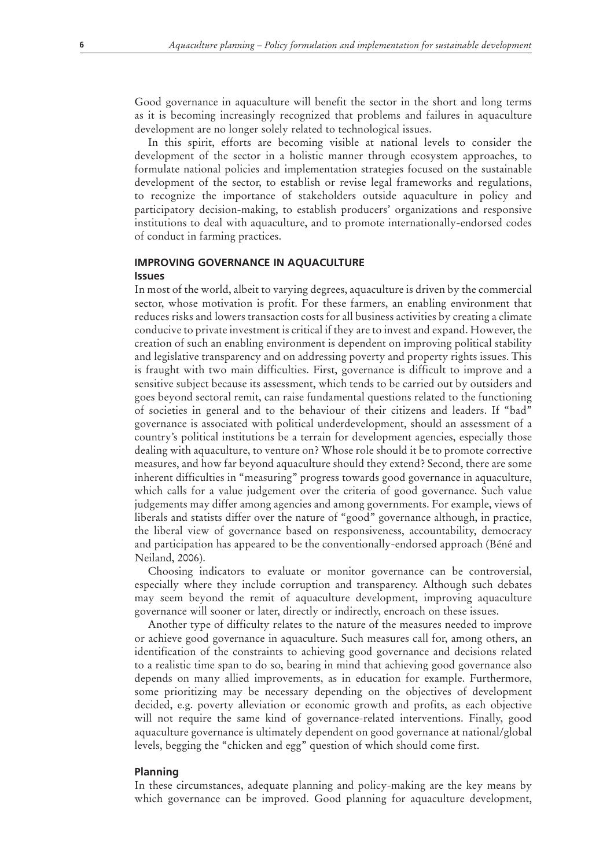Good governance in aquaculture will benefit the sector in the short and long terms as it is becoming increasingly recognized that problems and failures in aquaculture development are no longer solely related to technological issues.

In this spirit, efforts are becoming visible at national levels to consider the development of the sector in a holistic manner through ecosystem approaches, to formulate national policies and implementation strategies focused on the sustainable development of the sector, to establish or revise legal frameworks and regulations, to recognize the importance of stakeholders outside aquaculture in policy and participatory decision-making, to establish producers' organizations and responsive institutions to deal with aquaculture, and to promote internationally-endorsed codes of conduct in farming practices.

#### **IMPROVING GOVERNANCE IN AQUACULTURE Issues**

In most of the world, albeit to varying degrees, aquaculture is driven by the commercial sector, whose motivation is profit. For these farmers, an enabling environment that reduces risks and lowers transaction costs for all business activities by creating a climate conducive to private investment is critical if they are to invest and expand. However, the creation of such an enabling environment is dependent on improving political stability and legislative transparency and on addressing poverty and property rights issues. This is fraught with two main difficulties. First, governance is difficult to improve and a sensitive subject because its assessment, which tends to be carried out by outsiders and goes beyond sectoral remit, can raise fundamental questions related to the functioning of societies in general and to the behaviour of their citizens and leaders. If "bad" governance is associated with political underdevelopment, should an assessment of a country's political institutions be a terrain for development agencies, especially those dealing with aquaculture, to venture on? Whose role should it be to promote corrective measures, and how far beyond aquaculture should they extend? Second, there are some inherent difficulties in "measuring" progress towards good governance in aquaculture, which calls for a value judgement over the criteria of good governance. Such value judgements may differ among agencies and among governments. For example, views of liberals and statists differ over the nature of "good" governance although, in practice, the liberal view of governance based on responsiveness, accountability, democracy and participation has appeared to be the conventionally-endorsed approach (Béné and Neiland, 2006).

Choosing indicators to evaluate or monitor governance can be controversial, especially where they include corruption and transparency. Although such debates may seem beyond the remit of aquaculture development, improving aquaculture governance will sooner or later, directly or indirectly, encroach on these issues.

Another type of difficulty relates to the nature of the measures needed to improve or achieve good governance in aquaculture. Such measures call for, among others, an identification of the constraints to achieving good governance and decisions related to a realistic time span to do so, bearing in mind that achieving good governance also depends on many allied improvements, as in education for example. Furthermore, some prioritizing may be necessary depending on the objectives of development decided, e.g. poverty alleviation or economic growth and profits, as each objective will not require the same kind of governance-related interventions. Finally, good aquaculture governance is ultimately dependent on good governance at national/global levels, begging the "chicken and egg" question of which should come first.

#### **Planning**

In these circumstances, adequate planning and policy-making are the key means by which governance can be improved. Good planning for aquaculture development,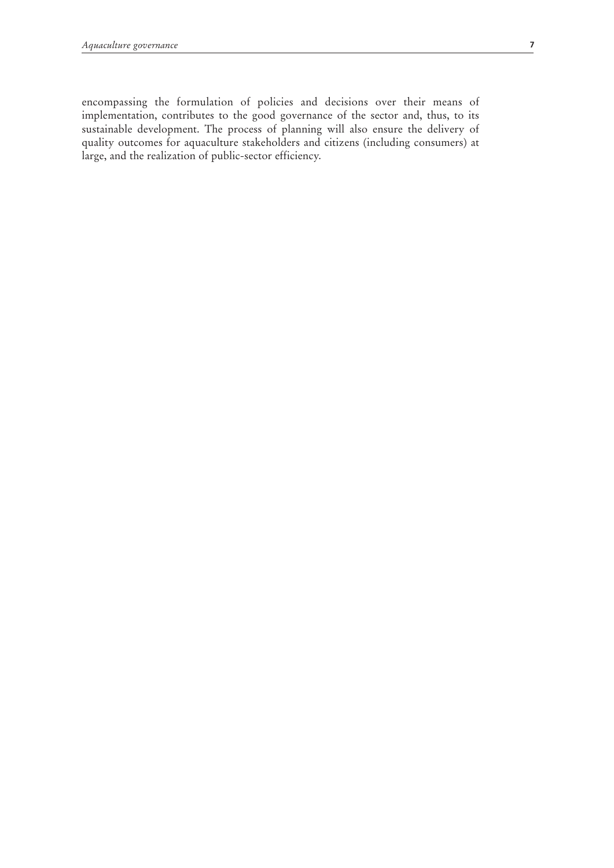encompassing the formulation of policies and decisions over their means of implementation, contributes to the good governance of the sector and, thus, to its sustainable development. The process of planning will also ensure the delivery of quality outcomes for aquaculture stakeholders and citizens (including consumers) at large, and the realization of public-sector efficiency.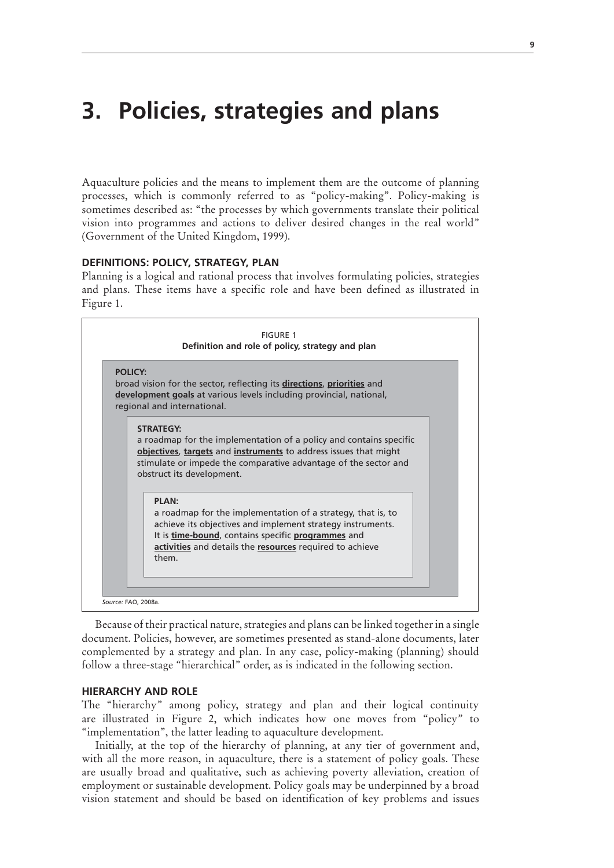### **3. Policies, strategies and plans**

Aquaculture policies and the means to implement them are the outcome of planning processes, which is commonly referred to as "policy-making". Policy-making is sometimes described as: "the processes by which governments translate their political vision into programmes and actions to deliver desired changes in the real world" (Government of the United Kingdom, 1999).

#### **DEFINITIONS: POLICY, STRATEGY, PLAN**

Planning is a logical and rational process that involves formulating policies, strategies and plans. These items have a specific role and have been defined as illustrated in Figure 1.

| <b>POLICY:</b>                                                                                                                                                                                                                         |
|----------------------------------------------------------------------------------------------------------------------------------------------------------------------------------------------------------------------------------------|
| broad vision for the sector, reflecting its directions, priorities and<br>development goals at various levels including provincial, national,<br>regional and international.                                                           |
| <b>STRATEGY:</b>                                                                                                                                                                                                                       |
| a roadmap for the implementation of a policy and contains specific<br>objectives, targets and instruments to address issues that might<br>stimulate or impede the comparative advantage of the sector and<br>obstruct its development. |
| PI AN:<br>a roadmap for the implementation of a strategy, that is, to<br>achieve its objectives and implement strategy instruments.<br>It is time-bound, contains specific programmes and                                              |

Because of their practical nature, strategies and plans can be linked together in a single document. Policies, however, are sometimes presented as stand-alone documents, later complemented by a strategy and plan. In any case, policy-making (planning) should follow a three-stage "hierarchical" order, as is indicated in the following section.

#### **HIERARCHY AND ROLE**

The "hierarchy" among policy, strategy and plan and their logical continuity are illustrated in Figure 2, which indicates how one moves from "policy" to "implementation", the latter leading to aquaculture development.

Initially, at the top of the hierarchy of planning, at any tier of government and, with all the more reason, in aquaculture, there is a statement of policy goals. These are usually broad and qualitative, such as achieving poverty alleviation, creation of employment or sustainable development. Policy goals may be underpinned by a broad vision statement and should be based on identification of key problems and issues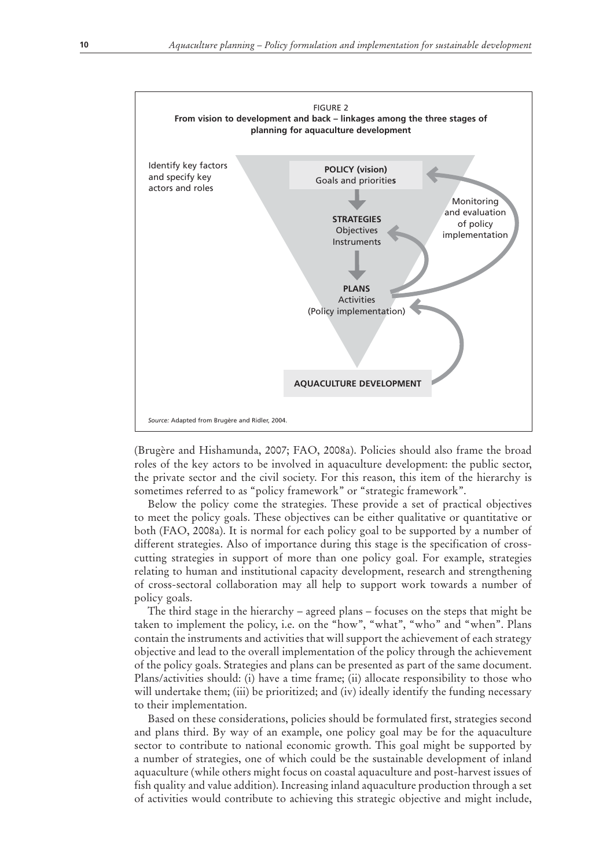

(Brugère and Hishamunda, 2007; FAO, 2008a). Policies should also frame the broad roles of the key actors to be involved in aquaculture development: the public sector, the private sector and the civil society. For this reason, this item of the hierarchy is sometimes referred to as "policy framework" or "strategic framework".

Below the policy come the strategies. These provide a set of practical objectives to meet the policy goals. These objectives can be either qualitative or quantitative or both (FAO, 2008a). It is normal for each policy goal to be supported by a number of different strategies. Also of importance during this stage is the specification of crosscutting strategies in support of more than one policy goal. For example, strategies relating to human and institutional capacity development, research and strengthening of cross-sectoral collaboration may all help to support work towards a number of policy goals.

The third stage in the hierarchy – agreed plans – focuses on the steps that might be taken to implement the policy, i.e. on the "how", "what", "who" and "when". Plans contain the instruments and activities that will support the achievement of each strategy objective and lead to the overall implementation of the policy through the achievement of the policy goals. Strategies and plans can be presented as part of the same document. Plans/activities should: (i) have a time frame; (ii) allocate responsibility to those who will undertake them; (iii) be prioritized; and (iv) ideally identify the funding necessary to their implementation.

Based on these considerations, policies should be formulated first, strategies second and plans third. By way of an example, one policy goal may be for the aquaculture sector to contribute to national economic growth. This goal might be supported by a number of strategies, one of which could be the sustainable development of inland aquaculture (while others might focus on coastal aquaculture and post-harvest issues of fish quality and value addition). Increasing inland aquaculture production through a set of activities would contribute to achieving this strategic objective and might include,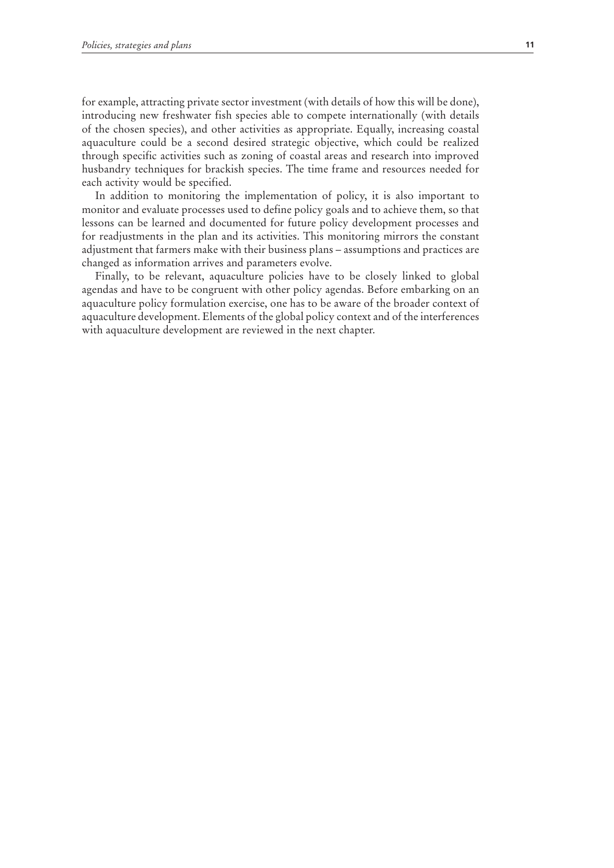for example, attracting private sector investment (with details of how this will be done), introducing new freshwater fish species able to compete internationally (with details of the chosen species), and other activities as appropriate. Equally, increasing coastal aquaculture could be a second desired strategic objective, which could be realized through specific activities such as zoning of coastal areas and research into improved husbandry techniques for brackish species. The time frame and resources needed for each activity would be specified.

In addition to monitoring the implementation of policy, it is also important to monitor and evaluate processes used to define policy goals and to achieve them, so that lessons can be learned and documented for future policy development processes and for readjustments in the plan and its activities. This monitoring mirrors the constant adjustment that farmers make with their business plans – assumptions and practices are changed as information arrives and parameters evolve.

Finally, to be relevant, aquaculture policies have to be closely linked to global agendas and have to be congruent with other policy agendas. Before embarking on an aquaculture policy formulation exercise, one has to be aware of the broader context of aquaculture development. Elements of the global policy context and of the interferences with aquaculture development are reviewed in the next chapter.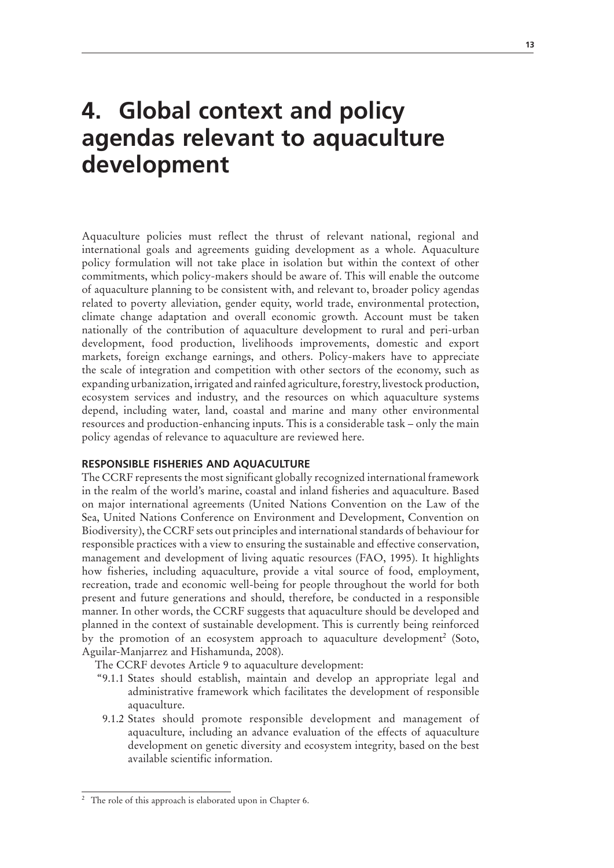### **4. Global context and policy agendas relevant to aquaculture development**

Aquaculture policies must reflect the thrust of relevant national, regional and international goals and agreements guiding development as a whole. Aquaculture policy formulation will not take place in isolation but within the context of other commitments, which policy-makers should be aware of. This will enable the outcome of aquaculture planning to be consistent with, and relevant to, broader policy agendas related to poverty alleviation, gender equity, world trade, environmental protection, climate change adaptation and overall economic growth. Account must be taken nationally of the contribution of aquaculture development to rural and peri-urban development, food production, livelihoods improvements, domestic and export markets, foreign exchange earnings, and others. Policy-makers have to appreciate the scale of integration and competition with other sectors of the economy, such as expanding urbanization, irrigated and rainfed agriculture, forestry, livestock production, ecosystem services and industry, and the resources on which aquaculture systems depend, including water, land, coastal and marine and many other environmental resources and production-enhancing inputs. This is a considerable task – only the main policy agendas of relevance to aquaculture are reviewed here.

#### **RESPONSIBLE FISHERIES AND AQUACULTURE**

The CCRF represents the most significant globally recognized international framework in the realm of the world's marine, coastal and inland fisheries and aquaculture. Based on major international agreements (United Nations Convention on the Law of the Sea, United Nations Conference on Environment and Development, Convention on Biodiversity), the CCRF sets out principles and international standards of behaviour for responsible practices with a view to ensuring the sustainable and effective conservation, management and development of living aquatic resources (FAO, 1995). It highlights how fisheries, including aquaculture, provide a vital source of food, employment, recreation, trade and economic well-being for people throughout the world for both present and future generations and should, therefore, be conducted in a responsible manner. In other words, the CCRF suggests that aquaculture should be developed and planned in the context of sustainable development. This is currently being reinforced by the promotion of an ecosystem approach to aquaculture development<sup>2</sup> (Soto, Aguilar-Manjarrez and Hishamunda, 2008).

The CCRF devotes Article 9 to aquaculture development:

- "9.1.1 States should establish, maintain and develop an appropriate legal and administrative framework which facilitates the development of responsible aquaculture.
- 9.1.2 States should promote responsible development and management of aquaculture, including an advance evaluation of the effects of aquaculture development on genetic diversity and ecosystem integrity, based on the best available scientific information.

<sup>&</sup>lt;sup>2</sup> The role of this approach is elaborated upon in Chapter 6.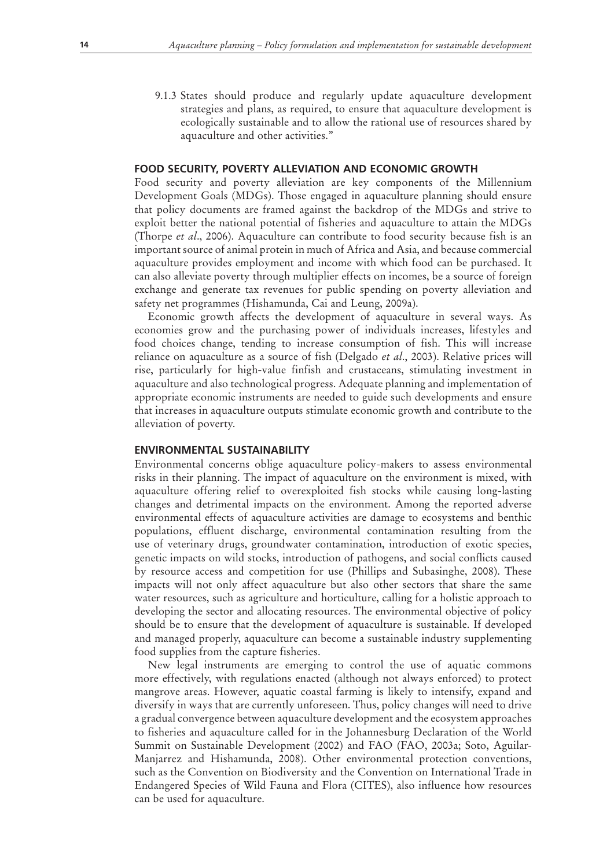9.1.3 States should produce and regularly update aquaculture development strategies and plans, as required, to ensure that aquaculture development is ecologically sustainable and to allow the rational use of resources shared by aquaculture and other activities."

#### **FOOD SECURITY, POVERTY ALLEVIATION AND ECONOMIC GROWTH**

Food security and poverty alleviation are key components of the Millennium Development Goals (MDGs). Those engaged in aquaculture planning should ensure that policy documents are framed against the backdrop of the MDGs and strive to exploit better the national potential of fisheries and aquaculture to attain the MDGs (Thorpe *et al*., 2006). Aquaculture can contribute to food security because fish is an important source of animal protein in much of Africa and Asia, and because commercial aquaculture provides employment and income with which food can be purchased. It can also alleviate poverty through multiplier effects on incomes, be a source of foreign exchange and generate tax revenues for public spending on poverty alleviation and safety net programmes (Hishamunda, Cai and Leung, 2009a).

Economic growth affects the development of aquaculture in several ways. As economies grow and the purchasing power of individuals increases, lifestyles and food choices change, tending to increase consumption of fish. This will increase reliance on aquaculture as a source of fish (Delgado *et al*., 2003). Relative prices will rise, particularly for high-value finfish and crustaceans, stimulating investment in aquaculture and also technological progress. Adequate planning and implementation of appropriate economic instruments are needed to guide such developments and ensure that increases in aquaculture outputs stimulate economic growth and contribute to the alleviation of poverty.

#### **ENVIRONMENTAL SUSTAINABILITY**

Environmental concerns oblige aquaculture policy-makers to assess environmental risks in their planning. The impact of aquaculture on the environment is mixed, with aquaculture offering relief to overexploited fish stocks while causing long-lasting changes and detrimental impacts on the environment. Among the reported adverse environmental effects of aquaculture activities are damage to ecosystems and benthic populations, effluent discharge, environmental contamination resulting from the use of veterinary drugs, groundwater contamination, introduction of exotic species, genetic impacts on wild stocks, introduction of pathogens, and social conflicts caused by resource access and competition for use (Phillips and Subasinghe, 2008). These impacts will not only affect aquaculture but also other sectors that share the same water resources, such as agriculture and horticulture, calling for a holistic approach to developing the sector and allocating resources. The environmental objective of policy should be to ensure that the development of aquaculture is sustainable. If developed and managed properly, aquaculture can become a sustainable industry supplementing food supplies from the capture fisheries.

New legal instruments are emerging to control the use of aquatic commons more effectively, with regulations enacted (although not always enforced) to protect mangrove areas. However, aquatic coastal farming is likely to intensify, expand and diversify in ways that are currently unforeseen. Thus, policy changes will need to drive a gradual convergence between aquaculture development and the ecosystem approaches to fisheries and aquaculture called for in the Johannesburg Declaration of the World Summit on Sustainable Development (2002) and FAO (FAO, 2003a; Soto, Aguilar-Manjarrez and Hishamunda, 2008). Other environmental protection conventions, such as the Convention on Biodiversity and the Convention on International Trade in Endangered Species of Wild Fauna and Flora (CITES), also influence how resources can be used for aquaculture.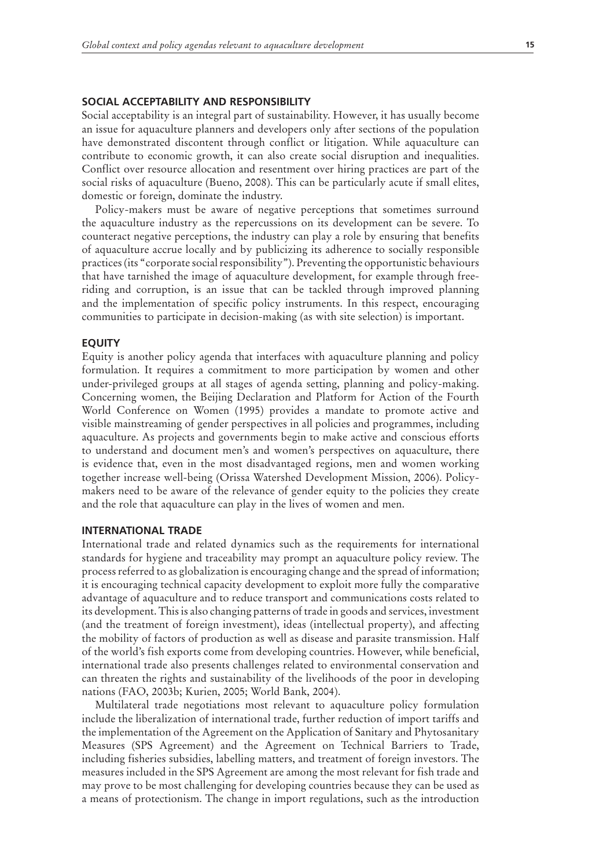#### **SOCIAL ACCEPTABILITY AND RESPONSIBILITY**

Social acceptability is an integral part of sustainability. However, it has usually become an issue for aquaculture planners and developers only after sections of the population have demonstrated discontent through conflict or litigation. While aquaculture can contribute to economic growth, it can also create social disruption and inequalities. Conflict over resource allocation and resentment over hiring practices are part of the social risks of aquaculture (Bueno, 2008). This can be particularly acute if small elites, domestic or foreign, dominate the industry.

Policy-makers must be aware of negative perceptions that sometimes surround the aquaculture industry as the repercussions on its development can be severe. To counteract negative perceptions, the industry can play a role by ensuring that benefits of aquaculture accrue locally and by publicizing its adherence to socially responsible practices (its "corporate social responsibility"). Preventing the opportunistic behaviours that have tarnished the image of aquaculture development, for example through freeriding and corruption, is an issue that can be tackled through improved planning and the implementation of specific policy instruments. In this respect, encouraging communities to participate in decision-making (as with site selection) is important.

#### **EQUITY**

Equity is another policy agenda that interfaces with aquaculture planning and policy formulation. It requires a commitment to more participation by women and other under-privileged groups at all stages of agenda setting, planning and policy-making. Concerning women, the Beijing Declaration and Platform for Action of the Fourth World Conference on Women (1995) provides a mandate to promote active and visible mainstreaming of gender perspectives in all policies and programmes, including aquaculture. As projects and governments begin to make active and conscious efforts to understand and document men's and women's perspectives on aquaculture, there is evidence that, even in the most disadvantaged regions, men and women working together increase well-being (Orissa Watershed Development Mission, 2006). Policymakers need to be aware of the relevance of gender equity to the policies they create and the role that aquaculture can play in the lives of women and men.

#### **INTERNATIONAL TRADE**

International trade and related dynamics such as the requirements for international standards for hygiene and traceability may prompt an aquaculture policy review. The process referred to as globalization is encouraging change and the spread of information; it is encouraging technical capacity development to exploit more fully the comparative advantage of aquaculture and to reduce transport and communications costs related to its development. This is also changing patterns of trade in goods and services, investment (and the treatment of foreign investment), ideas (intellectual property), and affecting the mobility of factors of production as well as disease and parasite transmission. Half of the world's fish exports come from developing countries. However, while beneficial, international trade also presents challenges related to environmental conservation and can threaten the rights and sustainability of the livelihoods of the poor in developing nations (FAO, 2003b; Kurien, 2005; World Bank, 2004).

Multilateral trade negotiations most relevant to aquaculture policy formulation include the liberalization of international trade, further reduction of import tariffs and the implementation of the Agreement on the Application of Sanitary and Phytosanitary Measures (SPS Agreement) and the Agreement on Technical Barriers to Trade, including fisheries subsidies, labelling matters, and treatment of foreign investors. The measures included in the SPS Agreement are among the most relevant for fish trade and may prove to be most challenging for developing countries because they can be used as a means of protectionism. The change in import regulations, such as the introduction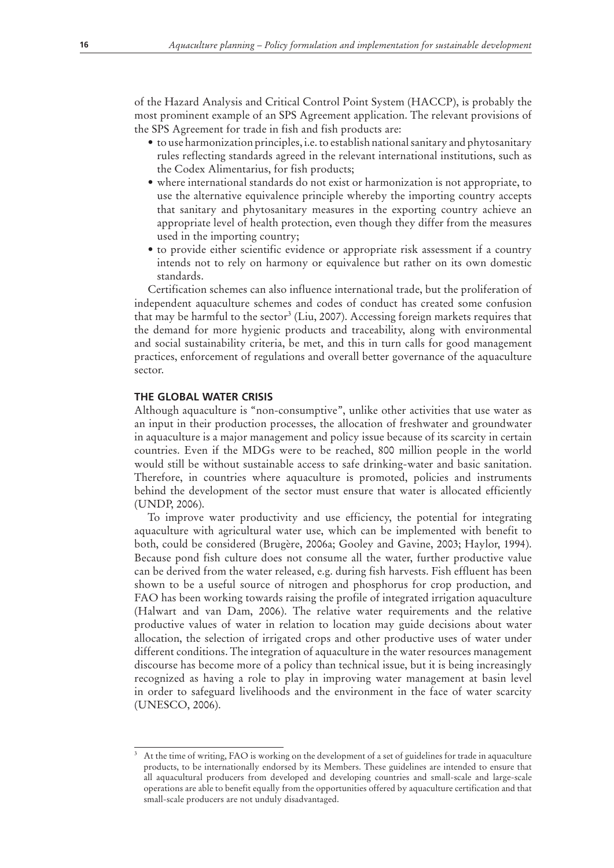of the Hazard Analysis and Critical Control Point System (HACCP), is probably the most prominent example of an SPS Agreement application. The relevant provisions of the SPS Agreement for trade in fish and fish products are:

- $\bullet$  to use harmonization principles, i.e. to establish national sanitary and phytosanitary rules reflecting standards agreed in the relevant international institutions, such as the Codex Alimentarius, for fish products;
- where international standards do not exist or harmonization is not appropriate, to use the alternative equivalence principle whereby the importing country accepts that sanitary and phytosanitary measures in the exporting country achieve an appropriate level of health protection, even though they differ from the measures used in the importing country;
- to provide either scientific evidence or appropriate risk assessment if a country intends not to rely on harmony or equivalence but rather on its own domestic standards.

Certification schemes can also influence international trade, but the proliferation of independent aquaculture schemes and codes of conduct has created some confusion that may be harmful to the sector<sup>3</sup> (Liu, 2007). Accessing foreign markets requires that the demand for more hygienic products and traceability, along with environmental and social sustainability criteria, be met, and this in turn calls for good management practices, enforcement of regulations and overall better governance of the aquaculture sector.

#### **THE GLOBAL WATER CRISIS**

Although aquaculture is "non-consumptive", unlike other activities that use water as an input in their production processes, the allocation of freshwater and groundwater in aquaculture is a major management and policy issue because of its scarcity in certain countries. Even if the MDGs were to be reached, 800 million people in the world would still be without sustainable access to safe drinking-water and basic sanitation. Therefore, in countries where aquaculture is promoted, policies and instruments behind the development of the sector must ensure that water is allocated efficiently (UNDP, 2006).

To improve water productivity and use efficiency, the potential for integrating aquaculture with agricultural water use, which can be implemented with benefit to both, could be considered (Brugère, 2006a; Gooley and Gavine, 2003; Haylor, 1994). Because pond fish culture does not consume all the water, further productive value can be derived from the water released, e.g. during fish harvests. Fish effluent has been shown to be a useful source of nitrogen and phosphorus for crop production, and FAO has been working towards raising the profile of integrated irrigation aquaculture (Halwart and van Dam, 2006). The relative water requirements and the relative productive values of water in relation to location may guide decisions about water allocation, the selection of irrigated crops and other productive uses of water under different conditions. The integration of aquaculture in the water resources management discourse has become more of a policy than technical issue, but it is being increasingly recognized as having a role to play in improving water management at basin level in order to safeguard livelihoods and the environment in the face of water scarcity (UNESCO, 2006).

<sup>3</sup> At the time of writing, FAO is working on the development of a set of guidelines for trade in aquaculture products, to be internationally endorsed by its Members. These guidelines are intended to ensure that all aquacultural producers from developed and developing countries and small-scale and large-scale operations are able to benefit equally from the opportunities offered by aquaculture certification and that small-scale producers are not unduly disadvantaged.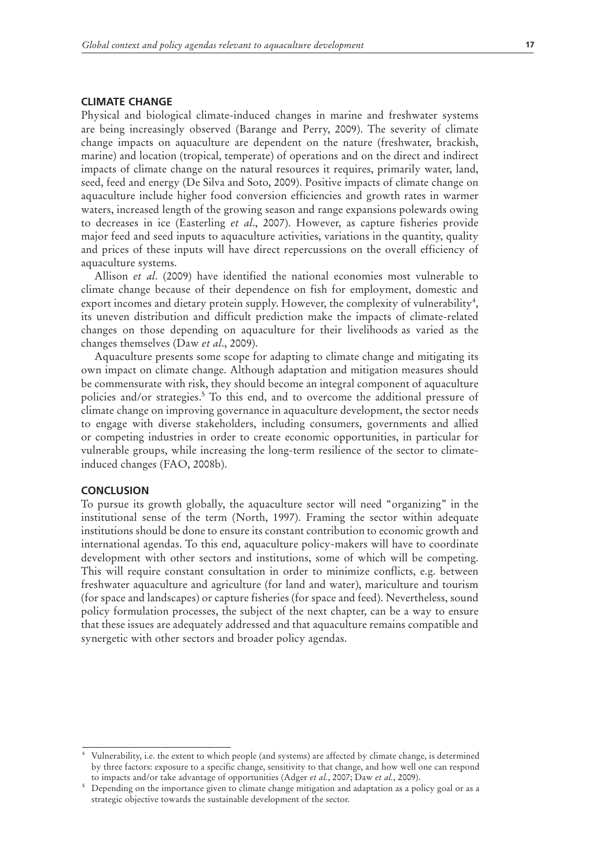#### **CLIMATE CHANGE**

Physical and biological climate-induced changes in marine and freshwater systems are being increasingly observed (Barange and Perry, 2009). The severity of climate change impacts on aquaculture are dependent on the nature (freshwater, brackish, marine) and location (tropical, temperate) of operations and on the direct and indirect impacts of climate change on the natural resources it requires, primarily water, land, seed, feed and energy (De Silva and Soto, 2009). Positive impacts of climate change on aquaculture include higher food conversion efficiencies and growth rates in warmer waters, increased length of the growing season and range expansions polewards owing to decreases in ice (Easterling *et al*., 2007). However, as capture fisheries provide major feed and seed inputs to aquaculture activities, variations in the quantity, quality and prices of these inputs will have direct repercussions on the overall efficiency of aquaculture systems.

Allison *et al*. (2009) have identified the national economies most vulnerable to climate change because of their dependence on fish for employment, domestic and export incomes and dietary protein supply. However, the complexity of vulnerability<sup>4</sup>, its uneven distribution and difficult prediction make the impacts of climate-related changes on those depending on aquaculture for their livelihoods as varied as the changes themselves (Daw *et al*., 2009).

Aquaculture presents some scope for adapting to climate change and mitigating its own impact on climate change. Although adaptation and mitigation measures should be commensurate with risk, they should become an integral component of aquaculture policies and/or strategies.<sup>5</sup> To this end, and to overcome the additional pressure of climate change on improving governance in aquaculture development, the sector needs to engage with diverse stakeholders, including consumers, governments and allied or competing industries in order to create economic opportunities, in particular for vulnerable groups, while increasing the long-term resilience of the sector to climateinduced changes (FAO, 2008b).

#### **CONCLUSION**

To pursue its growth globally, the aquaculture sector will need "organizing" in the institutional sense of the term (North, 1997). Framing the sector within adequate institutions should be done to ensure its constant contribution to economic growth and international agendas. To this end, aquaculture policy-makers will have to coordinate development with other sectors and institutions, some of which will be competing. This will require constant consultation in order to minimize conflicts, e.g. between freshwater aquaculture and agriculture (for land and water), mariculture and tourism (for space and landscapes) or capture fisheries (for space and feed). Nevertheless, sound policy formulation processes, the subject of the next chapter, can be a way to ensure that these issues are adequately addressed and that aquaculture remains compatible and synergetic with other sectors and broader policy agendas.

<sup>4</sup> Vulnerability, i.e. the extent to which people (and systems) are affected by climate change, is determined by three factors: exposure to a specific change, sensitivity to that change, and how well one can respond to impacts and/or take advantage of opportunities (Adger *et al.*, 2007; Daw *et al.*, 2009).

<sup>&</sup>lt;sup>5</sup> Depending on the importance given to climate change mitigation and adaptation as a policy goal or as a strategic objective towards the sustainable development of the sector.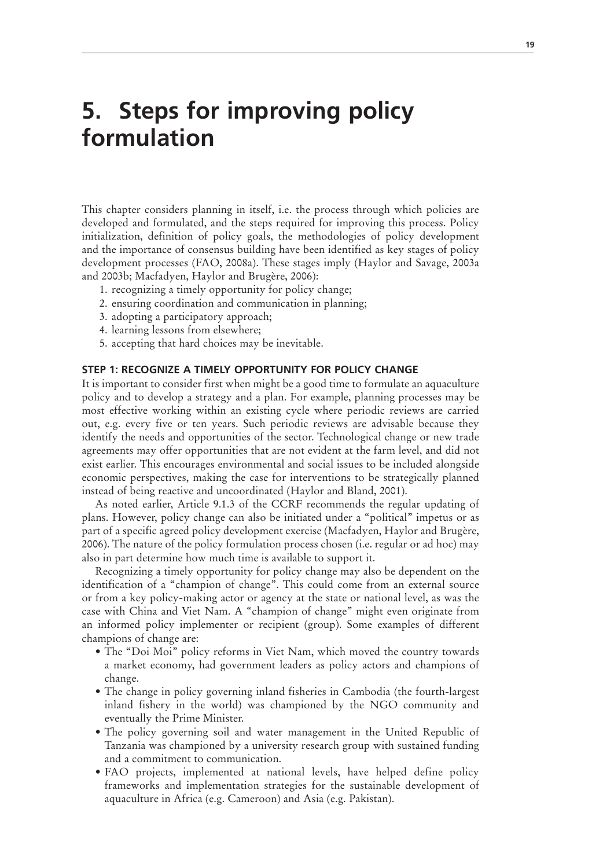### **5. Steps for improving policy formulation**

This chapter considers planning in itself, i.e. the process through which policies are developed and formulated, and the steps required for improving this process. Policy initialization, definition of policy goals, the methodologies of policy development and the importance of consensus building have been identified as key stages of policy development processes (FAO, 2008a). These stages imply (Haylor and Savage, 2003a and 2003b; Macfadyen, Haylor and Brugère, 2006):

- 1. recognizing a timely opportunity for policy change;
- 2. ensuring coordination and communication in planning;
- 3. adopting a participatory approach;
- 4. learning lessons from elsewhere;
- 5. accepting that hard choices may be inevitable.

#### **STEP 1: RECOGNIZE A TIMELY OPPORTUNITY FOR POLICY CHANGE**

It is important to consider first when might be a good time to formulate an aquaculture policy and to develop a strategy and a plan. For example, planning processes may be most effective working within an existing cycle where periodic reviews are carried out, e.g. every five or ten years. Such periodic reviews are advisable because they identify the needs and opportunities of the sector. Technological change or new trade agreements may offer opportunities that are not evident at the farm level, and did not exist earlier. This encourages environmental and social issues to be included alongside economic perspectives, making the case for interventions to be strategically planned instead of being reactive and uncoordinated (Haylor and Bland, 2001).

As noted earlier, Article 9.1.3 of the CCRF recommends the regular updating of plans. However, policy change can also be initiated under a "political" impetus or as part of a specific agreed policy development exercise (Macfadyen, Haylor and Brugère, 2006). The nature of the policy formulation process chosen (i.e. regular or ad hoc) may also in part determine how much time is available to support it.

Recognizing a timely opportunity for policy change may also be dependent on the identification of a "champion of change". This could come from an external source or from a key policy-making actor or agency at the state or national level, as was the case with China and Viet Nam. A "champion of change" might even originate from an informed policy implementer or recipient (group). Some examples of different champions of change are:

- The "Doi Moi" policy reforms in Viet Nam, which moved the country towards a market economy, had government leaders as policy actors and champions of change.
- The change in policy governing inland fisheries in Cambodia (the fourth-largest inland fishery in the world) was championed by the NGO community and eventually the Prime Minister.
- The policy governing soil and water management in the United Republic of Tanzania was championed by a university research group with sustained funding and a commitment to communication.
- FAO projects, implemented at national levels, have helped define policy frameworks and implementation strategies for the sustainable development of aquaculture in Africa (e.g. Cameroon) and Asia (e.g. Pakistan).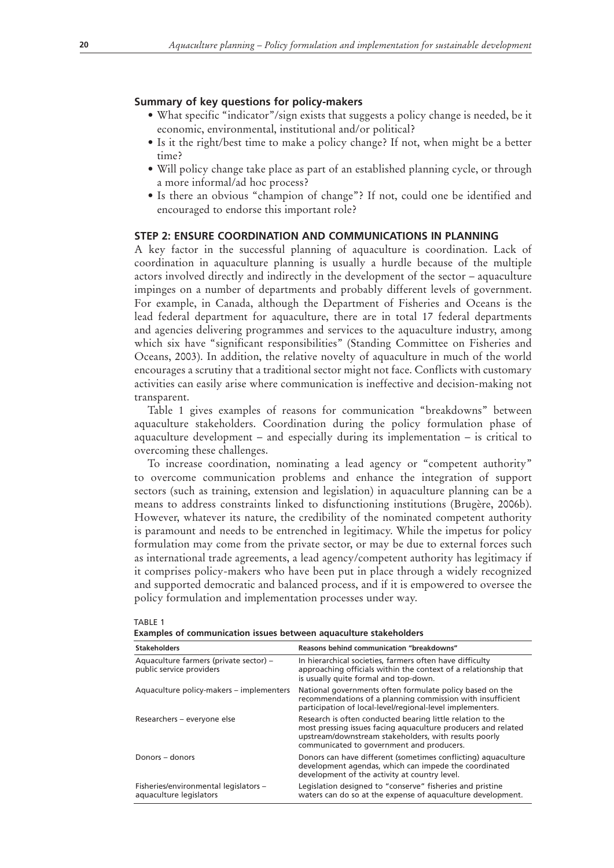#### **Summary of key questions for policy-makers**

- What specific "indicator"/sign exists that suggests a policy change is needed, be it economic, environmental, institutional and/or political?
- Is it the right/best time to make a policy change? If not, when might be a better time?
- Will policy change take place as part of an established planning cycle, or through a more informal/ad hoc process?
- Is there an obvious "champion of change"? If not, could one be identified and encouraged to endorse this important role?

#### **STEP 2: ENSURE COORDINATION AND COMMUNICATIONS IN PLANNING**

A key factor in the successful planning of aquaculture is coordination. Lack of coordination in aquaculture planning is usually a hurdle because of the multiple actors involved directly and indirectly in the development of the sector – aquaculture impinges on a number of departments and probably different levels of government. For example, in Canada, although the Department of Fisheries and Oceans is the lead federal department for aquaculture, there are in total 17 federal departments and agencies delivering programmes and services to the aquaculture industry, among which six have "significant responsibilities" (Standing Committee on Fisheries and Oceans, 2003). In addition, the relative novelty of aquaculture in much of the world encourages a scrutiny that a traditional sector might not face. Conflicts with customary activities can easily arise where communication is ineffective and decision-making not transparent.

Table 1 gives examples of reasons for communication "breakdowns" between aquaculture stakeholders. Coordination during the policy formulation phase of aquaculture development – and especially during its implementation – is critical to overcoming these challenges.

To increase coordination, nominating a lead agency or "competent authority" to overcome communication problems and enhance the integration of support sectors (such as training, extension and legislation) in aquaculture planning can be a means to address constraints linked to disfunctioning institutions (Brugère, 2006b). However, whatever its nature, the credibility of the nominated competent authority is paramount and needs to be entrenched in legitimacy. While the impetus for policy formulation may come from the private sector, or may be due to external forces such as international trade agreements, a lead agency/competent authority has legitimacy if it comprises policy-makers who have been put in place through a widely recognized and supported democratic and balanced process, and if it is empowered to oversee the policy formulation and implementation processes under way.

| <b>Stakeholders</b>                                                | Reasons behind communication "breakdowns"                                                                                                                                                                                         |
|--------------------------------------------------------------------|-----------------------------------------------------------------------------------------------------------------------------------------------------------------------------------------------------------------------------------|
| Aquaculture farmers (private sector) -<br>public service providers | In hierarchical societies, farmers often have difficulty<br>approaching officials within the context of a relationship that<br>is usually quite formal and top-down.                                                              |
| Aquaculture policy-makers – implementers                           | National governments often formulate policy based on the<br>recommendations of a planning commission with insufficient<br>participation of local-level/regional-level implementers.                                               |
| Researchers - everyone else                                        | Research is often conducted bearing little relation to the<br>most pressing issues facing aquaculture producers and related<br>upstream/downstream stakeholders, with results poorly<br>communicated to government and producers. |
| Donors – donors                                                    | Donors can have different (sometimes conflicting) aquaculture<br>development agendas, which can impede the coordinated<br>development of the activity at country level.                                                           |
| Fisheries/environmental legislators -<br>aquaculture legislators   | Legislation designed to "conserve" fisheries and pristine<br>waters can do so at the expense of aquaculture development.                                                                                                          |

#### TABLE 1

|  | Examples of communication issues between aquaculture stakeholders |  |  |  |
|--|-------------------------------------------------------------------|--|--|--|
|--|-------------------------------------------------------------------|--|--|--|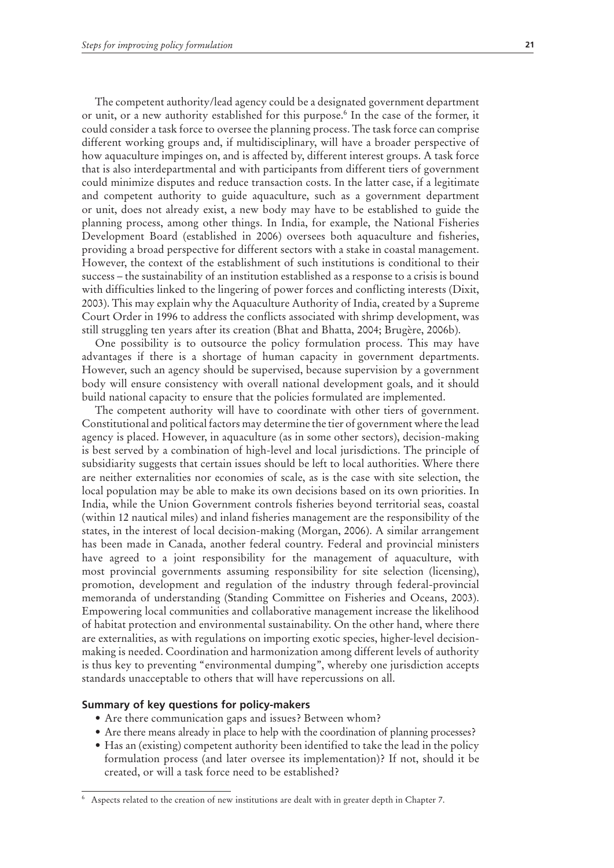The competent authority/lead agency could be a designated government department or unit, or a new authority established for this purpose.<sup>6</sup> In the case of the former, it could consider a task force to oversee the planning process. The task force can comprise different working groups and, if multidisciplinary, will have a broader perspective of how aquaculture impinges on, and is affected by, different interest groups. A task force that is also interdepartmental and with participants from different tiers of government could minimize disputes and reduce transaction costs. In the latter case, if a legitimate and competent authority to guide aquaculture, such as a government department or unit, does not already exist, a new body may have to be established to guide the planning process, among other things. In India, for example, the National Fisheries Development Board (established in 2006) oversees both aquaculture and fisheries, providing a broad perspective for different sectors with a stake in coastal management. However, the context of the establishment of such institutions is conditional to their success – the sustainability of an institution established as a response to a crisis is bound with difficulties linked to the lingering of power forces and conflicting interests (Dixit, 2003). This may explain why the Aquaculture Authority of India, created by a Supreme Court Order in 1996 to address the conflicts associated with shrimp development, was still struggling ten years after its creation (Bhat and Bhatta, 2004; Brugère, 2006b).

One possibility is to outsource the policy formulation process. This may have advantages if there is a shortage of human capacity in government departments. However, such an agency should be supervised, because supervision by a government body will ensure consistency with overall national development goals, and it should build national capacity to ensure that the policies formulated are implemented.

The competent authority will have to coordinate with other tiers of government. Constitutional and political factors may determine the tier of government where the lead agency is placed. However, in aquaculture (as in some other sectors), decision-making is best served by a combination of high-level and local jurisdictions. The principle of subsidiarity suggests that certain issues should be left to local authorities. Where there are neither externalities nor economies of scale, as is the case with site selection, the local population may be able to make its own decisions based on its own priorities. In India, while the Union Government controls fisheries beyond territorial seas, coastal (within 12 nautical miles) and inland fisheries management are the responsibility of the states, in the interest of local decision-making (Morgan, 2006). A similar arrangement has been made in Canada, another federal country. Federal and provincial ministers have agreed to a joint responsibility for the management of aquaculture, with most provincial governments assuming responsibility for site selection (licensing), promotion, development and regulation of the industry through federal-provincial memoranda of understanding (Standing Committee on Fisheries and Oceans, 2003). Empowering local communities and collaborative management increase the likelihood of habitat protection and environmental sustainability. On the other hand, where there are externalities, as with regulations on importing exotic species, higher-level decisionmaking is needed. Coordination and harmonization among different levels of authority is thus key to preventing "environmental dumping", whereby one jurisdiction accepts standards unacceptable to others that will have repercussions on all.

#### **Summary of key questions for policy-makers**

- Are there communication gaps and issues? Between whom?
- Are there means already in place to help with the coordination of planning processes?
- $\bullet$  Has an (existing) competent authority been identified to take the lead in the policy formulation process (and later oversee its implementation)? If not, should it be created, or will a task force need to be established?

<sup>6</sup> Aspects related to the creation of new institutions are dealt with in greater depth in Chapter 7.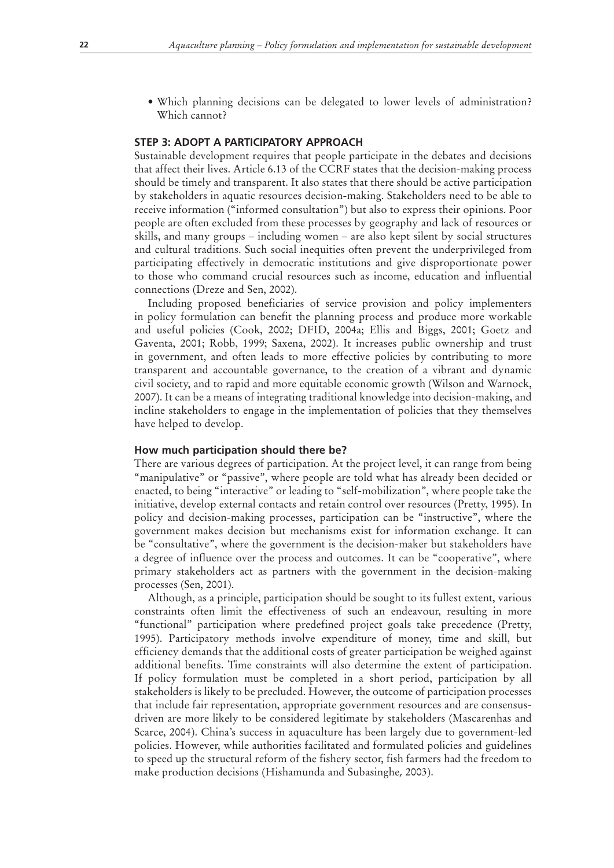• Which planning decisions can be delegated to lower levels of administration? Which cannot?

### **STEP 3: ADOPT A PARTICIPATORY APPROACH**

Sustainable development requires that people participate in the debates and decisions that affect their lives. Article 6.13 of the CCRF states that the decision-making process should be timely and transparent. It also states that there should be active participation by stakeholders in aquatic resources decision-making. Stakeholders need to be able to receive information ("informed consultation") but also to express their opinions. Poor people are often excluded from these processes by geography and lack of resources or skills, and many groups – including women – are also kept silent by social structures and cultural traditions. Such social inequities often prevent the underprivileged from participating effectively in democratic institutions and give disproportionate power to those who command crucial resources such as income, education and influential connections (Dreze and Sen, 2002).

Including proposed beneficiaries of service provision and policy implementers in policy formulation can benefit the planning process and produce more workable and useful policies (Cook, 2002; DFID, 2004a; Ellis and Biggs, 2001; Goetz and Gaventa, 2001; Robb, 1999; Saxena, 2002). It increases public ownership and trust in government, and often leads to more effective policies by contributing to more transparent and accountable governance, to the creation of a vibrant and dynamic civil society, and to rapid and more equitable economic growth (Wilson and Warnock, 2007). It can be a means of integrating traditional knowledge into decision-making, and incline stakeholders to engage in the implementation of policies that they themselves have helped to develop.

#### **How much participation should there be?**

There are various degrees of participation. At the project level, it can range from being "manipulative" or "passive", where people are told what has already been decided or enacted, to being "interactive" or leading to "self-mobilization", where people take the initiative, develop external contacts and retain control over resources (Pretty, 1995). In policy and decision-making processes, participation can be "instructive", where the government makes decision but mechanisms exist for information exchange. It can be "consultative", where the government is the decision-maker but stakeholders have a degree of influence over the process and outcomes. It can be "cooperative", where primary stakeholders act as partners with the government in the decision-making processes (Sen, 2001).

Although, as a principle, participation should be sought to its fullest extent, various constraints often limit the effectiveness of such an endeavour, resulting in more "functional" participation where predefined project goals take precedence (Pretty, 1995). Participatory methods involve expenditure of money, time and skill, but efficiency demands that the additional costs of greater participation be weighed against additional benefits. Time constraints will also determine the extent of participation. If policy formulation must be completed in a short period, participation by all stakeholders is likely to be precluded. However, the outcome of participation processes that include fair representation, appropriate government resources and are consensusdriven are more likely to be considered legitimate by stakeholders (Mascarenhas and Scarce, 2004). China's success in aquaculture has been largely due to government-led policies. However, while authorities facilitated and formulated policies and guidelines to speed up the structural reform of the fishery sector, fish farmers had the freedom to make production decisions (Hishamunda and Subasinghe, 2003).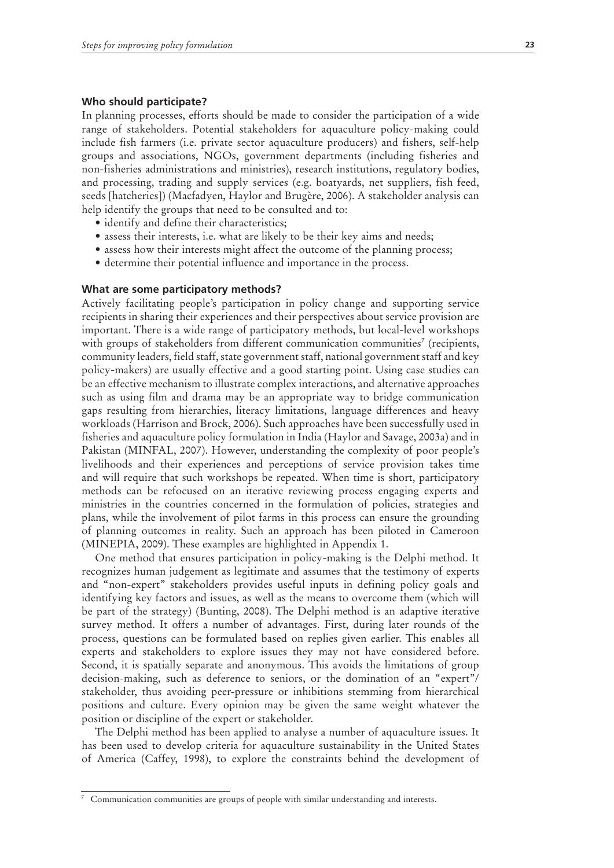#### **Who should participate?**

In planning processes, efforts should be made to consider the participation of a wide range of stakeholders. Potential stakeholders for aquaculture policy-making could include fish farmers (i.e. private sector aquaculture producers) and fishers, self-help groups and associations, NGOs, government departments (including fisheries and non-fisheries administrations and ministries), research institutions, regulatory bodies, and processing, trading and supply services (e.g. boatyards, net suppliers, fish feed, seeds [hatcheries]) (Macfadyen, Haylor and Brugère, 2006). A stakeholder analysis can help identify the groups that need to be consulted and to:

- identify and define their characteristics;
- assess their interests, i.e. what are likely to be their key aims and needs;
- assess how their interests might affect the outcome of the planning process;
- determine their potential influence and importance in the process.

#### **What are some participatory methods?**

Actively facilitating people's participation in policy change and supporting service recipients in sharing their experiences and their perspectives about service provision are important. There is a wide range of participatory methods, but local-level workshops with groups of stakeholders from different communication communities<sup>7</sup> (recipients, community leaders, field staff, state government staff, national government staff and key policy-makers) are usually effective and a good starting point. Using case studies can be an effective mechanism to illustrate complex interactions, and alternative approaches such as using film and drama may be an appropriate way to bridge communication gaps resulting from hierarchies, literacy limitations, language differences and heavy workloads (Harrison and Brock, 2006). Such approaches have been successfully used in fisheries and aquaculture policy formulation in India (Haylor and Savage, 2003a) and in Pakistan (MINFAL, 2007). However, understanding the complexity of poor people's livelihoods and their experiences and perceptions of service provision takes time and will require that such workshops be repeated. When time is short, participatory methods can be refocused on an iterative reviewing process engaging experts and ministries in the countries concerned in the formulation of policies, strategies and plans, while the involvement of pilot farms in this process can ensure the grounding of planning outcomes in reality. Such an approach has been piloted in Cameroon (MINEPIA, 2009). These examples are highlighted in Appendix 1.

One method that ensures participation in policy-making is the Delphi method. It recognizes human judgement as legitimate and assumes that the testimony of experts and "non-expert" stakeholders provides useful inputs in defining policy goals and identifying key factors and issues, as well as the means to overcome them (which will be part of the strategy) (Bunting, 2008). The Delphi method is an adaptive iterative survey method. It offers a number of advantages. First, during later rounds of the process, questions can be formulated based on replies given earlier. This enables all experts and stakeholders to explore issues they may not have considered before. Second, it is spatially separate and anonymous. This avoids the limitations of group decision-making, such as deference to seniors, or the domination of an "expert"/ stakeholder, thus avoiding peer-pressure or inhibitions stemming from hierarchical positions and culture. Every opinion may be given the same weight whatever the position or discipline of the expert or stakeholder.

The Delphi method has been applied to analyse a number of aquaculture issues. It has been used to develop criteria for aquaculture sustainability in the United States of America (Caffey, 1998), to explore the constraints behind the development of

<sup>7</sup> Communication communities are groups of people with similar understanding and interests.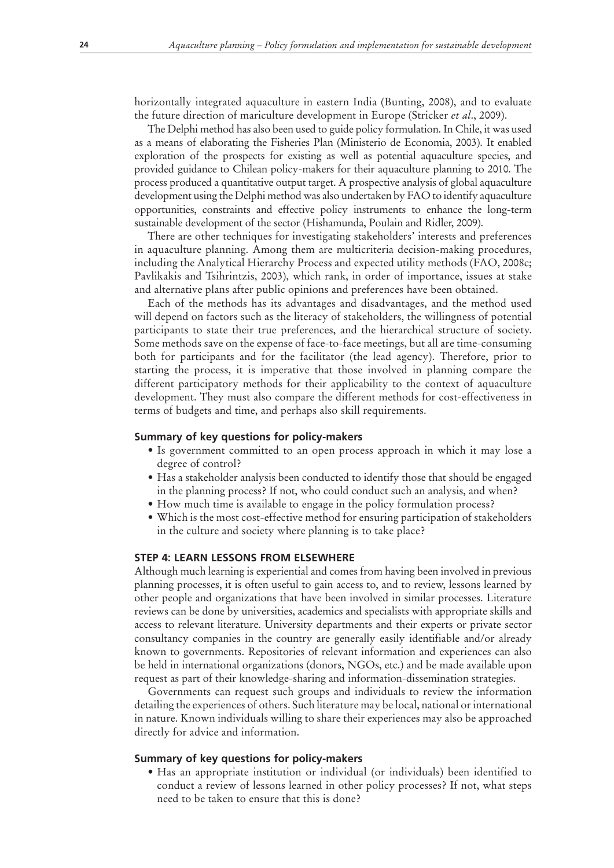horizontally integrated aquaculture in eastern India (Bunting, 2008), and to evaluate the future direction of mariculture development in Europe (Stricker *et al*., 2009).

The Delphi method has also been used to guide policy formulation. In Chile, it was used as a means of elaborating the Fisheries Plan (Ministerio de Economia, 2003). It enabled exploration of the prospects for existing as well as potential aquaculture species, and provided guidance to Chilean policy-makers for their aquaculture planning to 2010. The process produced a quantitative output target. A prospective analysis of global aquaculture development using the Delphi method was also undertaken by FAO to identify aquaculture opportunities, constraints and effective policy instruments to enhance the long-term sustainable development of the sector (Hishamunda, Poulain and Ridler, 2009).

There are other techniques for investigating stakeholders' interests and preferences in aquaculture planning. Among them are multicriteria decision-making procedures, including the Analytical Hierarchy Process and expected utility methods (FAO, 2008c; Pavlikakis and Tsihrintzis, 2003), which rank, in order of importance, issues at stake and alternative plans after public opinions and preferences have been obtained.

Each of the methods has its advantages and disadvantages, and the method used will depend on factors such as the literacy of stakeholders, the willingness of potential participants to state their true preferences, and the hierarchical structure of society. Some methods save on the expense of face-to-face meetings, but all are time-consuming both for participants and for the facilitator (the lead agency). Therefore, prior to starting the process, it is imperative that those involved in planning compare the different participatory methods for their applicability to the context of aquaculture development. They must also compare the different methods for cost-effectiveness in terms of budgets and time, and perhaps also skill requirements.

#### **Summary of key questions for policy-makers**

- Is government committed to an open process approach in which it may lose a degree of control?
- Has a stakeholder analysis been conducted to identify those that should be engaged in the planning process? If not, who could conduct such an analysis, and when?
- How much time is available to engage in the policy formulation process?
- Which is the most cost-effective method for ensuring participation of stakeholders in the culture and society where planning is to take place?

#### **STEP 4: LEARN LESSONS FROM ELSEWHERE**

Although much learning is experiential and comes from having been involved in previous planning processes, it is often useful to gain access to, and to review, lessons learned by other people and organizations that have been involved in similar processes. Literature reviews can be done by universities, academics and specialists with appropriate skills and access to relevant literature. University departments and their experts or private sector consultancy companies in the country are generally easily identifiable and/or already known to governments. Repositories of relevant information and experiences can also be held in international organizations (donors, NGOs, etc.) and be made available upon request as part of their knowledge-sharing and information-dissemination strategies.

Governments can request such groups and individuals to review the information detailing the experiences of others. Such literature may be local, national or international in nature. Known individuals willing to share their experiences may also be approached directly for advice and information.

#### **Summary of key questions for policy-makers**

• Has an appropriate institution or individual (or individuals) been identified to conduct a review of lessons learned in other policy processes? If not, what steps need to be taken to ensure that this is done?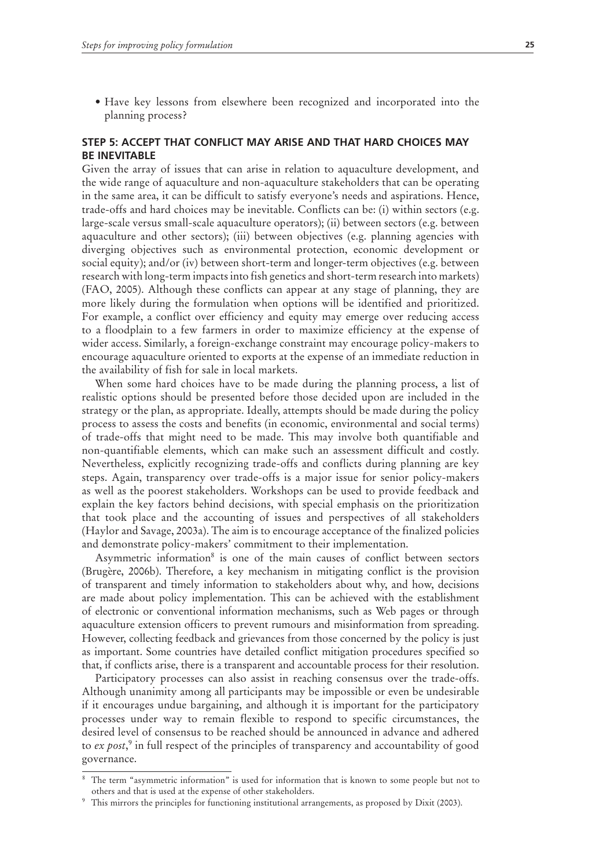• Have key lessons from elsewhere been recognized and incorporated into the planning process?

# **STEP 5: ACCEPT THAT CONFLICT MAY ARISE AND THAT HARD CHOICES MAY BE INEVITABLE**

Given the array of issues that can arise in relation to aquaculture development, and the wide range of aquaculture and non-aquaculture stakeholders that can be operating in the same area, it can be difficult to satisfy everyone's needs and aspirations. Hence, trade-offs and hard choices may be inevitable. Conflicts can be: (i) within sectors (e.g. large-scale versus small-scale aquaculture operators); (ii) between sectors (e.g. between aquaculture and other sectors); (iii) between objectives (e.g. planning agencies with diverging objectives such as environmental protection, economic development or social equity); and/or (iv) between short-term and longer-term objectives (e.g. between research with long-term impacts into fish genetics and short-term research into markets) (FAO, 2005). Although these conflicts can appear at any stage of planning, they are more likely during the formulation when options will be identified and prioritized. For example, a conflict over efficiency and equity may emerge over reducing access to a floodplain to a few farmers in order to maximize efficiency at the expense of wider access. Similarly, a foreign-exchange constraint may encourage policy-makers to encourage aquaculture oriented to exports at the expense of an immediate reduction in the availability of fish for sale in local markets.

When some hard choices have to be made during the planning process, a list of realistic options should be presented before those decided upon are included in the strategy or the plan, as appropriate. Ideally, attempts should be made during the policy process to assess the costs and benefits (in economic, environmental and social terms) of trade-offs that might need to be made. This may involve both quantifiable and non-quantifiable elements, which can make such an assessment difficult and costly. Nevertheless, explicitly recognizing trade-offs and conflicts during planning are key steps. Again, transparency over trade-offs is a major issue for senior policy-makers as well as the poorest stakeholders. Workshops can be used to provide feedback and explain the key factors behind decisions, with special emphasis on the prioritization that took place and the accounting of issues and perspectives of all stakeholders (Haylor and Savage, 2003a). The aim is to encourage acceptance of the finalized policies and demonstrate policy-makers' commitment to their implementation.

Asymmetric information<sup>8</sup> is one of the main causes of conflict between sectors (Brugère, 2006b). Therefore, a key mechanism in mitigating conflict is the provision of transparent and timely information to stakeholders about why, and how, decisions are made about policy implementation. This can be achieved with the establishment of electronic or conventional information mechanisms, such as Web pages or through aquaculture extension officers to prevent rumours and misinformation from spreading. However, collecting feedback and grievances from those concerned by the policy is just as important. Some countries have detailed conflict mitigation procedures specified so that, if conflicts arise, there is a transparent and accountable process for their resolution.

Participatory processes can also assist in reaching consensus over the trade-offs. Although unanimity among all participants may be impossible or even be undesirable if it encourages undue bargaining, and although it is important for the participatory processes under way to remain flexible to respond to specific circumstances, the desired level of consensus to be reached should be announced in advance and adhered to *ex post*, 9 in full respect of the principles of transparency and accountability of good governance.

<sup>8</sup> The term "asymmetric information" is used for information that is known to some people but not to others and that is used at the expense of other stakeholders.

<sup>9</sup> This mirrors the principles for functioning institutional arrangements, as proposed by Dixit (2003).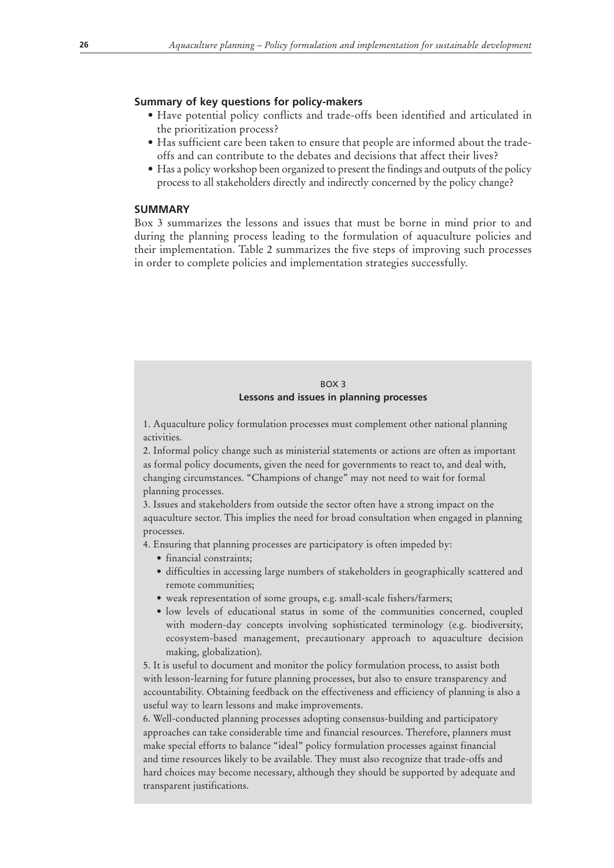## **Summary of key questions for policy-makers**

- Have potential policy conflicts and trade-offs been identified and articulated in the prioritization process?
- Has sufficient care been taken to ensure that people are informed about the tradeoffs and can contribute to the debates and decisions that affect their lives?
- Has a policy workshop been organized to present the findings and outputs of the policy process to all stakeholders directly and indirectly concerned by the policy change?

# **SUMMARY**

Box 3 summarizes the lessons and issues that must be borne in mind prior to and during the planning process leading to the formulation of aquaculture policies and their implementation. Table 2 summarizes the five steps of improving such processes in order to complete policies and implementation strategies successfully.

## BOX 3 **Lessons and issues in planning processes**

1. Aquaculture policy formulation processes must complement other national planning activities.

2. Informal policy change such as ministerial statements or actions are often as important as formal policy documents, given the need for governments to react to, and deal with, changing circumstances. "Champions of change" may not need to wait for formal planning processes.

3. Issues and stakeholders from outside the sector often have a strong impact on the aquaculture sector. This implies the need for broad consultation when engaged in planning processes.

4. Ensuring that planning processes are participatory is often impeded by:

- · financial constraints;
- difficulties in accessing large numbers of stakeholders in geographically scattered and remote communities;
- weak representation of some groups, e.g. small-scale fishers/farmers;
- · low levels of educational status in some of the communities concerned, coupled with modern-day concepts involving sophisticated terminology (e.g. biodiversity, ecosystem-based management, precautionary approach to aquaculture decision making, globalization).

5. It is useful to document and monitor the policy formulation process, to assist both with lesson-learning for future planning processes, but also to ensure transparency and accountability. Obtaining feedback on the effectiveness and efficiency of planning is also a useful way to learn lessons and make improvements.

6. Well-conducted planning processes adopting consensus-building and participatory approaches can take considerable time and financial resources. Therefore, planners must make special efforts to balance "ideal" policy formulation processes against financial and time resources likely to be available. They must also recognize that trade-offs and hard choices may become necessary, although they should be supported by adequate and transparent justifications.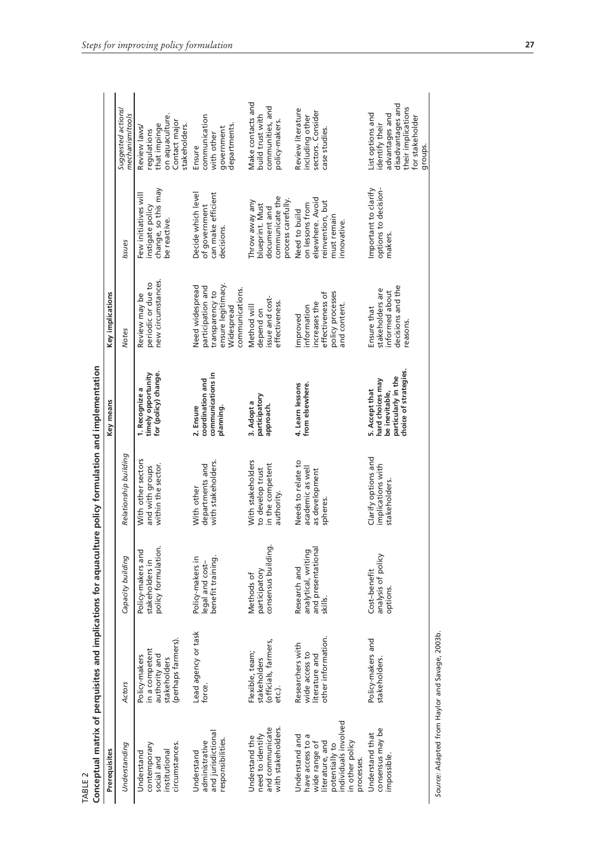| Prerequisites                                                                                                                                     | Conceptual matrix of perquisites and implications for aquaculture policy formulation and implementation |                                                                      |                                                                         | Key means                                                                                            | Key implications                                                                                               |                                                                                                        |                                                                                                                              |
|---------------------------------------------------------------------------------------------------------------------------------------------------|---------------------------------------------------------------------------------------------------------|----------------------------------------------------------------------|-------------------------------------------------------------------------|------------------------------------------------------------------------------------------------------|----------------------------------------------------------------------------------------------------------------|--------------------------------------------------------------------------------------------------------|------------------------------------------------------------------------------------------------------------------------------|
| Understanding                                                                                                                                     | <b>Actors</b>                                                                                           | Capacity building                                                    | Relationship building                                                   |                                                                                                      | <b>Notes</b>                                                                                                   | Issues                                                                                                 | Suggested actions/<br>mechanism/tools                                                                                        |
| circumstances.<br>contemporary<br>institutional<br>Understand<br>social and                                                                       | (perhaps farmers).<br>in a competent<br>authority and<br>Policy-makers<br>stakeholders                  | ion.<br>Policy-makers and<br>policy formulati<br>stakeholders in     | With other sectors<br>within the sector.<br>and with groups             | for (policy) change.<br>timely opportunity<br>1. Recognize a                                         | new circumstances.<br>periodic or due to<br>Review may be                                                      | change, so this may<br>Few initiatives will<br>instigate policy<br>be reactive.                        | on aquaculture.<br>Contact major<br>that impinge<br>stakeholders.<br>Review laws/<br>regulations                             |
| and jurisdictional<br>responsibilities.<br>administrative<br>Understand                                                                           | Lead agency or task<br>force.                                                                           | Policy-makers in<br>benefit training<br>legal and cost-              | with stakeholders.<br>departments and<br>With other                     | communications in<br>coordination and<br>planning.<br>2. Ensure                                      | ensure legitimacy.<br>Need widespread<br>participation and<br>communications.<br>transparency to<br>Widespread | Decide which level<br>can make efficient<br>of government<br>decisions.                                | communication<br>departments<br>government<br>with other<br>Ensure                                                           |
| with stakeholders.<br>and communicate<br>need to identify<br>Understand the                                                                       | (officials, farmers,<br>Flexible, team;<br>stakeholders<br>etc).                                        | consensus building.<br>participatory<br>Methods of                   | With stakeholders<br>in the competent<br>to develop trust<br>authority. | participatory<br>3. Adopt a<br>approach.                                                             | issue and cost-<br>effectiveness.<br>Method will<br>depend on                                                  | communicate the<br>process carefully.<br>Throw away any<br>blueprint. Must<br>document and             | Make contacts and<br>communities, and<br>build trust with<br>policy-makers.                                                  |
| individuals involved<br>Understand and<br>have access to a<br>wide range of<br>in other policy<br>literature, and<br>potentially to<br>processes. | other information.<br>Researchers with<br>wide access to<br>literature and                              | and presentational<br>analytical, writing<br>Research and<br>skills. | Needs to relate to<br>academic as well<br>as development<br>spheres.    | from elsewhere.<br>4. Learn lessons                                                                  | effectiveness of<br>policy processes<br>increases the<br>and content<br>information<br>Improved                | elsewhere. Avoid<br>reinvention, but<br>on lessons from<br>Need to build<br>must remain<br>innovative. | Review literature<br>sectors. Consider<br>including other<br>case studies                                                    |
| consensus may be<br>Understand that<br>impossible.                                                                                                | Policy-makers and<br>stakeholders.                                                                      | analysis of policy<br>Cost-benefit<br>options.                       | Clarify options and<br>implications with<br>stakeholders                | choice of strategies.<br>particularly in the<br>hard choices may<br>5. Accept that<br>be inevitable, | decisions and the<br>stakeholders are<br>informed about<br>Ensure that<br>reasons                              | Important to clarify<br>options to decision-<br>makers.                                                | disadvantages and<br>their implications<br>List options and<br>advantages and<br>for stakeholder<br>identify their<br>groups |
| Source: Adapted from Haylor and Savage, 2003b.                                                                                                    |                                                                                                         |                                                                      |                                                                         |                                                                                                      |                                                                                                                |                                                                                                        |                                                                                                                              |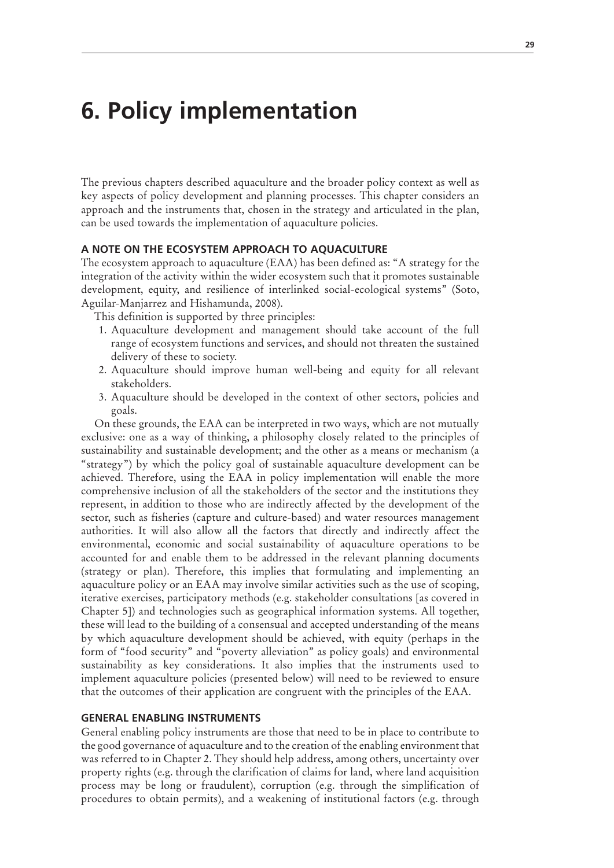# **6. Policy implementation**

The previous chapters described aquaculture and the broader policy context as well as key aspects of policy development and planning processes. This chapter considers an approach and the instruments that, chosen in the strategy and articulated in the plan, can be used towards the implementation of aquaculture policies.

## **A NOTE ON THE ECOSYSTEM APPROACH TO AQUACULTURE**

The ecosystem approach to aquaculture (EAA) has been defined as: "A strategy for the integration of the activity within the wider ecosystem such that it promotes sustainable development, equity, and resilience of interlinked social-ecological systems" (Soto, Aguilar-Manjarrez and Hishamunda, 2008).

This definition is supported by three principles:

- 1. Aquaculture development and management should take account of the full range of ecosystem functions and services, and should not threaten the sustained delivery of these to society.
- 2. Aquaculture should improve human well-being and equity for all relevant stakeholders.
- 3. Aquaculture should be developed in the context of other sectors, policies and goals.

On these grounds, the EAA can be interpreted in two ways, which are not mutually exclusive: one as a way of thinking, a philosophy closely related to the principles of sustainability and sustainable development; and the other as a means or mechanism (a "strategy") by which the policy goal of sustainable aquaculture development can be achieved. Therefore, using the EAA in policy implementation will enable the more comprehensive inclusion of all the stakeholders of the sector and the institutions they represent, in addition to those who are indirectly affected by the development of the sector, such as fisheries (capture and culture-based) and water resources management authorities. It will also allow all the factors that directly and indirectly affect the environmental, economic and social sustainability of aquaculture operations to be accounted for and enable them to be addressed in the relevant planning documents (strategy or plan). Therefore, this implies that formulating and implementing an aquaculture policy or an EAA may involve similar activities such as the use of scoping, iterative exercises, participatory methods (e.g. stakeholder consultations [as covered in Chapter 5]) and technologies such as geographical information systems. All together, these will lead to the building of a consensual and accepted understanding of the means by which aquaculture development should be achieved, with equity (perhaps in the form of "food security" and "poverty alleviation" as policy goals) and environmental sustainability as key considerations. It also implies that the instruments used to implement aquaculture policies (presented below) will need to be reviewed to ensure that the outcomes of their application are congruent with the principles of the EAA.

## **GENERAL ENABLING INSTRUMENTS**

General enabling policy instruments are those that need to be in place to contribute to the good governance of aquaculture and to the creation of the enabling environment that was referred to in Chapter 2. They should help address, among others, uncertainty over property rights (e.g. through the clarification of claims for land, where land acquisition process may be long or fraudulent), corruption (e.g. through the simplification of procedures to obtain permits), and a weakening of institutional factors (e.g. through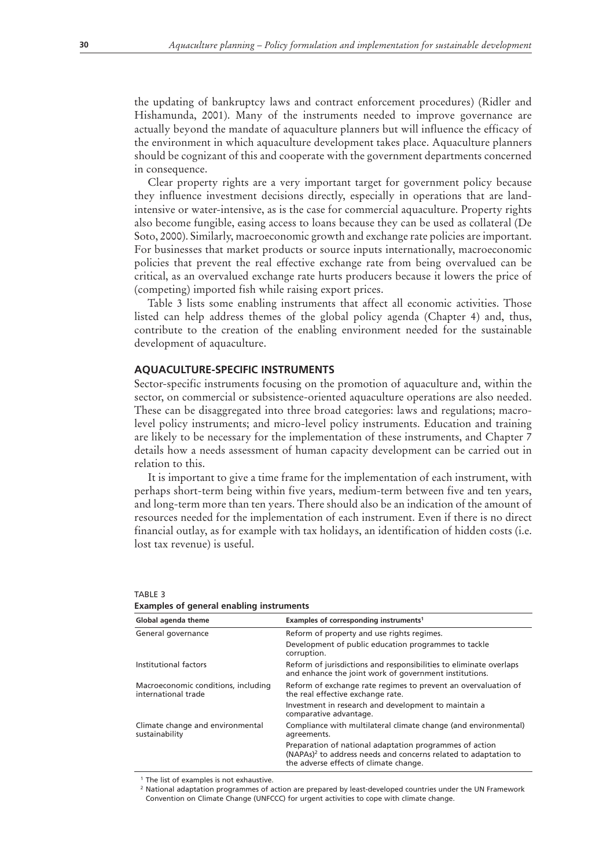the updating of bankruptcy laws and contract enforcement procedures) (Ridler and Hishamunda, 2001). Many of the instruments needed to improve governance are actually beyond the mandate of aquaculture planners but will influence the efficacy of the environment in which aquaculture development takes place. Aquaculture planners should be cognizant of this and cooperate with the government departments concerned in consequence.

Clear property rights are a very important target for government policy because they influence investment decisions directly, especially in operations that are landintensive or water-intensive, as is the case for commercial aquaculture. Property rights also become fungible, easing access to loans because they can be used as collateral (De Soto, 2000). Similarly, macroeconomic growth and exchange rate policies are important. For businesses that market products or source inputs internationally, macroeconomic policies that prevent the real effective exchange rate from being overvalued can be critical, as an overvalued exchange rate hurts producers because it lowers the price of (competing) imported fish while raising export prices.

Table 3 lists some enabling instruments that affect all economic activities. Those listed can help address themes of the global policy agenda (Chapter 4) and, thus, contribute to the creation of the enabling environment needed for the sustainable development of aquaculture.

## **AQUACULTURE-SPECIFIC INSTRUMENTS**

Sector-specific instruments focusing on the promotion of aquaculture and, within the sector, on commercial or subsistence-oriented aquaculture operations are also needed. These can be disaggregated into three broad categories: laws and regulations; macrolevel policy instruments; and micro-level policy instruments. Education and training are likely to be necessary for the implementation of these instruments, and Chapter 7 details how a needs assessment of human capacity development can be carried out in relation to this.

It is important to give a time frame for the implementation of each instrument, with perhaps short-term being within five years, medium-term between five and ten years, and long-term more than ten years. There should also be an indication of the amount of resources needed for the implementation of each instrument. Even if there is no direct financial outlay, as for example with tax holidays, an identification of hidden costs (i.e. lost tax revenue) is useful.

| examples of general enability instruments                  |                                                                                                                                                                                  |
|------------------------------------------------------------|----------------------------------------------------------------------------------------------------------------------------------------------------------------------------------|
| Global agenda theme                                        | Examples of corresponding instruments <sup>1</sup>                                                                                                                               |
| General governance                                         | Reform of property and use rights regimes.                                                                                                                                       |
|                                                            | Development of public education programmes to tackle<br>corruption.                                                                                                              |
| Institutional factors                                      | Reform of jurisdictions and responsibilities to eliminate overlaps<br>and enhance the joint work of government institutions.                                                     |
| Macroeconomic conditions, including<br>international trade | Reform of exchange rate regimes to prevent an overvaluation of<br>the real effective exchange rate.                                                                              |
|                                                            | Investment in research and development to maintain a<br>comparative advantage.                                                                                                   |
| Climate change and environmental<br>sustainability         | Compliance with multilateral climate change (and environmental)<br>agreements.                                                                                                   |
|                                                            | Preparation of national adaptation programmes of action<br>(NAPAs) <sup>2</sup> to address needs and concerns related to adaptation to<br>the adverse effects of climate change. |

#### TABLE 3

**Examples of general enabling instruments**

<sup>1</sup> The list of examples is not exhaustive.

<sup>2</sup> National adaptation programmes of action are prepared by least-developed countries under the UN Framework Convention on Climate Change (UNFCCC) for urgent activities to cope with climate change.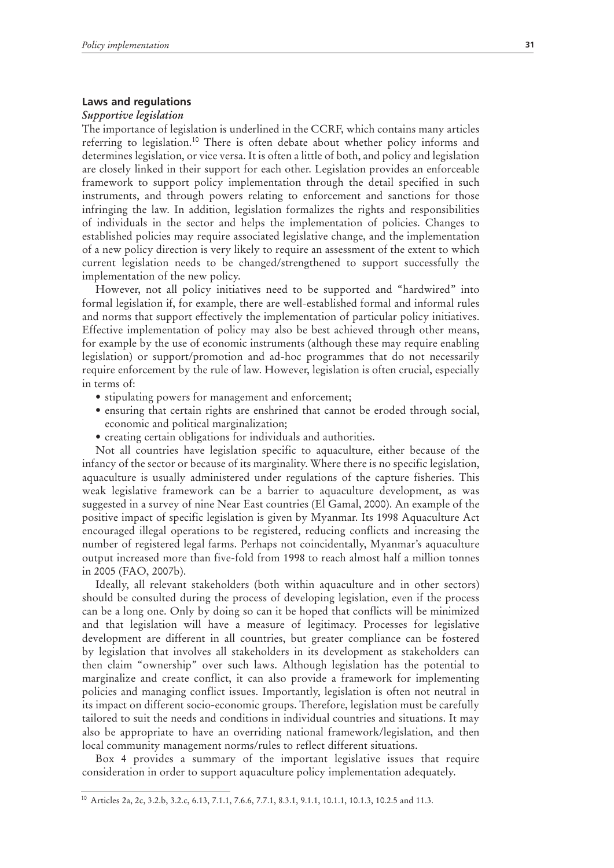## **Laws and regulations**

#### *Supportive legislation*

The importance of legislation is underlined in the CCRF, which contains many articles referring to legislation.10 There is often debate about whether policy informs and determines legislation, or vice versa. It is often a little of both, and policy and legislation are closely linked in their support for each other. Legislation provides an enforceable framework to support policy implementation through the detail specified in such instruments, and through powers relating to enforcement and sanctions for those infringing the law. In addition, legislation formalizes the rights and responsibilities of individuals in the sector and helps the implementation of policies. Changes to established policies may require associated legislative change, and the implementation of a new policy direction is very likely to require an assessment of the extent to which current legislation needs to be changed/strengthened to support successfully the implementation of the new policy.

However, not all policy initiatives need to be supported and "hardwired" into formal legislation if, for example, there are well-established formal and informal rules and norms that support effectively the implementation of particular policy initiatives. Effective implementation of policy may also be best achieved through other means, for example by the use of economic instruments (although these may require enabling legislation) or support/promotion and ad-hoc programmes that do not necessarily require enforcement by the rule of law. However, legislation is often crucial, especially in terms of:

- stipulating powers for management and enforcement;
- ensuring that certain rights are enshrined that cannot be eroded through social, economic and political marginalization;
- creating certain obligations for individuals and authorities.

Not all countries have legislation specific to aquaculture, either because of the infancy of the sector or because of its marginality. Where there is no specific legislation, aquaculture is usually administered under regulations of the capture fisheries. This weak legislative framework can be a barrier to aquaculture development, as was suggested in a survey of nine Near East countries (El Gamal, 2000). An example of the positive impact of specific legislation is given by Myanmar. Its 1998 Aquaculture Act encouraged illegal operations to be registered, reducing conflicts and increasing the number of registered legal farms. Perhaps not coincidentally, Myanmar's aquaculture output increased more than five-fold from 1998 to reach almost half a million tonnes in 2005 (FAO, 2007b).

Ideally, all relevant stakeholders (both within aquaculture and in other sectors) should be consulted during the process of developing legislation, even if the process can be a long one. Only by doing so can it be hoped that conflicts will be minimized and that legislation will have a measure of legitimacy. Processes for legislative development are different in all countries, but greater compliance can be fostered by legislation that involves all stakeholders in its development as stakeholders can then claim "ownership" over such laws. Although legislation has the potential to marginalize and create conflict, it can also provide a framework for implementing policies and managing conflict issues. Importantly, legislation is often not neutral in its impact on different socio-economic groups. Therefore, legislation must be carefully tailored to suit the needs and conditions in individual countries and situations. It may also be appropriate to have an overriding national framework/legislation, and then local community management norms/rules to reflect different situations.

Box 4 provides a summary of the important legislative issues that require consideration in order to support aquaculture policy implementation adequately.

<sup>10</sup> Articles 2a, 2c, 3.2.b, 3.2.c, 6.13, 7.1.1, 7.6.6, 7.7.1, 8.3.1, 9.1.1, 10.1.1, 10.1.3, 10.2.5 and 11.3.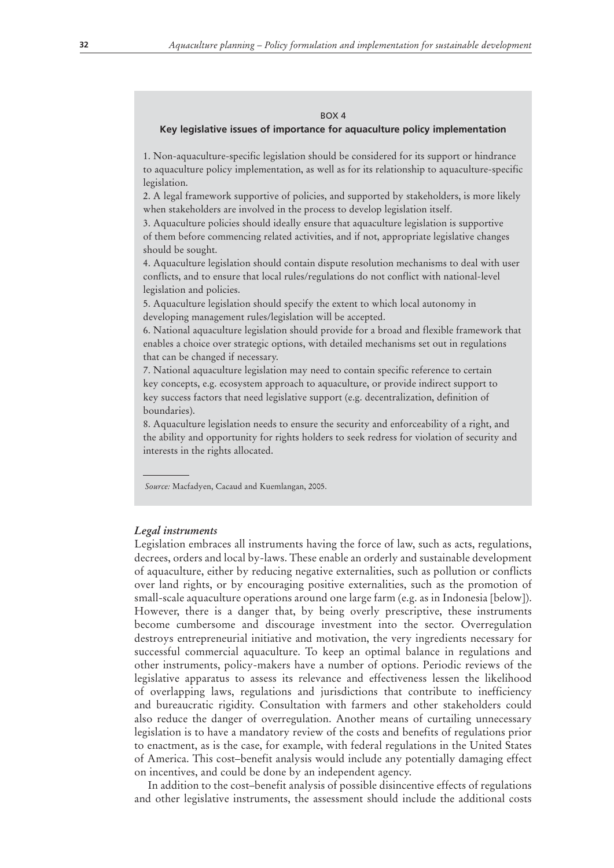#### BOX 4

## **Key legislative issues of importance for aquaculture policy implementation**

1. Non-aquaculture-specific legislation should be considered for its support or hindrance to aquaculture policy implementation, as well as for its relationship to aquaculture-specific legislation.

2. A legal framework supportive of policies, and supported by stakeholders, is more likely when stakeholders are involved in the process to develop legislation itself.

3. Aquaculture policies should ideally ensure that aquaculture legislation is supportive of them before commencing related activities, and if not, appropriate legislative changes should be sought.

4. Aquaculture legislation should contain dispute resolution mechanisms to deal with user conflicts, and to ensure that local rules/regulations do not conflict with national-level legislation and policies.

5. Aquaculture legislation should specify the extent to which local autonomy in developing management rules/legislation will be accepted.

6. National aquaculture legislation should provide for a broad and flexible framework that enables a choice over strategic options, with detailed mechanisms set out in regulations that can be changed if necessary.

7. National aquaculture legislation may need to contain specific reference to certain key concepts, e.g. ecosystem approach to aquaculture, or provide indirect support to key success factors that need legislative support (e.g. decentralization, definition of boundaries).

8. Aquaculture legislation needs to ensure the security and enforceability of a right, and the ability and opportunity for rights holders to seek redress for violation of security and interests in the rights allocated.

*Source:* Macfadyen, Cacaud and Kuemlangan, 2005.

#### *Legal instruments*

Legislation embraces all instruments having the force of law, such as acts, regulations, decrees, orders and local by-laws. These enable an orderly and sustainable development of aquaculture, either by reducing negative externalities, such as pollution or conflicts over land rights, or by encouraging positive externalities, such as the promotion of small-scale aquaculture operations around one large farm (e.g. as in Indonesia [below]). However, there is a danger that, by being overly prescriptive, these instruments become cumbersome and discourage investment into the sector. Overregulation destroys entrepreneurial initiative and motivation, the very ingredients necessary for successful commercial aquaculture. To keep an optimal balance in regulations and other instruments, policy-makers have a number of options. Periodic reviews of the legislative apparatus to assess its relevance and effectiveness lessen the likelihood of overlapping laws, regulations and jurisdictions that contribute to inefficiency and bureaucratic rigidity. Consultation with farmers and other stakeholders could also reduce the danger of overregulation. Another means of curtailing unnecessary legislation is to have a mandatory review of the costs and benefits of regulations prior to enactment, as is the case, for example, with federal regulations in the United States of America. This cost–benefit analysis would include any potentially damaging effect on incentives, and could be done by an independent agency.

In addition to the cost–benefit analysis of possible disincentive effects of regulations and other legislative instruments, the assessment should include the additional costs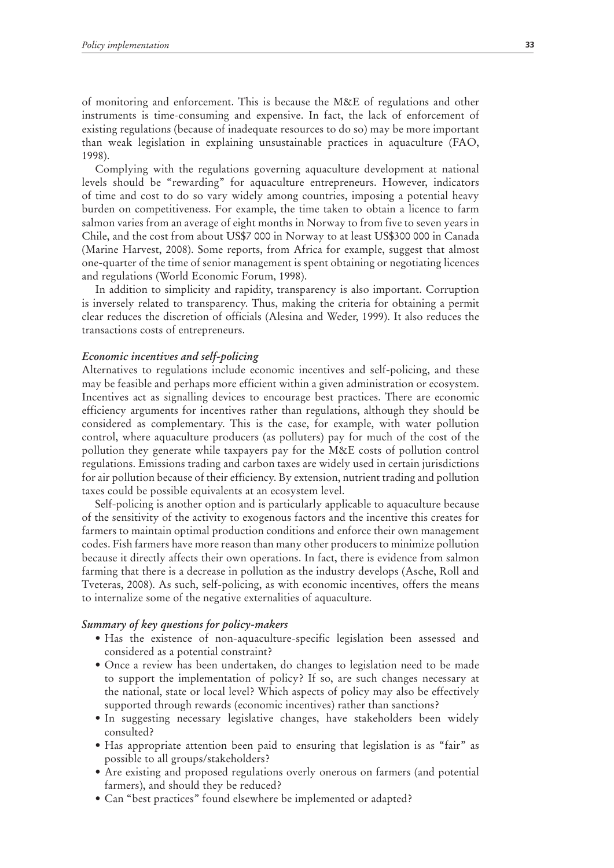of monitoring and enforcement. This is because the M&E of regulations and other instruments is time-consuming and expensive. In fact, the lack of enforcement of existing regulations (because of inadequate resources to do so) may be more important than weak legislation in explaining unsustainable practices in aquaculture (FAO, 1998).

Complying with the regulations governing aquaculture development at national levels should be "rewarding" for aquaculture entrepreneurs. However, indicators of time and cost to do so vary widely among countries, imposing a potential heavy burden on competitiveness. For example, the time taken to obtain a licence to farm salmon varies from an average of eight months in Norway to from five to seven years in Chile, and the cost from about US\$7 000 in Norway to at least US\$300 000 in Canada (Marine Harvest, 2008). Some reports, from Africa for example, suggest that almost one-quarter of the time of senior management is spent obtaining or negotiating licences and regulations (World Economic Forum, 1998).

In addition to simplicity and rapidity, transparency is also important. Corruption is inversely related to transparency. Thus, making the criteria for obtaining a permit clear reduces the discretion of officials (Alesina and Weder, 1999). It also reduces the transactions costs of entrepreneurs.

#### *Economic incentives and self-policing*

Alternatives to regulations include economic incentives and self-policing, and these may be feasible and perhaps more efficient within a given administration or ecosystem. Incentives act as signalling devices to encourage best practices. There are economic efficiency arguments for incentives rather than regulations, although they should be considered as complementary. This is the case, for example, with water pollution control, where aquaculture producers (as polluters) pay for much of the cost of the pollution they generate while taxpayers pay for the M&E costs of pollution control regulations. Emissions trading and carbon taxes are widely used in certain jurisdictions for air pollution because of their efficiency. By extension, nutrient trading and pollution taxes could be possible equivalents at an ecosystem level.

Self-policing is another option and is particularly applicable to aquaculture because of the sensitivity of the activity to exogenous factors and the incentive this creates for farmers to maintain optimal production conditions and enforce their own management codes. Fish farmers have more reason than many other producers to minimize pollution because it directly affects their own operations. In fact, there is evidence from salmon farming that there is a decrease in pollution as the industry develops (Asche, Roll and Tveteras, 2008). As such, self-policing, as with economic incentives, offers the means to internalize some of the negative externalities of aquaculture.

## *Summary of key questions for policy-makers*

- Has the existence of non-aquaculture-specific legislation been assessed and considered as a potential constraint?
- Once a review has been undertaken, do changes to legislation need to be made to support the implementation of policy? If so, are such changes necessary at the national, state or local level? Which aspects of policy may also be effectively supported through rewards (economic incentives) rather than sanctions?
- In suggesting necessary legislative changes, have stakeholders been widely consulted?
- Has appropriate attention been paid to ensuring that legislation is as "fair" as possible to all groups/stakeholders?
- Are existing and proposed regulations overly onerous on farmers (and potential farmers), and should they be reduced?
- Can "best practices" found elsewhere be implemented or adapted?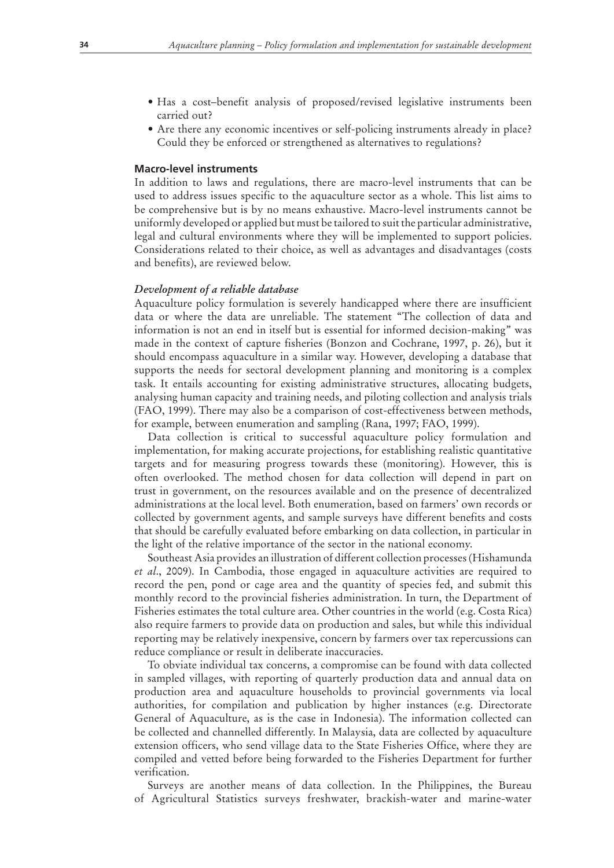- Has a cost-benefit analysis of proposed/revised legislative instruments been carried out?
- Are there any economic incentives or self-policing instruments already in place? Could they be enforced or strengthened as alternatives to regulations?

## **Macro-level instruments**

In addition to laws and regulations, there are macro-level instruments that can be used to address issues specific to the aquaculture sector as a whole. This list aims to be comprehensive but is by no means exhaustive. Macro-level instruments cannot be uniformly developed or applied but must be tailored to suit the particular administrative, legal and cultural environments where they will be implemented to support policies. Considerations related to their choice, as well as advantages and disadvantages (costs and benefits), are reviewed below.

## *Development of a reliable database*

Aquaculture policy formulation is severely handicapped where there are insufficient data or where the data are unreliable. The statement "The collection of data and information is not an end in itself but is essential for informed decision-making" was made in the context of capture fisheries (Bonzon and Cochrane, 1997, p. 26), but it should encompass aquaculture in a similar way. However, developing a database that supports the needs for sectoral development planning and monitoring is a complex task. It entails accounting for existing administrative structures, allocating budgets, analysing human capacity and training needs, and piloting collection and analysis trials (FAO, 1999). There may also be a comparison of cost-effectiveness between methods, for example, between enumeration and sampling (Rana, 1997; FAO, 1999).

Data collection is critical to successful aquaculture policy formulation and implementation, for making accurate projections, for establishing realistic quantitative targets and for measuring progress towards these (monitoring). However, this is often overlooked. The method chosen for data collection will depend in part on trust in government, on the resources available and on the presence of decentralized administrations at the local level. Both enumeration, based on farmers' own records or collected by government agents, and sample surveys have different benefits and costs that should be carefully evaluated before embarking on data collection, in particular in the light of the relative importance of the sector in the national economy.

Southeast Asia provides an illustration of different collection processes (Hishamunda *et al*., 2009). In Cambodia, those engaged in aquaculture activities are required to record the pen, pond or cage area and the quantity of species fed, and submit this monthly record to the provincial fisheries administration. In turn, the Department of Fisheries estimates the total culture area. Other countries in the world (e.g. Costa Rica) also require farmers to provide data on production and sales, but while this individual reporting may be relatively inexpensive, concern by farmers over tax repercussions can reduce compliance or result in deliberate inaccuracies.

To obviate individual tax concerns, a compromise can be found with data collected in sampled villages, with reporting of quarterly production data and annual data on production area and aquaculture households to provincial governments via local authorities, for compilation and publication by higher instances (e.g. Directorate General of Aquaculture, as is the case in Indonesia). The information collected can be collected and channelled differently. In Malaysia, data are collected by aquaculture extension officers, who send village data to the State Fisheries Office, where they are compiled and vetted before being forwarded to the Fisheries Department for further verification.

Surveys are another means of data collection. In the Philippines, the Bureau of Agricultural Statistics surveys freshwater, brackish-water and marine-water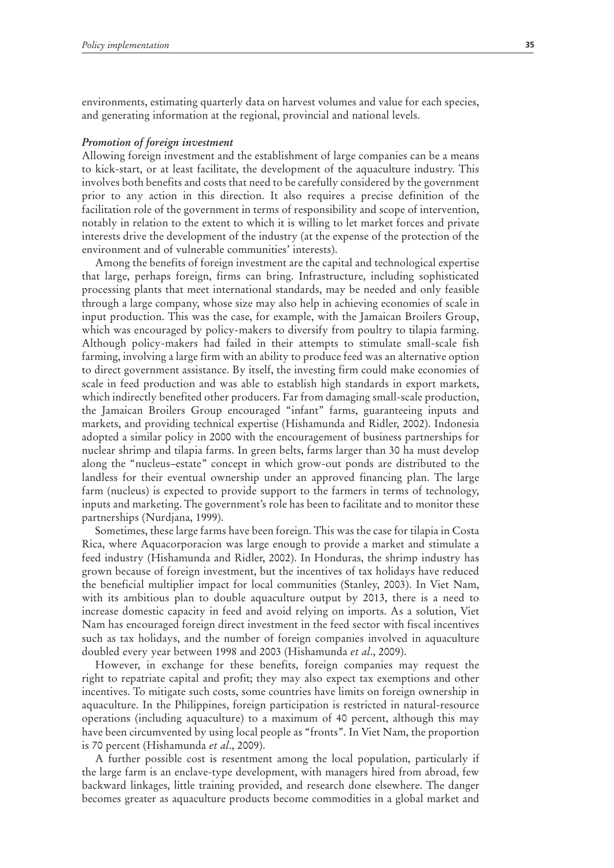environments, estimating quarterly data on harvest volumes and value for each species, and generating information at the regional, provincial and national levels.

#### *Promotion of foreign investment*

Allowing foreign investment and the establishment of large companies can be a means to kick-start, or at least facilitate, the development of the aquaculture industry. This involves both benefits and costs that need to be carefully considered by the government prior to any action in this direction. It also requires a precise definition of the facilitation role of the government in terms of responsibility and scope of intervention, notably in relation to the extent to which it is willing to let market forces and private interests drive the development of the industry (at the expense of the protection of the environment and of vulnerable communities' interests).

Among the benefits of foreign investment are the capital and technological expertise that large, perhaps foreign, firms can bring. Infrastructure, including sophisticated processing plants that meet international standards, may be needed and only feasible through a large company, whose size may also help in achieving economies of scale in input production. This was the case, for example, with the Jamaican Broilers Group, which was encouraged by policy-makers to diversify from poultry to tilapia farming. Although policy-makers had failed in their attempts to stimulate small-scale fish farming, involving a large firm with an ability to produce feed was an alternative option to direct government assistance. By itself, the investing firm could make economies of scale in feed production and was able to establish high standards in export markets, which indirectly benefited other producers. Far from damaging small-scale production, the Jamaican Broilers Group encouraged "infant" farms, guaranteeing inputs and markets, and providing technical expertise (Hishamunda and Ridler, 2002). Indonesia adopted a similar policy in 2000 with the encouragement of business partnerships for nuclear shrimp and tilapia farms. In green belts, farms larger than 30 ha must develop along the "nucleus–estate" concept in which grow-out ponds are distributed to the landless for their eventual ownership under an approved financing plan. The large farm (nucleus) is expected to provide support to the farmers in terms of technology, inputs and marketing. The government's role has been to facilitate and to monitor these partnerships (Nurdjana, 1999).

Sometimes, these large farms have been foreign. This was the case for tilapia in Costa Rica, where Aquacorporacion was large enough to provide a market and stimulate a feed industry (Hishamunda and Ridler, 2002). In Honduras, the shrimp industry has grown because of foreign investment, but the incentives of tax holidays have reduced the beneficial multiplier impact for local communities (Stanley, 2003). In Viet Nam, with its ambitious plan to double aquaculture output by 2013, there is a need to increase domestic capacity in feed and avoid relying on imports. As a solution, Viet Nam has encouraged foreign direct investment in the feed sector with fiscal incentives such as tax holidays, and the number of foreign companies involved in aquaculture doubled every year between 1998 and 2003 (Hishamunda *et al*., 2009).

However, in exchange for these benefits, foreign companies may request the right to repatriate capital and profit; they may also expect tax exemptions and other incentives. To mitigate such costs, some countries have limits on foreign ownership in aquaculture. In the Philippines, foreign participation is restricted in natural-resource operations (including aquaculture) to a maximum of 40 percent, although this may have been circumvented by using local people as "fronts". In Viet Nam, the proportion is 70 percent (Hishamunda *et al*., 2009).

A further possible cost is resentment among the local population, particularly if the large farm is an enclave-type development, with managers hired from abroad, few backward linkages, little training provided, and research done elsewhere. The danger becomes greater as aquaculture products become commodities in a global market and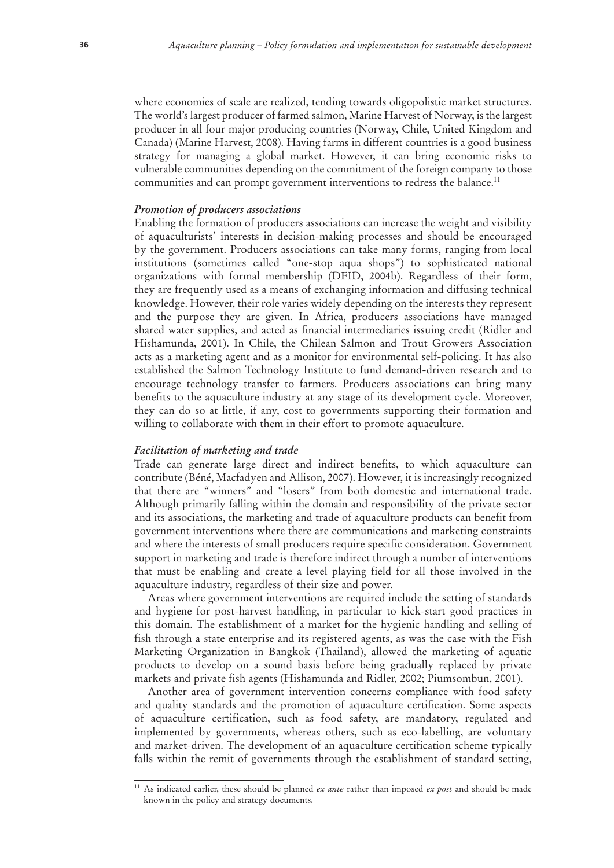where economies of scale are realized, tending towards oligopolistic market structures. The world's largest producer of farmed salmon, Marine Harvest of Norway, is the largest producer in all four major producing countries (Norway, Chile, United Kingdom and Canada) (Marine Harvest, 2008). Having farms in different countries is a good business strategy for managing a global market. However, it can bring economic risks to vulnerable communities depending on the commitment of the foreign company to those communities and can prompt government interventions to redress the balance.<sup>11</sup>

### *Promotion of producers associations*

Enabling the formation of producers associations can increase the weight and visibility of aquaculturists' interests in decision-making processes and should be encouraged by the government. Producers associations can take many forms, ranging from local institutions (sometimes called "one-stop aqua shops") to sophisticated national organizations with formal membership (DFID, 2004b). Regardless of their form, they are frequently used as a means of exchanging information and diffusing technical knowledge. However, their role varies widely depending on the interests they represent and the purpose they are given. In Africa, producers associations have managed shared water supplies, and acted as financial intermediaries issuing credit (Ridler and Hishamunda, 2001). In Chile, the Chilean Salmon and Trout Growers Association acts as a marketing agent and as a monitor for environmental self-policing. It has also established the Salmon Technology Institute to fund demand-driven research and to encourage technology transfer to farmers. Producers associations can bring many benefits to the aquaculture industry at any stage of its development cycle. Moreover, they can do so at little, if any, cost to governments supporting their formation and willing to collaborate with them in their effort to promote aquaculture.

## *Facilitation of marketing and trade*

Trade can generate large direct and indirect benefits, to which aquaculture can contribute (Béné, Macfadyen and Allison, 2007). However, it is increasingly recognized that there are "winners" and "losers" from both domestic and international trade. Although primarily falling within the domain and responsibility of the private sector and its associations, the marketing and trade of aquaculture products can benefit from government interventions where there are communications and marketing constraints and where the interests of small producers require specific consideration. Government support in marketing and trade is therefore indirect through a number of interventions that must be enabling and create a level playing field for all those involved in the aquaculture industry, regardless of their size and power.

Areas where government interventions are required include the setting of standards and hygiene for post-harvest handling, in particular to kick-start good practices in this domain. The establishment of a market for the hygienic handling and selling of fish through a state enterprise and its registered agents, as was the case with the Fish Marketing Organization in Bangkok (Thailand), allowed the marketing of aquatic products to develop on a sound basis before being gradually replaced by private markets and private fish agents (Hishamunda and Ridler, 2002; Piumsombun, 2001).

Another area of government intervention concerns compliance with food safety and quality standards and the promotion of aquaculture certification. Some aspects of aquaculture certification, such as food safety, are mandatory, regulated and implemented by governments, whereas others, such as eco-labelling, are voluntary and market-driven. The development of an aquaculture certification scheme typically falls within the remit of governments through the establishment of standard setting,

<sup>11</sup> As indicated earlier, these should be planned *ex ante* rather than imposed *ex post* and should be made known in the policy and strategy documents.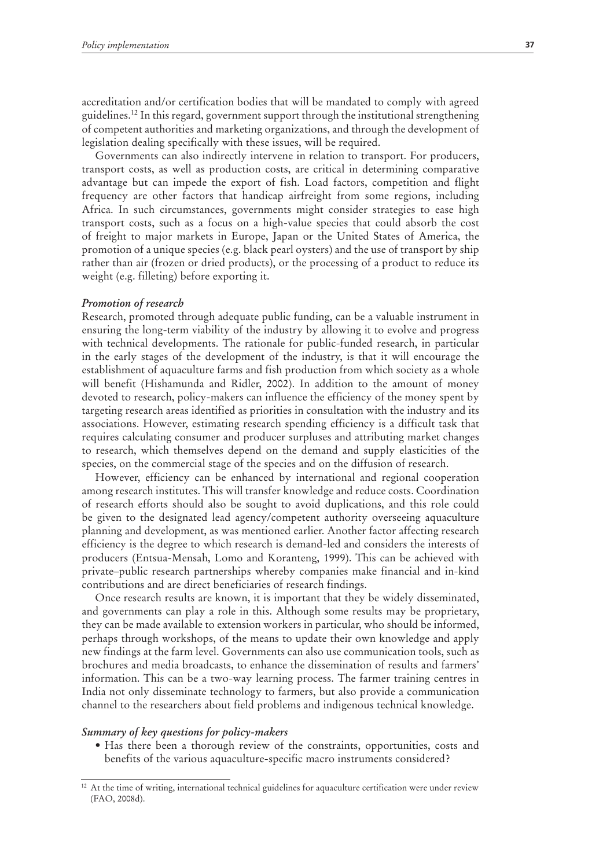accreditation and/or certification bodies that will be mandated to comply with agreed guidelines.12 In this regard, government support through the institutional strengthening of competent authorities and marketing organizations, and through the development of legislation dealing specifically with these issues, will be required.

Governments can also indirectly intervene in relation to transport. For producers, transport costs, as well as production costs, are critical in determining comparative advantage but can impede the export of fish. Load factors, competition and flight frequency are other factors that handicap airfreight from some regions, including Africa. In such circumstances, governments might consider strategies to ease high transport costs, such as a focus on a high-value species that could absorb the cost of freight to major markets in Europe, Japan or the United States of America, the promotion of a unique species (e.g. black pearl oysters) and the use of transport by ship rather than air (frozen or dried products), or the processing of a product to reduce its weight (e.g. filleting) before exporting it.

#### *Promotion of research*

Research, promoted through adequate public funding, can be a valuable instrument in ensuring the long-term viability of the industry by allowing it to evolve and progress with technical developments. The rationale for public-funded research, in particular in the early stages of the development of the industry, is that it will encourage the establishment of aquaculture farms and fish production from which society as a whole will benefit (Hishamunda and Ridler, 2002). In addition to the amount of money devoted to research, policy-makers can influence the efficiency of the money spent by targeting research areas identified as priorities in consultation with the industry and its associations. However, estimating research spending efficiency is a difficult task that requires calculating consumer and producer surpluses and attributing market changes to research, which themselves depend on the demand and supply elasticities of the species, on the commercial stage of the species and on the diffusion of research.

However, efficiency can be enhanced by international and regional cooperation among research institutes. This will transfer knowledge and reduce costs. Coordination of research efforts should also be sought to avoid duplications, and this role could be given to the designated lead agency/competent authority overseeing aquaculture planning and development, as was mentioned earlier. Another factor affecting research efficiency is the degree to which research is demand-led and considers the interests of producers (Entsua-Mensah, Lomo and Koranteng, 1999). This can be achieved with private–public research partnerships whereby companies make financial and in-kind contributions and are direct beneficiaries of research findings.

Once research results are known, it is important that they be widely disseminated, and governments can play a role in this. Although some results may be proprietary, they can be made available to extension workers in particular, who should be informed, perhaps through workshops, of the means to update their own knowledge and apply new findings at the farm level. Governments can also use communication tools, such as brochures and media broadcasts, to enhance the dissemination of results and farmers' information. This can be a two-way learning process. The farmer training centres in India not only disseminate technology to farmers, but also provide a communication channel to the researchers about field problems and indigenous technical knowledge.

#### *Summary of key questions for policy-makers*

• Has there been a thorough review of the constraints, opportunities, costs and benefits of the various aquaculture-specific macro instruments considered?

 $12$  At the time of writing, international technical guidelines for aquaculture certification were under review (FAO, 2008d).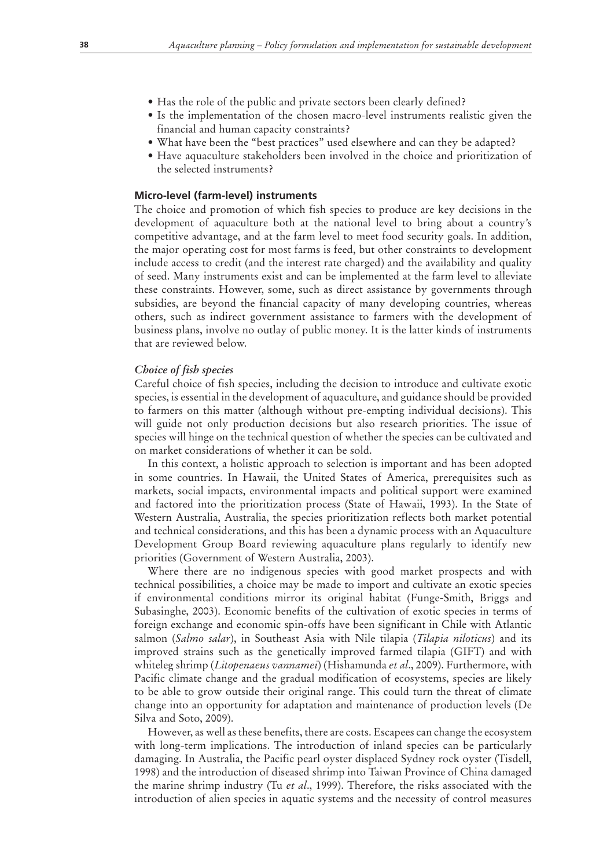- Has the role of the public and private sectors been clearly defined?
- Is the implementation of the chosen macro-level instruments realistic given the financial and human capacity constraints?
- What have been the "best practices" used elsewhere and can they be adapted?
- Have aquaculture stakeholders been involved in the choice and prioritization of the selected instruments?

## **Micro-level (farm-level) instruments**

The choice and promotion of which fish species to produce are key decisions in the development of aquaculture both at the national level to bring about a country's competitive advantage, and at the farm level to meet food security goals. In addition, the major operating cost for most farms is feed, but other constraints to development include access to credit (and the interest rate charged) and the availability and quality of seed. Many instruments exist and can be implemented at the farm level to alleviate these constraints. However, some, such as direct assistance by governments through subsidies, are beyond the financial capacity of many developing countries, whereas others, such as indirect government assistance to farmers with the development of business plans, involve no outlay of public money. It is the latter kinds of instruments that are reviewed below.

## *Choice of fish species*

Careful choice of fish species, including the decision to introduce and cultivate exotic species, is essential in the development of aquaculture, and guidance should be provided to farmers on this matter (although without pre-empting individual decisions). This will guide not only production decisions but also research priorities. The issue of species will hinge on the technical question of whether the species can be cultivated and on market considerations of whether it can be sold.

In this context, a holistic approach to selection is important and has been adopted in some countries. In Hawaii, the United States of America, prerequisites such as markets, social impacts, environmental impacts and political support were examined and factored into the prioritization process (State of Hawaii, 1993). In the State of Western Australia, Australia, the species prioritization reflects both market potential and technical considerations, and this has been a dynamic process with an Aquaculture Development Group Board reviewing aquaculture plans regularly to identify new priorities (Government of Western Australia, 2003).

Where there are no indigenous species with good market prospects and with technical possibilities, a choice may be made to import and cultivate an exotic species if environmental conditions mirror its original habitat (Funge-Smith, Briggs and Subasinghe, 2003). Economic benefits of the cultivation of exotic species in terms of foreign exchange and economic spin-offs have been significant in Chile with Atlantic salmon (*Salmo salar*), in Southeast Asia with Nile tilapia (*Tilapia niloticus*) and its improved strains such as the genetically improved farmed tilapia (GIFT) and with whiteleg shrimp (*Litopenaeus vannamei*) (Hishamunda *et al*., 2009). Furthermore, with Pacific climate change and the gradual modification of ecosystems, species are likely to be able to grow outside their original range. This could turn the threat of climate change into an opportunity for adaptation and maintenance of production levels (De Silva and Soto, 2009).

However, as well as these benefits, there are costs. Escapees can change the ecosystem with long-term implications. The introduction of inland species can be particularly damaging. In Australia, the Pacific pearl oyster displaced Sydney rock oyster (Tisdell, 1998) and the introduction of diseased shrimp into Taiwan Province of China damaged the marine shrimp industry (Tu *et al*., 1999). Therefore, the risks associated with the introduction of alien species in aquatic systems and the necessity of control measures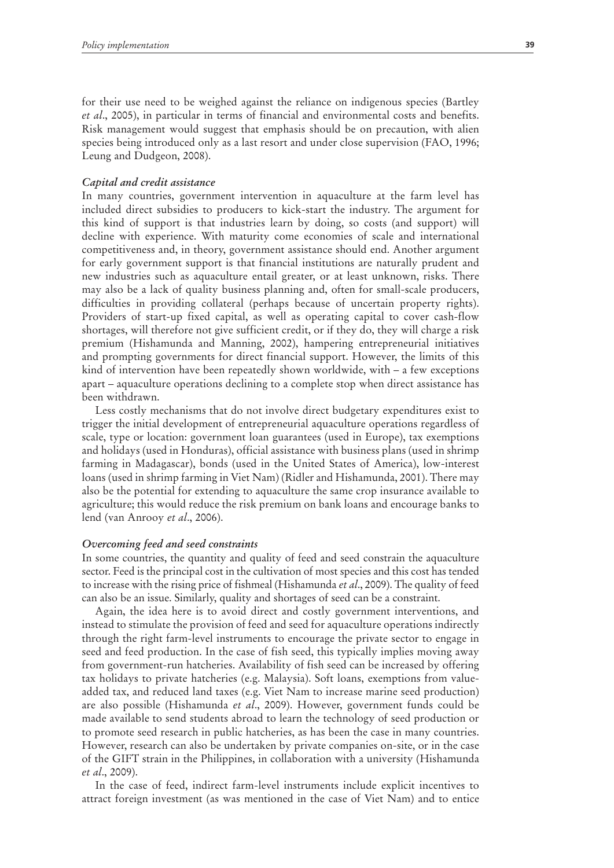for their use need to be weighed against the reliance on indigenous species (Bartley *et al*., 2005), in particular in terms of financial and environmental costs and benefits. Risk management would suggest that emphasis should be on precaution, with alien species being introduced only as a last resort and under close supervision (FAO, 1996; Leung and Dudgeon, 2008).

#### *Capital and credit assistance*

In many countries, government intervention in aquaculture at the farm level has included direct subsidies to producers to kick-start the industry. The argument for this kind of support is that industries learn by doing, so costs (and support) will decline with experience. With maturity come economies of scale and international competitiveness and, in theory, government assistance should end. Another argument for early government support is that financial institutions are naturally prudent and new industries such as aquaculture entail greater, or at least unknown, risks. There may also be a lack of quality business planning and, often for small-scale producers, difficulties in providing collateral (perhaps because of uncertain property rights). Providers of start-up fixed capital, as well as operating capital to cover cash-flow shortages, will therefore not give sufficient credit, or if they do, they will charge a risk premium (Hishamunda and Manning, 2002), hampering entrepreneurial initiatives and prompting governments for direct financial support. However, the limits of this kind of intervention have been repeatedly shown worldwide, with – a few exceptions apart – aquaculture operations declining to a complete stop when direct assistance has been withdrawn.

Less costly mechanisms that do not involve direct budgetary expenditures exist to trigger the initial development of entrepreneurial aquaculture operations regardless of scale, type or location: government loan guarantees (used in Europe), tax exemptions and holidays (used in Honduras), official assistance with business plans (used in shrimp farming in Madagascar), bonds (used in the United States of America), low-interest loans (used in shrimp farming in Viet Nam) (Ridler and Hishamunda, 2001). There may also be the potential for extending to aquaculture the same crop insurance available to agriculture; this would reduce the risk premium on bank loans and encourage banks to lend (van Anrooy *et al*., 2006).

#### *Overcoming feed and seed constraints*

In some countries, the quantity and quality of feed and seed constrain the aquaculture sector. Feed is the principal cost in the cultivation of most species and this cost has tended to increase with the rising price of fishmeal (Hishamunda *et al*., 2009). The quality of feed can also be an issue. Similarly, quality and shortages of seed can be a constraint.

Again, the idea here is to avoid direct and costly government interventions, and instead to stimulate the provision of feed and seed for aquaculture operations indirectly through the right farm-level instruments to encourage the private sector to engage in seed and feed production. In the case of fish seed, this typically implies moving away from government-run hatcheries. Availability of fish seed can be increased by offering tax holidays to private hatcheries (e.g. Malaysia). Soft loans, exemptions from valueadded tax, and reduced land taxes (e.g. Viet Nam to increase marine seed production) are also possible (Hishamunda *et al*., 2009). However, government funds could be made available to send students abroad to learn the technology of seed production or to promote seed research in public hatcheries, as has been the case in many countries. However, research can also be undertaken by private companies on-site, or in the case of the GIFT strain in the Philippines, in collaboration with a university (Hishamunda *et al*., 2009).

In the case of feed, indirect farm-level instruments include explicit incentives to attract foreign investment (as was mentioned in the case of Viet Nam) and to entice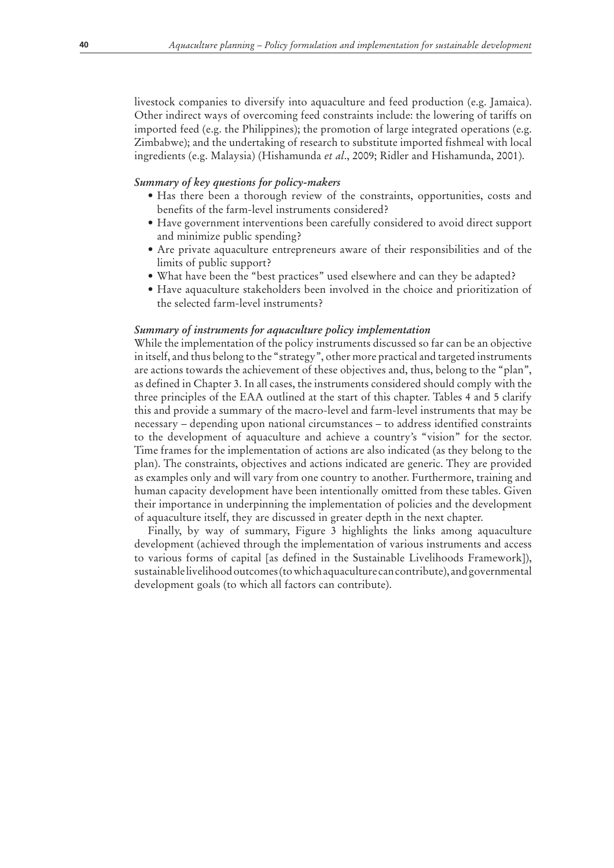livestock companies to diversify into aquaculture and feed production (e.g. Jamaica). Other indirect ways of overcoming feed constraints include: the lowering of tariffs on imported feed (e.g. the Philippines); the promotion of large integrated operations (e.g. Zimbabwe); and the undertaking of research to substitute imported fishmeal with local ingredients (e.g. Malaysia) (Hishamunda *et al*., 2009; Ridler and Hishamunda, 2001).

## *Summary of key questions for policy-makers*

- Has there been a thorough review of the constraints, opportunities, costs and benefits of the farm-level instruments considered?
- Have government interventions been carefully considered to avoid direct support and minimize public spending?
- Are private aquaculture entrepreneurs aware of their responsibilities and of the limits of public support?
- What have been the "best practices" used elsewhere and can they be adapted?
- Have aquaculture stakeholders been involved in the choice and prioritization of the selected farm-level instruments?

#### *Summary of instruments for aquaculture policy implementation*

While the implementation of the policy instruments discussed so far can be an objective in itself, and thus belong to the "strategy", other more practical and targeted instruments are actions towards the achievement of these objectives and, thus, belong to the "plan", as defined in Chapter 3. In all cases, the instruments considered should comply with the three principles of the EAA outlined at the start of this chapter. Tables 4 and 5 clarify this and provide a summary of the macro-level and farm-level instruments that may be necessary – depending upon national circumstances – to address identified constraints to the development of aquaculture and achieve a country's "vision" for the sector. Time frames for the implementation of actions are also indicated (as they belong to the plan). The constraints, objectives and actions indicated are generic. They are provided as examples only and will vary from one country to another. Furthermore, training and human capacity development have been intentionally omitted from these tables. Given their importance in underpinning the implementation of policies and the development of aquaculture itself, they are discussed in greater depth in the next chapter.

Finally, by way of summary, Figure 3 highlights the links among aquaculture development (achieved through the implementation of various instruments and access to various forms of capital [as defined in the Sustainable Livelihoods Framework]), sustainable livelihood outcomes (to which aquaculture can contribute), and governmental development goals (to which all factors can contribute).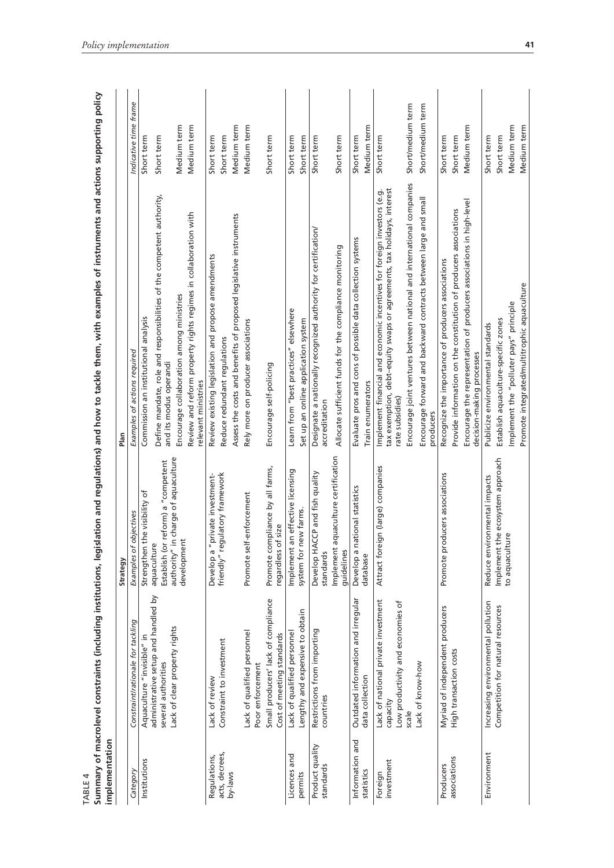| implementation               |                                                                                      | Strategy                                               | Plan                                                                                                                                                                 |                       |
|------------------------------|--------------------------------------------------------------------------------------|--------------------------------------------------------|----------------------------------------------------------------------------------------------------------------------------------------------------------------------|-----------------------|
| Category                     | Constraint/rationale for tackling                                                    | Examples of objectives                                 | Examples of actions required                                                                                                                                         | Indicative time frame |
| Institutions                 | Aquaculture "invisible" in                                                           | Strengthen the visibility of                           | Commission an institutional analysis                                                                                                                                 | Short term            |
|                              | administrative setup and handled by<br>several authorities                           | Establish (or reform) a "competent<br>aquaculture      | Define mandate, role and responsibilities of the competent authority,<br>and its modus operandi                                                                      | Short term            |
|                              | Lack of clear property rights                                                        | authority" in charge of aquaculture<br>development     | Encourage collaboration among ministries                                                                                                                             | Medium term           |
|                              |                                                                                      |                                                        | Review and reform property rights regimes in collaboration with<br>relevant ministries                                                                               | Medium term           |
| Regulations,                 | Lack of review                                                                       | "private investment-<br>Develop a                      | Review existing legislation and propose amendments                                                                                                                   | Short term            |
| acts, decrees,               | Constraint to investment                                                             | friendly" regulatory framework                         | Reduce redundant regulations                                                                                                                                         | Short term            |
| by-laws                      |                                                                                      |                                                        | Assess the costs and benefits of proposed legislative instruments                                                                                                    | Medium term           |
|                              | Lack of qualified personnel<br>Poor enforcement                                      | Promote self-enforcement                               | Rely more on producer associations                                                                                                                                   | Medium term           |
|                              | Small producers' lack of compliance<br>Cost of meeting standards                     | Promote compliance by all farms,<br>regardless of size | Encourage self-policing                                                                                                                                              | Short term            |
| Licences and                 | Lack of qualified personnel                                                          | an effective licensing<br>Implement                    | Learn from "best practices" elsewhere                                                                                                                                | Short term            |
| permits                      | Lengthy and expensive to obtain                                                      | new farms.<br>system for                               | Set up an online application system                                                                                                                                  | Short term            |
| Product quality<br>standards | Restrictions from importing<br>countries                                             | Develop HACCP and fish quality<br>standards            | Designate a nationally recognized authority for certification/<br>accreditation                                                                                      | Short term            |
|                              |                                                                                      | aquaculture certification<br>Implement<br>guidelines   | Allocate sufficient funds for the compliance monitoring                                                                                                              | Short term            |
| Information and              | Outdated information and irregular                                                   | national statistics<br>Develop a                       | Evaluate pros and cons of possible data collection systems                                                                                                           | Short term            |
| statistics                   | data collection                                                                      | database                                               | Train enumerators                                                                                                                                                    | Medium term           |
| investment<br>Foreign        | Lack of national private investment<br>Low productivity and economies of<br>capacity | Attract foreign (large) companies                      | tax exemption, debt-equity swaps or agreements, tax holidays, interest<br>Implement financial and economic incentives for foreign investors (e.g.<br>rate subsidies) | Short term            |
|                              | scale                                                                                |                                                        | Encourage joint ventures between national and international companies                                                                                                | Short/medium term     |
|                              | Lack of know-how                                                                     |                                                        | Encourage forward and backward contracts between large and small<br>producers                                                                                        | Short/medium term     |
| Producers                    | Myriad of independent producers                                                      | Promote producers associations                         | Recognize the importance of producers associations                                                                                                                   | Short term            |
| associations                 | High transaction costs                                                               |                                                        | Provide information on the constitution of producers associations                                                                                                    | Short term            |
|                              |                                                                                      |                                                        | Encourage the representation of producers associations in high-level<br>decision-making processes                                                                    | Medium term           |
| Environment                  | Increasing environmental pollution                                                   | Reduce environmental impacts                           | Publicize environmental standards                                                                                                                                    | Short term            |
|                              | Competition for natural resources                                                    | the ecosystem approach<br>Implement                    | Establish aquaculture-specific zones                                                                                                                                 | Short term            |
|                              |                                                                                      | to aquaculture                                         | Implement the "polluter pays" principle                                                                                                                              | Medium term           |
|                              |                                                                                      |                                                        | Promote integrated/multitrophic aquaculture                                                                                                                          | Medium term           |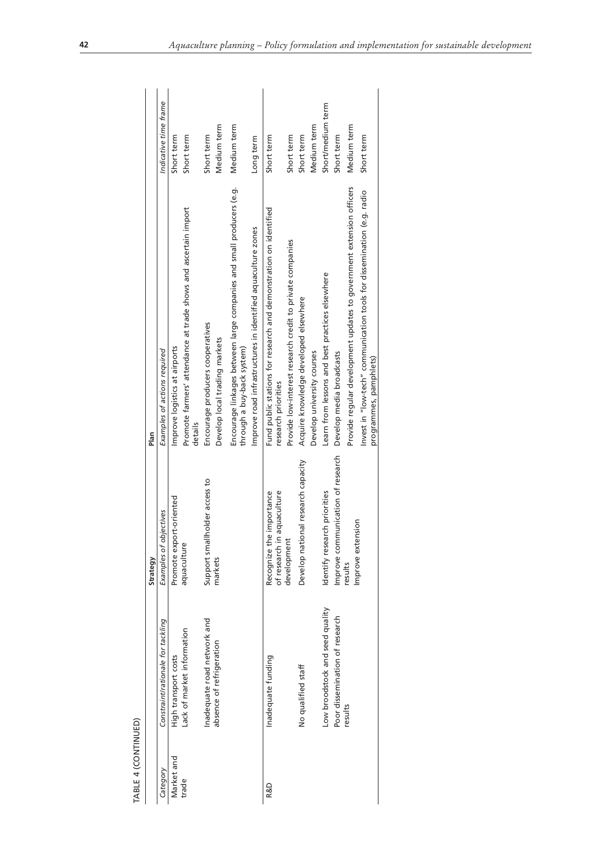| TABLE 4 (CONTINUED) |                                   |                                                                  |                                                                                                    |                       |
|---------------------|-----------------------------------|------------------------------------------------------------------|----------------------------------------------------------------------------------------------------|-----------------------|
|                     |                                   | Strategy                                                         | Plan                                                                                               |                       |
| Category            | Constraint/rationale for tackling | Examples of objectives                                           | Examples of actions required                                                                       | Indicative time frame |
| Market and          | High transport costs              | Promote export-oriented                                          | Improve logistics at airports                                                                      | Short term            |
| trade               | Lack of market information        | aquaculture                                                      | Promote farmers' attendance at trade shows and ascertain import<br>details                         | Short term            |
|                     | Inadequate road network and       | Support smallholder access to                                    | Encourage producers cooperatives                                                                   | Short term            |
|                     | absence of refrigeration          | markets                                                          | Develop local trading markets                                                                      | Medium term           |
|                     |                                   |                                                                  | Encourage linkages between large companies and small producers (e.g.<br>through a buy-back system) | Medium term           |
|                     |                                   |                                                                  | Improve road infrastructures in identified aquaculture zones                                       | Long term             |
| R&D                 | Inadequate funding                | in aquaculture<br>he importance<br>Recognize th<br>of research i | Fund public stations for research and demonstration on identified<br>research priorities           | Short term            |
|                     |                                   | developmen <sup>t</sup>                                          | Provide low-interest research credit to private companies                                          | Short term            |
|                     | No qualified staff                | Develop national research capacity                               | Acquire knowledge developed elsewhere                                                              | Short term            |
|                     |                                   |                                                                  | Develop university courses                                                                         | Medium term           |
|                     | Low broodstock and seed quality   | Identify research priorities                                     | Learn from lessons and best practices elsewhere                                                    | Short/medium term     |
|                     | Poor dissemination of research    | Improve communication of research                                | Develop media broadcasts                                                                           | Short term            |
|                     | results                           | Improve extension<br>results                                     | Provide regular development updates to government extension officers                               | Medium term           |
|                     |                                   |                                                                  | Invest in "low-tech" communication tools for dissemination (e.g. radio<br>programmes, pamphlets)   | Short term            |
|                     |                                   |                                                                  |                                                                                                    |                       |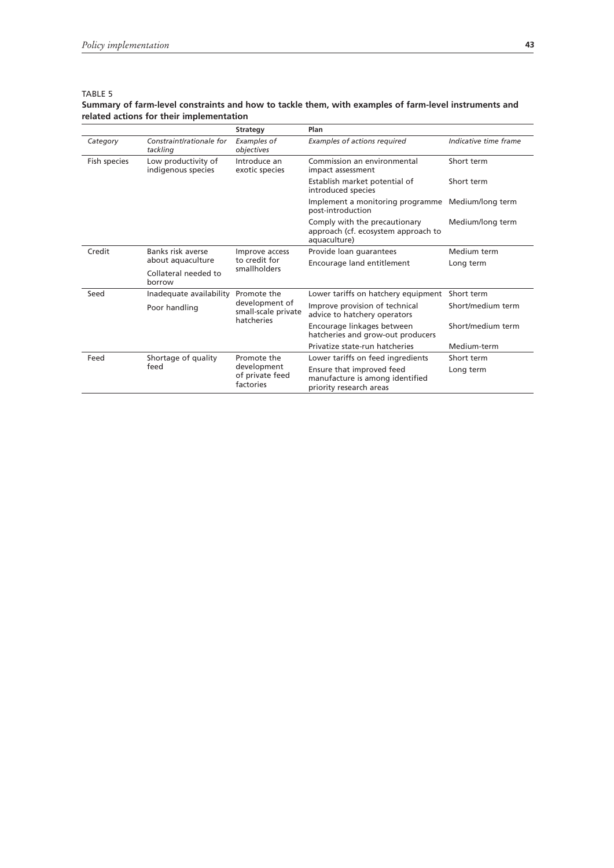## TABLE 5

## **Summary of farm-level constraints and how to tackle them, with examples of farm-level instruments and related actions for their implementation**

|              |                                           | <b>Strategy</b>                                     | Plan                                                                                    |                       |
|--------------|-------------------------------------------|-----------------------------------------------------|-----------------------------------------------------------------------------------------|-----------------------|
| Category     | Constraint/rationale for<br>tackling      | Examples of<br>objectives                           | Examples of actions required                                                            | Indicative time frame |
| Fish species | Low productivity of<br>indigenous species | Introduce an<br>exotic species                      | Commission an environmental<br>impact assessment                                        | Short term            |
|              |                                           |                                                     | Establish market potential of<br>introduced species                                     | Short term            |
|              |                                           |                                                     | Implement a monitoring programme<br>post-introduction                                   | Medium/long term      |
|              |                                           |                                                     | Comply with the precautionary<br>approach (cf. ecosystem approach to<br>aquaculture)    | Medium/long term      |
| Credit       | Banks risk averse                         | Improve access                                      | Provide loan guarantees                                                                 | Medium term           |
|              | about aquaculture                         | to credit for<br>smallholders                       | Encourage land entitlement                                                              | Long term             |
|              | Collateral needed to<br>borrow            |                                                     |                                                                                         |                       |
| Seed         | Inadequate availability                   | Promote the                                         | Lower tariffs on hatchery equipment                                                     | Short term            |
|              | Poor handling                             | development of<br>small-scale private<br>hatcheries | Improve provision of technical<br>advice to hatchery operators                          | Short/medium term     |
|              |                                           |                                                     | Encourage linkages between<br>hatcheries and grow-out producers                         | Short/medium term     |
|              |                                           |                                                     | Privatize state-run hatcheries                                                          | Medium-term           |
| Feed         | Shortage of quality                       | Promote the                                         | Lower tariffs on feed ingredients                                                       | Short term            |
|              | feed                                      | development<br>of private feed<br>factories         | Ensure that improved feed<br>manufacture is among identified<br>priority research areas | Long term             |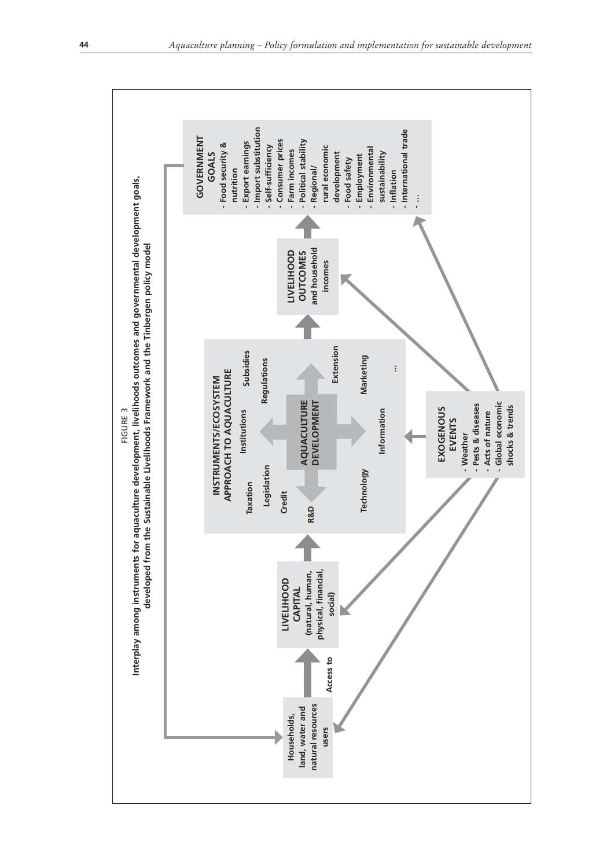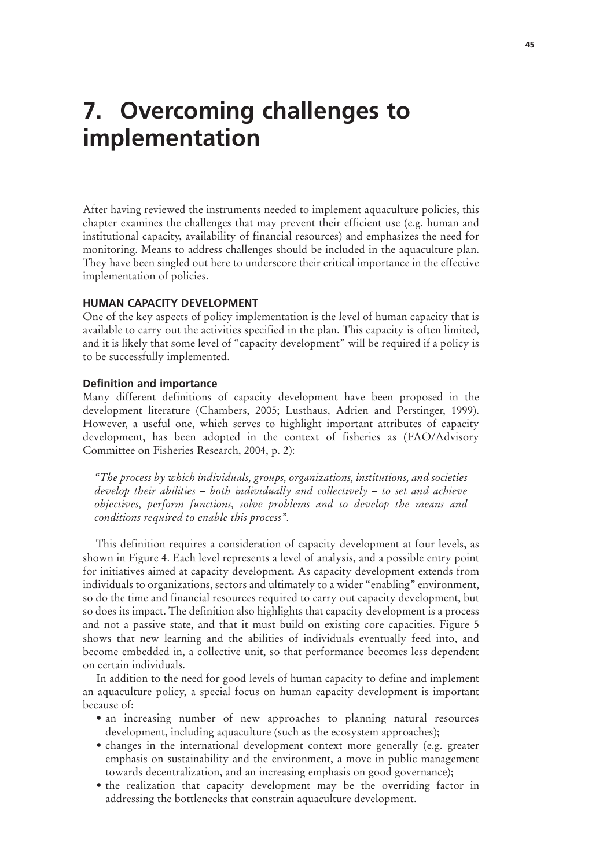# **7. Overcoming challenges to implementation**

After having reviewed the instruments needed to implement aquaculture policies, this chapter examines the challenges that may prevent their efficient use (e.g. human and institutional capacity, availability of financial resources) and emphasizes the need for monitoring. Means to address challenges should be included in the aquaculture plan. They have been singled out here to underscore their critical importance in the effective implementation of policies.

## **HUMAN CAPACITY DEVELOPMENT**

One of the key aspects of policy implementation is the level of human capacity that is available to carry out the activities specified in the plan. This capacity is often limited, and it is likely that some level of "capacity development" will be required if a policy is to be successfully implemented.

#### **Definition and importance**

Many different definitions of capacity development have been proposed in the development literature (Chambers, 2005; Lusthaus, Adrien and Perstinger, 1999). However, a useful one, which serves to highlight important attributes of capacity development, has been adopted in the context of fisheries as (FAO/Advisory Committee on Fisheries Research, 2004, p. 2):

*"The process by which individuals, groups, organizations, institutions, and societies develop their abilities – both individually and collectively – to set and achieve objectives, perform functions, solve problems and to develop the means and conditions required to enable this process".*

This definition requires a consideration of capacity development at four levels, as shown in Figure 4. Each level represents a level of analysis, and a possible entry point for initiatives aimed at capacity development. As capacity development extends from individuals to organizations, sectors and ultimately to a wider "enabling" environment, so do the time and financial resources required to carry out capacity development, but so does its impact. The definition also highlights that capacity development is a process and not a passive state, and that it must build on existing core capacities. Figure 5 shows that new learning and the abilities of individuals eventually feed into, and become embedded in, a collective unit, so that performance becomes less dependent on certain individuals.

In addition to the need for good levels of human capacity to define and implement an aquaculture policy, a special focus on human capacity development is important because of:

- an increasing number of new approaches to planning natural resources development, including aquaculture (such as the ecosystem approaches);
- changes in the international development context more generally (e.g. greater emphasis on sustainability and the environment, a move in public management towards decentralization, and an increasing emphasis on good governance);
- the realization that capacity development may be the overriding factor in addressing the bottlenecks that constrain aquaculture development.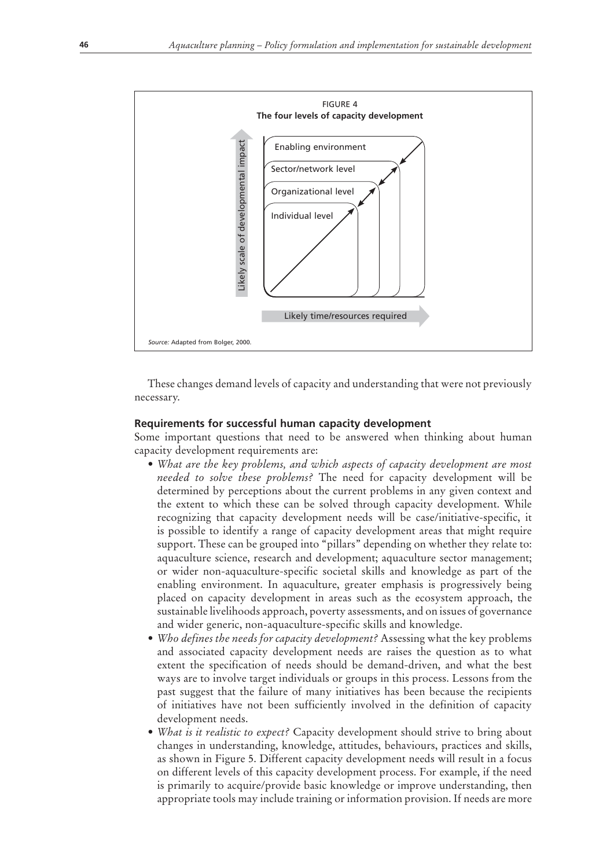

These changes demand levels of capacity and understanding that were not previously necessary.

## **Requirements for successful human capacity development**

Some important questions that need to be answered when thinking about human capacity development requirements are:

- *rWhat are the key problems, and which aspects of capacity development are most needed to solve these problems?* The need for capacity development will be determined by perceptions about the current problems in any given context and the extent to which these can be solved through capacity development. While recognizing that capacity development needs will be case/initiative-specific, it is possible to identify a range of capacity development areas that might require support. These can be grouped into "pillars" depending on whether they relate to: aquaculture science, research and development; aquaculture sector management; or wider non-aquaculture-specific societal skills and knowledge as part of the enabling environment. In aquaculture, greater emphasis is progressively being placed on capacity development in areas such as the ecosystem approach, the sustainable livelihoods approach, poverty assessments, and on issues of governance and wider generic, non-aquaculture-specific skills and knowledge.
- *Who defines the needs for capacity development?* Assessing what the key problems and associated capacity development needs are raises the question as to what extent the specification of needs should be demand-driven, and what the best ways are to involve target individuals or groups in this process. Lessons from the past suggest that the failure of many initiatives has been because the recipients of initiatives have not been sufficiently involved in the definition of capacity development needs.
- *What is it realistic to expect?* Capacity development should strive to bring about changes in understanding, knowledge, attitudes, behaviours, practices and skills, as shown in Figure 5. Different capacity development needs will result in a focus on different levels of this capacity development process. For example, if the need is primarily to acquire/provide basic knowledge or improve understanding, then appropriate tools may include training or information provision. If needs are more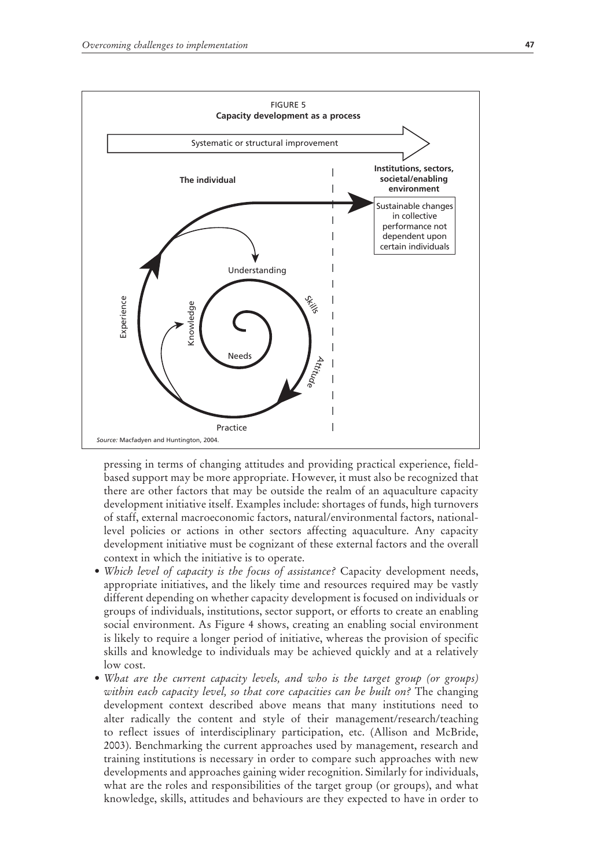

pressing in terms of changing attitudes and providing practical experience, fieldbased support may be more appropriate. However, it must also be recognized that there are other factors that may be outside the realm of an aquaculture capacity development initiative itself. Examples include: shortages of funds, high turnovers of staff, external macroeconomic factors, natural/environmental factors, nationallevel policies or actions in other sectors affecting aquaculture. Any capacity development initiative must be cognizant of these external factors and the overall context in which the initiative is to operate.

- *Which level of capacity is the focus of assistance?* Capacity development needs, appropriate initiatives, and the likely time and resources required may be vastly different depending on whether capacity development is focused on individuals or groups of individuals, institutions, sector support, or efforts to create an enabling social environment. As Figure 4 shows, creating an enabling social environment is likely to require a longer period of initiative, whereas the provision of specific skills and knowledge to individuals may be achieved quickly and at a relatively low cost.
- What are the current capacity levels, and who is the target group (or groups) *within each capacity level, so that core capacities can be built on?* The changing development context described above means that many institutions need to alter radically the content and style of their management/research/teaching to reflect issues of interdisciplinary participation, etc. (Allison and McBride, 2003). Benchmarking the current approaches used by management, research and training institutions is necessary in order to compare such approaches with new developments and approaches gaining wider recognition. Similarly for individuals, what are the roles and responsibilities of the target group (or groups), and what knowledge, skills, attitudes and behaviours are they expected to have in order to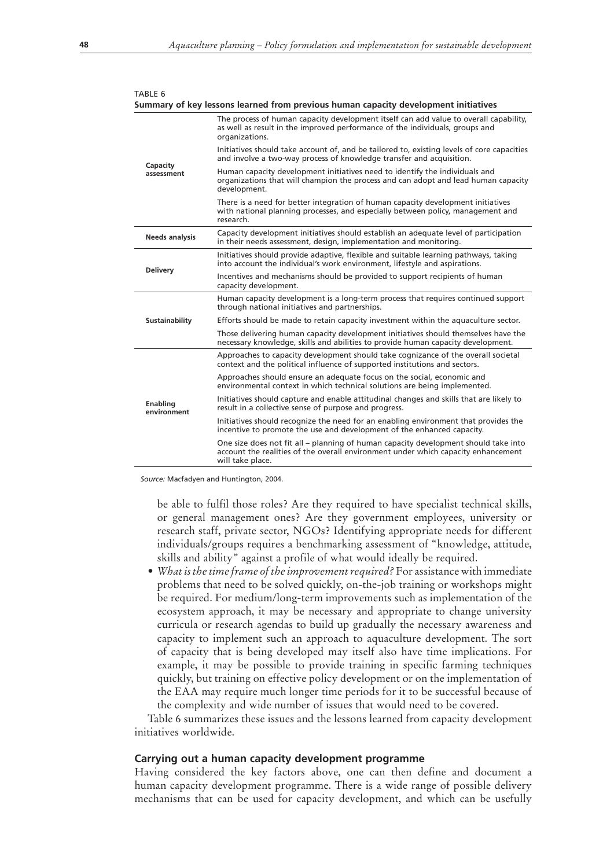| IABLE 6                 | Summary of key lessons learned from previous human capacity development initiatives                                                                                                          |  |  |  |
|-------------------------|----------------------------------------------------------------------------------------------------------------------------------------------------------------------------------------------|--|--|--|
|                         | The process of human capacity development itself can add value to overall capability,<br>as well as result in the improved performance of the individuals, groups and<br>organizations.      |  |  |  |
|                         | Initiatives should take account of, and be tailored to, existing levels of core capacities<br>and involve a two-way process of knowledge transfer and acquisition.                           |  |  |  |
| Capacity<br>assessment  | Human capacity development initiatives need to identify the individuals and<br>organizations that will champion the process and can adopt and lead human capacity<br>development.            |  |  |  |
|                         | There is a need for better integration of human capacity development initiatives<br>with national planning processes, and especially between policy, management and<br>research.             |  |  |  |
| <b>Needs analysis</b>   | Capacity development initiatives should establish an adequate level of participation<br>in their needs assessment, design, implementation and monitoring.                                    |  |  |  |
|                         | Initiatives should provide adaptive, flexible and suitable learning pathways, taking<br>into account the individual's work environment, lifestyle and aspirations.                           |  |  |  |
| <b>Delivery</b>         | Incentives and mechanisms should be provided to support recipients of human<br>capacity development.                                                                                         |  |  |  |
|                         | Human capacity development is a long-term process that requires continued support<br>through national initiatives and partnerships.                                                          |  |  |  |
| Sustainability          | Efforts should be made to retain capacity investment within the aquaculture sector.                                                                                                          |  |  |  |
|                         | Those delivering human capacity development initiatives should themselves have the<br>necessary knowledge, skills and abilities to provide human capacity development.                       |  |  |  |
|                         | Approaches to capacity development should take cognizance of the overall societal<br>context and the political influence of supported institutions and sectors.                              |  |  |  |
|                         | Approaches should ensure an adequate focus on the social, economic and<br>environmental context in which technical solutions are being implemented.                                          |  |  |  |
| Enabling<br>environment | Initiatives should capture and enable attitudinal changes and skills that are likely to<br>result in a collective sense of purpose and progress.                                             |  |  |  |
|                         | Initiatives should recognize the need for an enabling environment that provides the<br>incentive to promote the use and development of the enhanced capacity.                                |  |  |  |
|                         | One size does not fit all – planning of human capacity development should take into<br>account the realities of the overall environment under which capacity enhancement<br>will take place. |  |  |  |

*Source:* Macfadyen and Huntington, 2004.

be able to fulfil those roles? Are they required to have specialist technical skills, or general management ones? Are they government employees, university or research staff, private sector, NGOs? Identifying appropriate needs for different individuals/groups requires a benchmarking assessment of "knowledge, attitude, skills and ability" against a profile of what would ideally be required.

• *What is the time frame of the improvement required?* For assistance with immediate problems that need to be solved quickly, on-the-job training or workshops might be required. For medium/long-term improvements such as implementation of the ecosystem approach, it may be necessary and appropriate to change university curricula or research agendas to build up gradually the necessary awareness and capacity to implement such an approach to aquaculture development. The sort of capacity that is being developed may itself also have time implications. For example, it may be possible to provide training in specific farming techniques quickly, but training on effective policy development or on the implementation of the EAA may require much longer time periods for it to be successful because of the complexity and wide number of issues that would need to be covered.

Table 6 summarizes these issues and the lessons learned from capacity development initiatives worldwide.

#### **Carrying out a human capacity development programme**

Having considered the key factors above, one can then define and document a human capacity development programme. There is a wide range of possible delivery mechanisms that can be used for capacity development, and which can be usefully

 $T \cdot B \cdot F \cdot C$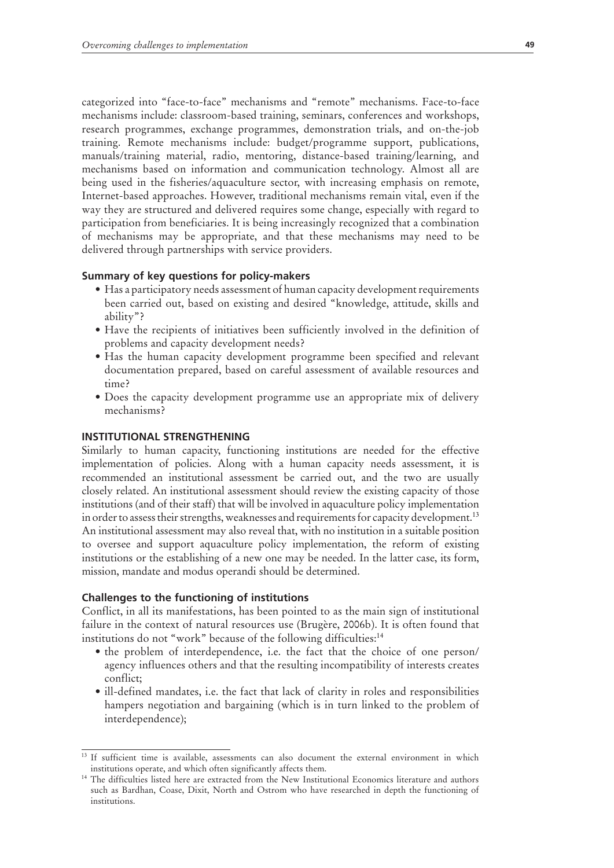categorized into "face-to-face" mechanisms and "remote" mechanisms. Face-to-face mechanisms include: classroom-based training, seminars, conferences and workshops, research programmes, exchange programmes, demonstration trials, and on-the-job training. Remote mechanisms include: budget/programme support, publications, manuals/training material, radio, mentoring, distance-based training/learning, and mechanisms based on information and communication technology. Almost all are being used in the fisheries/aquaculture sector, with increasing emphasis on remote, Internet-based approaches. However, traditional mechanisms remain vital, even if the way they are structured and delivered requires some change, especially with regard to participation from beneficiaries. It is being increasingly recognized that a combination of mechanisms may be appropriate, and that these mechanisms may need to be delivered through partnerships with service providers.

## **Summary of key questions for policy-makers**

- Has a participatory needs assessment of human capacity development requirements been carried out, based on existing and desired "knowledge, attitude, skills and ability"?
- Have the recipients of initiatives been sufficiently involved in the definition of problems and capacity development needs?
- Has the human capacity development programme been specified and relevant documentation prepared, based on careful assessment of available resources and time?
- Does the capacity development programme use an appropriate mix of delivery mechanisms?

# **INSTITUTIONAL STRENGTHENING**

Similarly to human capacity, functioning institutions are needed for the effective implementation of policies. Along with a human capacity needs assessment, it is recommended an institutional assessment be carried out, and the two are usually closely related. An institutional assessment should review the existing capacity of those institutions (and of their staff) that will be involved in aquaculture policy implementation in order to assess their strengths, weaknesses and requirements for capacity development.<sup>13</sup> An institutional assessment may also reveal that, with no institution in a suitable position to oversee and support aquaculture policy implementation, the reform of existing institutions or the establishing of a new one may be needed. In the latter case, its form, mission, mandate and modus operandi should be determined.

### **Challenges to the functioning of institutions**

Conflict, in all its manifestations, has been pointed to as the main sign of institutional failure in the context of natural resources use (Brugère, 2006b). It is often found that institutions do not "work" because of the following difficulties:<sup>14</sup>

- the problem of interdependence, i.e. the fact that the choice of one person/ agency influences others and that the resulting incompatibility of interests creates conflict;
- ill-defined mandates, i.e. the fact that lack of clarity in roles and responsibilities hampers negotiation and bargaining (which is in turn linked to the problem of interdependence);

<sup>&</sup>lt;sup>13</sup> If sufficient time is available, assessments can also document the external environment in which institutions operate, and which often significantly affects them.

<sup>&</sup>lt;sup>14</sup> The difficulties listed here are extracted from the New Institutional Economics literature and authors such as Bardhan, Coase, Dixit, North and Ostrom who have researched in depth the functioning of institutions.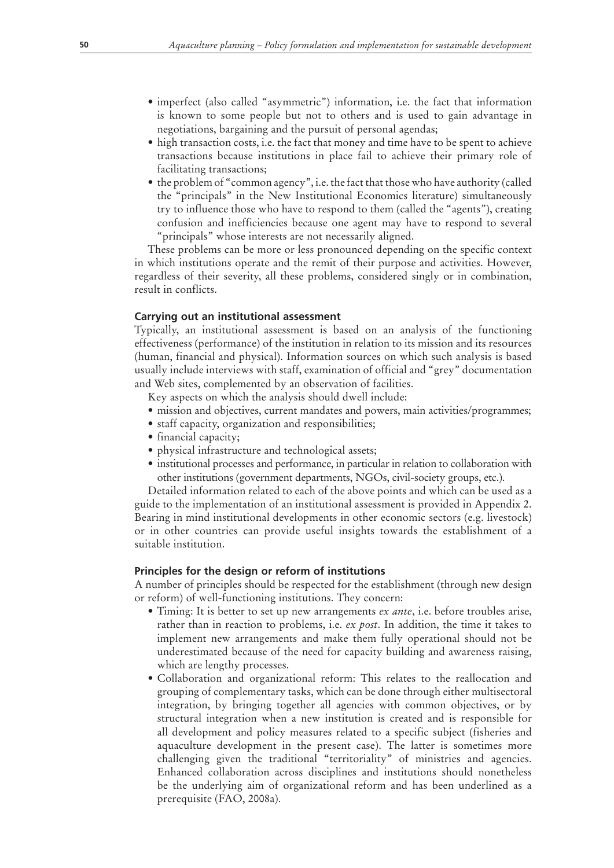- imperfect (also called "asymmetric") information, i.e. the fact that information is known to some people but not to others and is used to gain advantage in negotiations, bargaining and the pursuit of personal agendas;
- high transaction costs, i.e. the fact that money and time have to be spent to achieve transactions because institutions in place fail to achieve their primary role of facilitating transactions;
- the problem of "common agency", i.e. the fact that those who have authority (called the "principals" in the New Institutional Economics literature) simultaneously try to influence those who have to respond to them (called the "agents"), creating confusion and inefficiencies because one agent may have to respond to several "principals" whose interests are not necessarily aligned.

These problems can be more or less pronounced depending on the specific context in which institutions operate and the remit of their purpose and activities. However, regardless of their severity, all these problems, considered singly or in combination, result in conflicts.

## **Carrying out an institutional assessment**

Typically, an institutional assessment is based on an analysis of the functioning effectiveness (performance) of the institution in relation to its mission and its resources (human, financial and physical). Information sources on which such analysis is based usually include interviews with staff, examination of official and "grey" documentation and Web sites, complemented by an observation of facilities.

Key aspects on which the analysis should dwell include:

- mission and objectives, current mandates and powers, main activities/programmes;
- staff capacity, organization and responsibilities;
- financial capacity;
- physical infrastructure and technological assets;
- $\bullet$  institutional processes and performance, in particular in relation to collaboration with other institutions (government departments, NGOs, civil-society groups, etc.).

Detailed information related to each of the above points and which can be used as a guide to the implementation of an institutional assessment is provided in Appendix 2. Bearing in mind institutional developments in other economic sectors (e.g. livestock) or in other countries can provide useful insights towards the establishment of a suitable institution.

### **Principles for the design or reform of institutions**

A number of principles should be respected for the establishment (through new design or reform) of well-functioning institutions. They concern:

- Timing: It is better to set up new arrangements *ex ante*, i.e. before troubles arise, rather than in reaction to problems, i.e. *ex post*. In addition, the time it takes to implement new arrangements and make them fully operational should not be underestimated because of the need for capacity building and awareness raising, which are lengthy processes.
- Collaboration and organizational reform: This relates to the reallocation and grouping of complementary tasks, which can be done through either multisectoral integration, by bringing together all agencies with common objectives, or by structural integration when a new institution is created and is responsible for all development and policy measures related to a specific subject (fisheries and aquaculture development in the present case). The latter is sometimes more challenging given the traditional "territoriality" of ministries and agencies. Enhanced collaboration across disciplines and institutions should nonetheless be the underlying aim of organizational reform and has been underlined as a prerequisite (FAO, 2008a).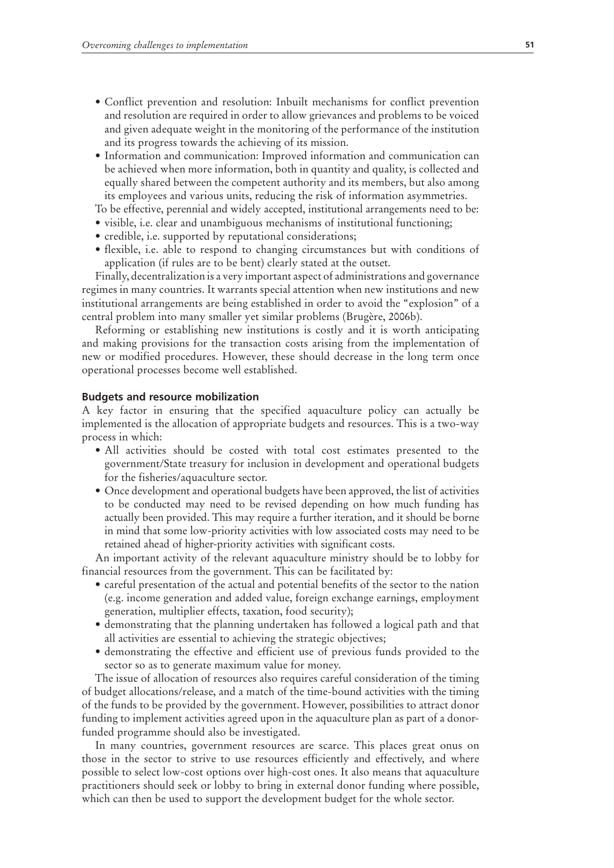- Conflict prevention and resolution: Inbuilt mechanisms for conflict prevention and resolution are required in order to allow grievances and problems to be voiced and given adequate weight in the monitoring of the performance of the institution and its progress towards the achieving of its mission.
- Information and communication: Improved information and communication can be achieved when more information, both in quantity and quality, is collected and equally shared between the competent authority and its members, but also among its employees and various units, reducing the risk of information asymmetries.

To be effective, perennial and widely accepted, institutional arrangements need to be:

- visible, i.e. clear and unambiguous mechanisms of institutional functioning;
- credible, i.e. supported by reputational considerations;
- flexible, i.e. able to respond to changing circumstances but with conditions of application (if rules are to be bent) clearly stated at the outset.

Finally, decentralization is a very important aspect of administrations and governance regimes in many countries. It warrants special attention when new institutions and new institutional arrangements are being established in order to avoid the "explosion" of a central problem into many smaller yet similar problems (Brugère, 2006b).

Reforming or establishing new institutions is costly and it is worth anticipating and making provisions for the transaction costs arising from the implementation of new or modified procedures. However, these should decrease in the long term once operational processes become well established.

#### **Budgets and resource mobilization**

A key factor in ensuring that the specified aquaculture policy can actually be implemented is the allocation of appropriate budgets and resources. This is a two-way process in which:

- All activities should be costed with total cost estimates presented to the government/State treasury for inclusion in development and operational budgets for the fisheries/aquaculture sector.
- Once development and operational budgets have been approved, the list of activities to be conducted may need to be revised depending on how much funding has actually been provided. This may require a further iteration, and it should be borne in mind that some low-priority activities with low associated costs may need to be retained ahead of higher-priority activities with significant costs.

An important activity of the relevant aquaculture ministry should be to lobby for financial resources from the government. This can be facilitated by:

- careful presentation of the actual and potential benefits of the sector to the nation (e.g. income generation and added value, foreign exchange earnings, employment generation, multiplier effects, taxation, food security);
- demonstrating that the planning undertaken has followed a logical path and that all activities are essential to achieving the strategic objectives;
- demonstrating the effective and efficient use of previous funds provided to the sector so as to generate maximum value for money.

The issue of allocation of resources also requires careful consideration of the timing of budget allocations/release, and a match of the time-bound activities with the timing of the funds to be provided by the government. However, possibilities to attract donor funding to implement activities agreed upon in the aquaculture plan as part of a donorfunded programme should also be investigated.

In many countries, government resources are scarce. This places great onus on those in the sector to strive to use resources efficiently and effectively, and where possible to select low-cost options over high-cost ones. It also means that aquaculture practitioners should seek or lobby to bring in external donor funding where possible, which can then be used to support the development budget for the whole sector.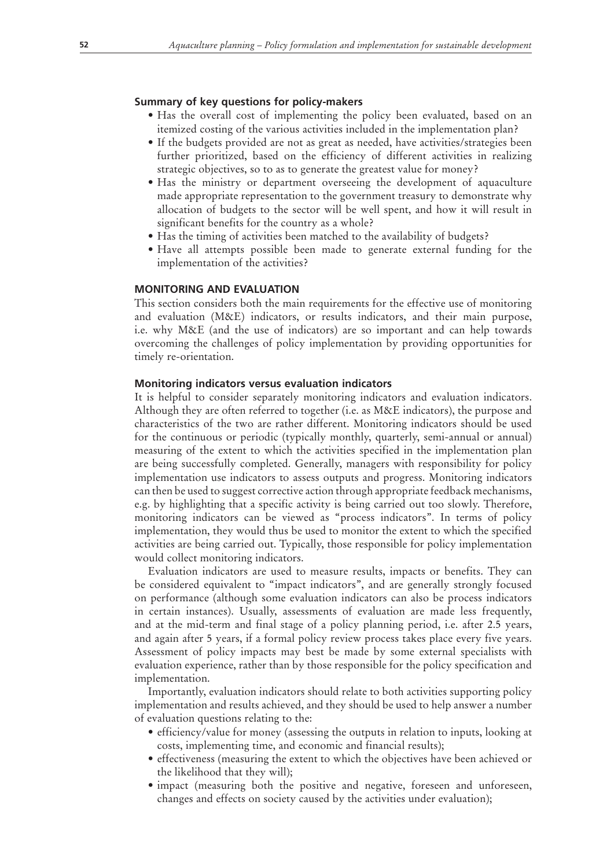## **Summary of key questions for policy-makers**

- Has the overall cost of implementing the policy been evaluated, based on an itemized costing of the various activities included in the implementation plan?
- If the budgets provided are not as great as needed, have activities/strategies been further prioritized, based on the efficiency of different activities in realizing strategic objectives, so to as to generate the greatest value for money?
- Has the ministry or department overseeing the development of aquaculture made appropriate representation to the government treasury to demonstrate why allocation of budgets to the sector will be well spent, and how it will result in significant benefits for the country as a whole?
- Has the timing of activities been matched to the availability of budgets?
- Have all attempts possible been made to generate external funding for the implementation of the activities?

# **MONITORING AND EVALUATION**

This section considers both the main requirements for the effective use of monitoring and evaluation (M&E) indicators, or results indicators, and their main purpose, i.e. why M&E (and the use of indicators) are so important and can help towards overcoming the challenges of policy implementation by providing opportunities for timely re-orientation.

## **Monitoring indicators versus evaluation indicators**

It is helpful to consider separately monitoring indicators and evaluation indicators. Although they are often referred to together (i.e. as M&E indicators), the purpose and characteristics of the two are rather different. Monitoring indicators should be used for the continuous or periodic (typically monthly, quarterly, semi-annual or annual) measuring of the extent to which the activities specified in the implementation plan are being successfully completed. Generally, managers with responsibility for policy implementation use indicators to assess outputs and progress. Monitoring indicators can then be used to suggest corrective action through appropriate feedback mechanisms, e.g. by highlighting that a specific activity is being carried out too slowly. Therefore, monitoring indicators can be viewed as "process indicators". In terms of policy implementation, they would thus be used to monitor the extent to which the specified activities are being carried out. Typically, those responsible for policy implementation would collect monitoring indicators.

Evaluation indicators are used to measure results, impacts or benefits. They can be considered equivalent to "impact indicators", and are generally strongly focused on performance (although some evaluation indicators can also be process indicators in certain instances). Usually, assessments of evaluation are made less frequently, and at the mid-term and final stage of a policy planning period, i.e. after 2.5 years, and again after 5 years, if a formal policy review process takes place every five years. Assessment of policy impacts may best be made by some external specialists with evaluation experience, rather than by those responsible for the policy specification and implementation.

Importantly, evaluation indicators should relate to both activities supporting policy implementation and results achieved, and they should be used to help answer a number of evaluation questions relating to the:

- efficiency/value for money (assessing the outputs in relation to inputs, looking at costs, implementing time, and economic and financial results);
- effectiveness (measuring the extent to which the objectives have been achieved or the likelihood that they will);
- impact (measuring both the positive and negative, foreseen and unforeseen, changes and effects on society caused by the activities under evaluation);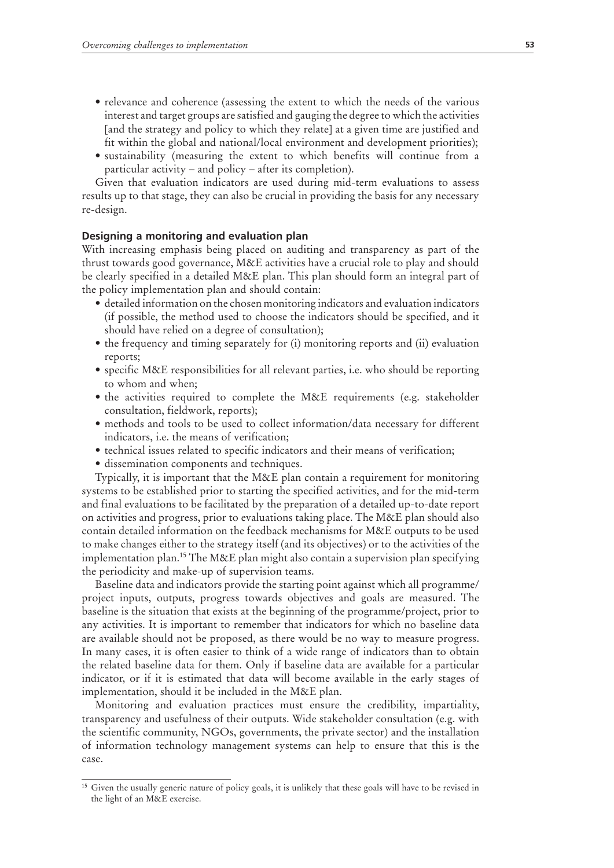- relevance and coherence (assessing the extent to which the needs of the various interest and target groups are satisfied and gauging the degree to which the activities [and the strategy and policy to which they relate] at a given time are justified and fit within the global and national/local environment and development priorities);
- sustainability (measuring the extent to which benefits will continue from a particular activity – and policy – after its completion).

Given that evaluation indicators are used during mid-term evaluations to assess results up to that stage, they can also be crucial in providing the basis for any necessary re-design.

#### **Designing a monitoring and evaluation plan**

With increasing emphasis being placed on auditing and transparency as part of the thrust towards good governance, M&E activities have a crucial role to play and should be clearly specified in a detailed M&E plan. This plan should form an integral part of the policy implementation plan and should contain:

- $\bullet$  detailed information on the chosen monitoring indicators and evaluation indicators (if possible, the method used to choose the indicators should be specified, and it should have relied on a degree of consultation);
- $\bullet$  the frequency and timing separately for (i) monitoring reports and (ii) evaluation reports;
- specific M&E responsibilities for all relevant parties, i.e. who should be reporting to whom and when;
- the activities required to complete the M&E requirements (e.g. stakeholder consultation, fieldwork, reports);
- methods and tools to be used to collect information/data necessary for different indicators, i.e. the means of verification;
- technical issues related to specific indicators and their means of verification;
- dissemination components and techniques.

Typically, it is important that the M&E plan contain a requirement for monitoring systems to be established prior to starting the specified activities, and for the mid-term and final evaluations to be facilitated by the preparation of a detailed up-to-date report on activities and progress, prior to evaluations taking place. The M&E plan should also contain detailed information on the feedback mechanisms for M&E outputs to be used to make changes either to the strategy itself (and its objectives) or to the activities of the implementation plan.15 The M&E plan might also contain a supervision plan specifying the periodicity and make-up of supervision teams.

Baseline data and indicators provide the starting point against which all programme/ project inputs, outputs, progress towards objectives and goals are measured. The baseline is the situation that exists at the beginning of the programme/project, prior to any activities. It is important to remember that indicators for which no baseline data are available should not be proposed, as there would be no way to measure progress. In many cases, it is often easier to think of a wide range of indicators than to obtain the related baseline data for them. Only if baseline data are available for a particular indicator, or if it is estimated that data will become available in the early stages of implementation, should it be included in the M&E plan.

Monitoring and evaluation practices must ensure the credibility, impartiality, transparency and usefulness of their outputs. Wide stakeholder consultation (e.g. with the scientific community, NGOs, governments, the private sector) and the installation of information technology management systems can help to ensure that this is the case.

<sup>&</sup>lt;sup>15</sup> Given the usually generic nature of policy goals, it is unlikely that these goals will have to be revised in the light of an M&E exercise.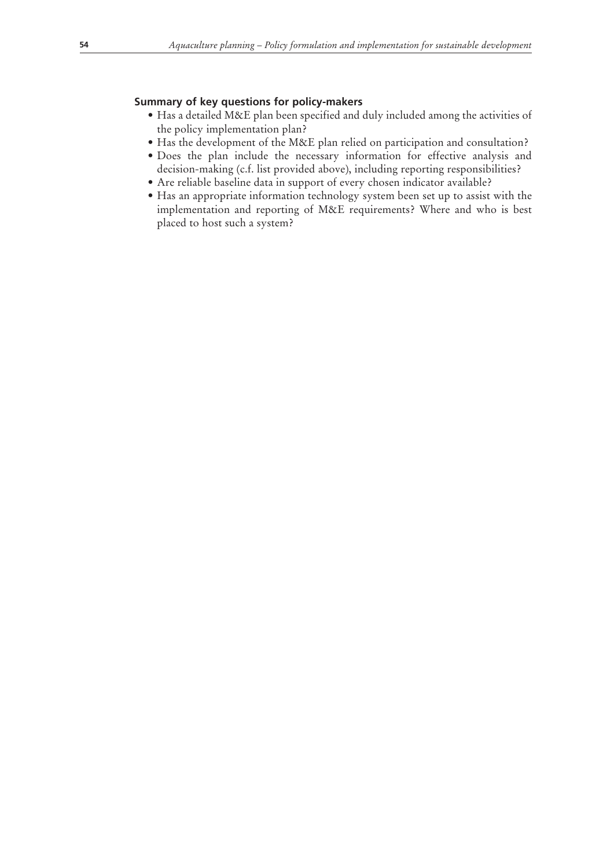# **Summary of key questions for policy-makers**

- Has a detailed M&E plan been specified and duly included among the activities of the policy implementation plan?
- Has the development of the M&E plan relied on participation and consultation?
- Does the plan include the necessary information for effective analysis and decision-making (c.f. list provided above), including reporting responsibilities?
- Are reliable baseline data in support of every chosen indicator available?
- Has an appropriate information technology system been set up to assist with the implementation and reporting of M&E requirements? Where and who is best placed to host such a system?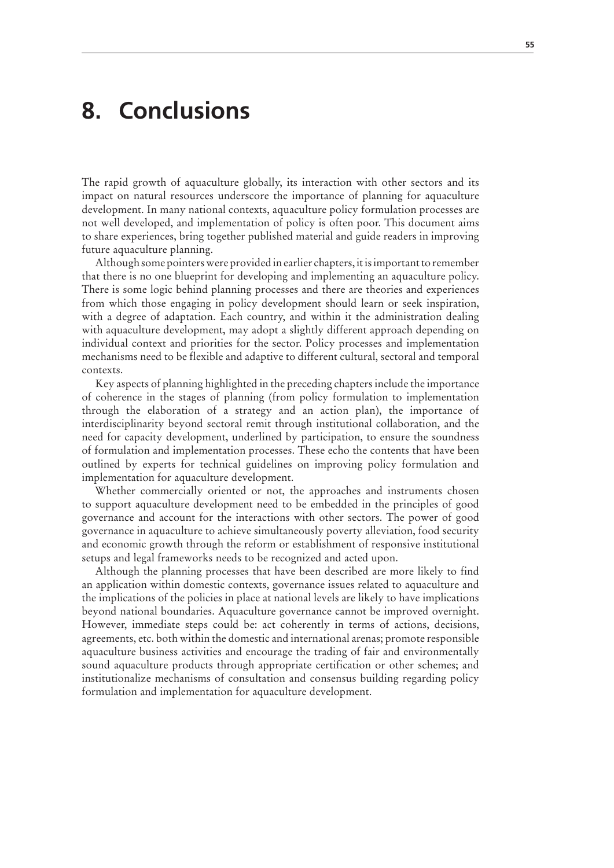# **8. Conclusions**

The rapid growth of aquaculture globally, its interaction with other sectors and its impact on natural resources underscore the importance of planning for aquaculture development. In many national contexts, aquaculture policy formulation processes are not well developed, and implementation of policy is often poor. This document aims to share experiences, bring together published material and guide readers in improving future aquaculture planning.

Although some pointers were provided in earlier chapters, it is important to remember that there is no one blueprint for developing and implementing an aquaculture policy. There is some logic behind planning processes and there are theories and experiences from which those engaging in policy development should learn or seek inspiration, with a degree of adaptation. Each country, and within it the administration dealing with aquaculture development, may adopt a slightly different approach depending on individual context and priorities for the sector. Policy processes and implementation mechanisms need to be flexible and adaptive to different cultural, sectoral and temporal contexts.

Key aspects of planning highlighted in the preceding chapters include the importance of coherence in the stages of planning (from policy formulation to implementation through the elaboration of a strategy and an action plan), the importance of interdisciplinarity beyond sectoral remit through institutional collaboration, and the need for capacity development, underlined by participation, to ensure the soundness of formulation and implementation processes. These echo the contents that have been outlined by experts for technical guidelines on improving policy formulation and implementation for aquaculture development.

Whether commercially oriented or not, the approaches and instruments chosen to support aquaculture development need to be embedded in the principles of good governance and account for the interactions with other sectors. The power of good governance in aquaculture to achieve simultaneously poverty alleviation, food security and economic growth through the reform or establishment of responsive institutional setups and legal frameworks needs to be recognized and acted upon.

Although the planning processes that have been described are more likely to find an application within domestic contexts, governance issues related to aquaculture and the implications of the policies in place at national levels are likely to have implications beyond national boundaries. Aquaculture governance cannot be improved overnight. However, immediate steps could be: act coherently in terms of actions, decisions, agreements, etc. both within the domestic and international arenas; promote responsible aquaculture business activities and encourage the trading of fair and environmentally sound aquaculture products through appropriate certification or other schemes; and institutionalize mechanisms of consultation and consensus building regarding policy formulation and implementation for aquaculture development.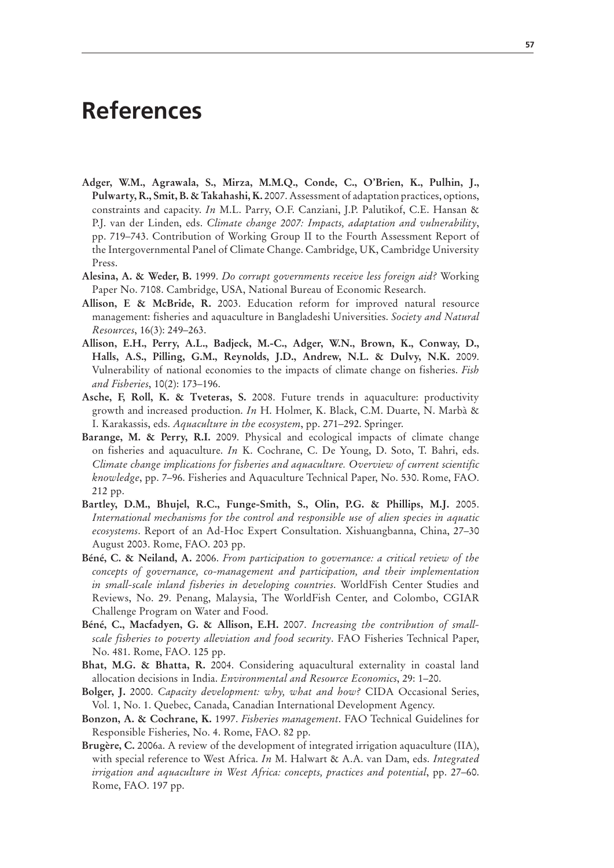# **References**

- **Adger, W.M., Agrawala, S., Mirza, M.M.Q., Conde, C., O'Brien, K., Pulhin, J., Pulwarty, R., Smit, B. & Takahashi, K.** 2007. Assessment of adaptation practices, options, constraints and capacity. *In* M.L. Parry, O.F. Canziani, J.P. Palutikof, C.E. Hansan & P.J. van der Linden, eds. *Climate change 2007: Impacts, adaptation and vulnerability*, pp. 719–743. Contribution of Working Group II to the Fourth Assessment Report of the Intergovernmental Panel of Climate Change. Cambridge, UK, Cambridge University Press.
- **Alesina, A. & Weder, B.** 1999. *Do corrupt governments receive less foreign aid?* Working Paper No. 7108. Cambridge, USA, National Bureau of Economic Research.
- **Allison, E & McBride, R.** 2003. Education reform for improved natural resource management: fisheries and aquaculture in Bangladeshi Universities. *Society and Natural Resources*, 16(3): 249–263.
- **Allison, E.H., Perry, A.L., Badjeck, M.-C., Adger, W.N., Brown, K., Conway, D., Halls, A.S., Pilling, G.M., Reynolds, J.D., Andrew, N.L. & Dulvy, N.K.** 2009. Vulnerability of national economies to the impacts of climate change on fisheries. *Fish and Fisheries*, 10(2): 173–196.
- **Asche, F, Roll, K. & Tveteras, S.** 2008. Future trends in aquaculture: productivity growth and increased production. *In* H. Holmer, K. Black, C.M. Duarte, N. Marbà & I. Karakassis, eds. *Aquaculture in the ecosystem*, pp. 271–292. Springer.
- **Barange, M. & Perry, R.I.** 2009. Physical and ecological impacts of climate change on fisheries and aquaculture. *In* K. Cochrane, C. De Young, D. Soto, T. Bahri, eds. *Climate change implications for fisheries and aquaculture. Overview of current scientific knowledge*, pp. 7–96. Fisheries and Aquaculture Technical Paper, No. 530. Rome, FAO. 212 pp.
- **Bartley, D.M., Bhujel, R.C., Funge-Smith, S., Olin, P.G. & Phillips, M.J.** 2005. *International mechanisms for the control and responsible use of alien species in aquatic ecosystems*. Report of an Ad-Hoc Expert Consultation. Xishuangbanna, China, 27–30 August 2003. Rome, FAO. 203 pp.
- **Béné, C. & Neiland, A.** 2006. *From participation to governance: a critical review of the concepts of governance, co-management and participation, and their implementation in small-scale inland fisheries in developing countries*. WorldFish Center Studies and Reviews, No. 29. Penang, Malaysia, The WorldFish Center, and Colombo, CGIAR Challenge Program on Water and Food.
- **Béné, C., Macfadyen, G. & Allison, E.H.** 2007. *Increasing the contribution of smallscale fisheries to poverty alleviation and food security*. FAO Fisheries Technical Paper, No. 481. Rome, FAO. 125 pp.
- **Bhat, M.G. & Bhatta, R.** 2004. Considering aquacultural externality in coastal land allocation decisions in India. *Environmental and Resource Economics*, 29: 1–20.
- **Bolger, J.** 2000. *Capacity development: why, what and how?* CIDA Occasional Series, Vol. 1, No. 1. Quebec, Canada, Canadian International Development Agency.
- **Bonzon, A. & Cochrane, K.** 1997. *Fisheries management*. FAO Technical Guidelines for Responsible Fisheries, No. 4. Rome, FAO. 82 pp.
- **Brugère, C.** 2006a. A review of the development of integrated irrigation aquaculture (IIA), with special reference to West Africa. *In* M. Halwart & A.A. van Dam, eds. *Integrated irrigation and aquaculture in West Africa: concepts, practices and potential*, pp. 27–60. Rome, FAO. 197 pp.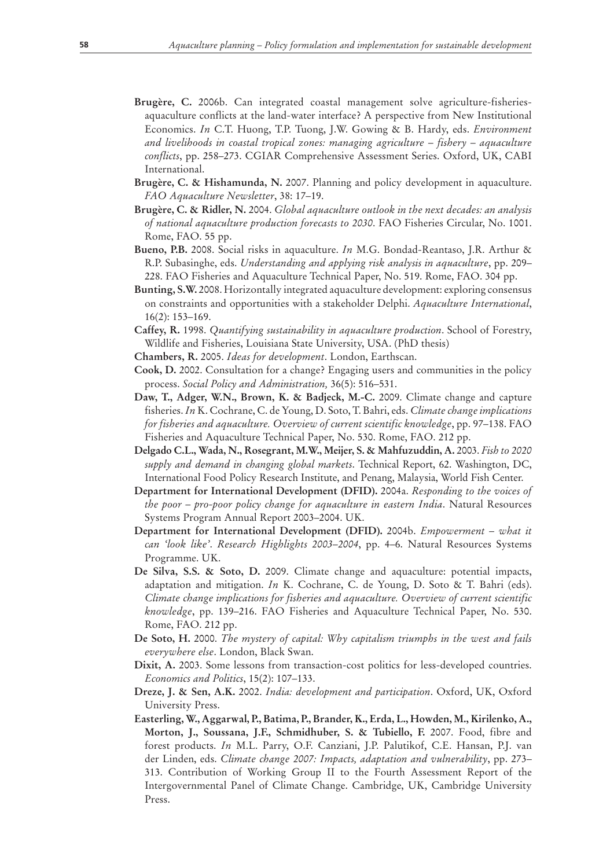- **Brugère, C.** 2006b. Can integrated coastal management solve agriculture-fisheriesaquaculture conflicts at the land-water interface? A perspective from New Institutional Economics. *In* C.T. Huong, T.P. Tuong, J.W. Gowing & B. Hardy, eds. *Environment and livelihoods in coastal tropical zones: managing agriculture – fishery – aquaculture conflicts*, pp. 258–273. CGIAR Comprehensive Assessment Series. Oxford, UK, CABI International.
- **Brugère, C. & Hishamunda, N.** 2007. Planning and policy development in aquaculture. *FAO Aquaculture Newsletter*, 38: 17–19.
- **Brugère, C. & Ridler, N.** 2004. *Global aquaculture outlook in the next decades: an analysis of national aquaculture production forecasts to 2030*. FAO Fisheries Circular, No. 1001. Rome, FAO. 55 pp.
- **Bueno, P.B.** 2008. Social risks in aquaculture. *In* M.G. Bondad-Reantaso, J.R. Arthur & R.P. Subasinghe, eds. *Understanding and applying risk analysis in aquaculture*, pp. 209– 228. FAO Fisheries and Aquaculture Technical Paper, No. 519. Rome, FAO. 304 pp.
- **Bunting, S.W.** 2008. Horizontally integrated aquaculture development: exploring consensus on constraints and opportunities with a stakeholder Delphi. *Aquaculture International*, 16(2): 153–169.
- **Caffey, R.** 1998. *Quantifying sustainability in aquaculture production*. School of Forestry, Wildlife and Fisheries, Louisiana State University, USA. (PhD thesis)
- **Chambers, R.** 2005. *Ideas for development*. London, Earthscan.
- **Cook, D.** 2002. Consultation for a change? Engaging users and communities in the policy process. *Social Policy and Administration,* 36(5): 516–531.
- **Daw, T., Adger, W.N., Brown, K. & Badjeck, M.-C.** 2009. Climate change and capture fisheries. *In* K. Cochrane, C. de Young, D. Soto, T. Bahri, eds. *Climate change implications for fisheries and aquaculture. Overview of current scientific knowledge*, pp. 97–138. FAO Fisheries and Aquaculture Technical Paper, No. 530. Rome, FAO. 212 pp.
- **Delgado C.L., Wada, N., Rosegrant, M.W., Meijer, S. & Mahfuzuddin, A.** 2003. *Fish to 2020 supply and demand in changing global markets*. Technical Report, 62. Washington, DC, International Food Policy Research Institute, and Penang, Malaysia, World Fish Center.
- **Department for International Development (DFID).** 2004a. *Responding to the voices of the poor – pro-poor policy change for aquaculture in eastern India*. Natural Resources Systems Program Annual Report 2003–2004. UK.
- **Department for International Development (DFID).** 2004b. *Empowerment what it can 'look like'*. *Research Highlights 2003–2004*, pp. 4–6. Natural Resources Systems Programme. UK.
- **De Silva, S.S. & Soto, D.** 2009. Climate change and aquaculture: potential impacts, adaptation and mitigation. *In* K. Cochrane, C. de Young, D. Soto & T. Bahri (eds). *Climate change implications for fisheries and aquaculture. Overview of current scientific knowledge*, pp. 139–216. FAO Fisheries and Aquaculture Technical Paper, No. 530. Rome, FAO. 212 pp.
- **De Soto, H.** 2000. *The mystery of capital: Why capitalism triumphs in the west and fails everywhere else*. London, Black Swan.
- **Dixit, A.** 2003. Some lessons from transaction-cost politics for less-developed countries. *Economics and Politics*, 15(2): 107–133.
- **Dreze, J. & Sen, A.K.** 2002. *India: development and participation*. Oxford, UK, Oxford University Press.
- **Easterling, W., Aggarwal, P., Batima, P., Brander, K., Erda, L., Howden, M., Kirilenko, A., Morton, J., Soussana, J.F., Schmidhuber, S. & Tubiello, F.** 2007. Food, fibre and forest products. *In* M.L. Parry, O.F. Canziani, J.P. Palutikof, C.E. Hansan, P.J. van der Linden, eds. *Climate change 2007: Impacts, adaptation and vulnerability*, pp. 273– 313. Contribution of Working Group II to the Fourth Assessment Report of the Intergovernmental Panel of Climate Change. Cambridge, UK, Cambridge University Press.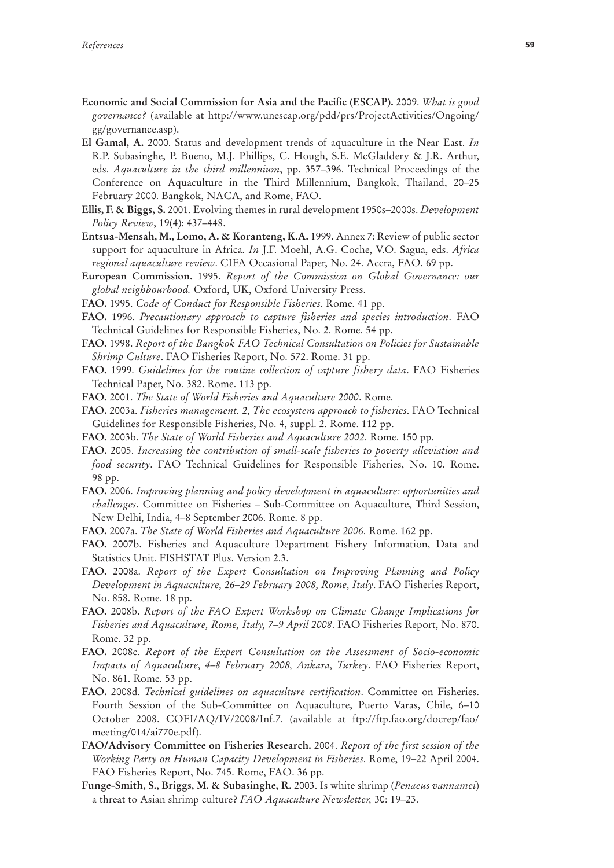- **Economic and Social Commission for Asia and the Pacific (ESCAP).** 2009. *What is good governance?* (available at http://www.unescap.org/pdd/prs/ProjectActivities/Ongoing/ gg/governance.asp).
- **El Gamal, A.** 2000. Status and development trends of aquaculture in the Near East. *In* R.P. Subasinghe, P. Bueno, M.J. Phillips, C. Hough, S.E. McGladdery & J.R. Arthur, eds. *Aquaculture in the third millennium*, pp. 357–396. Technical Proceedings of the Conference on Aquaculture in the Third Millennium, Bangkok, Thailand, 20–25 February 2000. Bangkok, NACA, and Rome, FAO.
- **Ellis, F. & Biggs, S.** 2001. Evolving themes in rural development 1950s–2000s. *Development Policy Review*, 19(4): 437–448.
- **Entsua-Mensah, M., Lomo, A. & Koranteng, K.A.** 1999. Annex 7: Review of public sector support for aquaculture in Africa. *In* J.F. Moehl, A.G. Coche, V.O. Sagua, eds. *Africa regional aquaculture review*. CIFA Occasional Paper, No. 24. Accra, FAO. 69 pp.
- **European Commission.** 1995. *Report of the Commission on Global Governance: our global neighbourhood.* Oxford, UK, Oxford University Press.
- **FAO.** 1995. *Code of Conduct for Responsible Fisheries*. Rome. 41 pp.
- **FAO.** 1996. *Precautionary approach to capture fisheries and species introduction*. FAO Technical Guidelines for Responsible Fisheries, No. 2. Rome. 54 pp.
- **FAO.** 1998. *Report of the Bangkok FAO Technical Consultation on Policies for Sustainable Shrimp Culture*. FAO Fisheries Report, No. 572. Rome. 31 pp.
- **FAO.** 1999. *Guidelines for the routine collection of capture fishery data*. FAO Fisheries Technical Paper, No. 382. Rome. 113 pp.
- **FAO.** 2001. *The State of World Fisheries and Aquaculture 2000*. Rome.
- **FAO.** 2003a. *Fisheries management. 2, The ecosystem approach to fisheries*. FAO Technical Guidelines for Responsible Fisheries, No. 4, suppl. 2. Rome. 112 pp.
- **FAO.** 2003b. *The State of World Fisheries and Aquaculture 2002*. Rome. 150 pp.
- **FAO.** 2005. *Increasing the contribution of small-scale fisheries to poverty alleviation and food security*. FAO Technical Guidelines for Responsible Fisheries, No. 10. Rome. 98 pp.
- **FAO.** 2006. *Improving planning and policy development in aquaculture: opportunities and challenges*. Committee on Fisheries – Sub-Committee on Aquaculture, Third Session, New Delhi, India, 4–8 September 2006. Rome. 8 pp.
- **FAO.** 2007a. *The State of World Fisheries and Aquaculture 2006*. Rome. 162 pp.
- **FAO.** 2007b. Fisheries and Aquaculture Department Fishery Information, Data and Statistics Unit. FISHSTAT Plus. Version 2.3.
- **FAO.** 2008a. *Report of the Expert Consultation on Improving Planning and Policy Development in Aquaculture, 26–29 February 2008, Rome, Italy*. FAO Fisheries Report, No. 858. Rome. 18 pp.
- **FAO.** 2008b. *Report of the FAO Expert Workshop on Climate Change Implications for Fisheries and Aquaculture, Rome, Italy, 7–9 April 2008*. FAO Fisheries Report, No. 870. Rome. 32 pp.
- **FAO.** 2008c. *Report of the Expert Consultation on the Assessment of Socio-economic Impacts of Aquaculture, 4–8 February 2008, Ankara, Turkey*. FAO Fisheries Report, No. 861. Rome. 53 pp.
- **FAO.** 2008d. *Technical guidelines on aquaculture certification*. Committee on Fisheries. Fourth Session of the Sub-Committee on Aquaculture, Puerto Varas, Chile, 6–10 October 2008. COFI/AQ/IV/2008/Inf.7. (available at ftp://ftp.fao.org/docrep/fao/ meeting/014/ai770e.pdf).
- **FAO/Advisory Committee on Fisheries Research.** 2004. *Report of the first session of the Working Party on Human Capacity Development in Fisheries*. Rome, 19–22 April 2004. FAO Fisheries Report, No. 745. Rome, FAO. 36 pp.
- **Funge-Smith, S., Briggs, M. & Subasinghe, R.** 2003. Is white shrimp (*Penaeus vannamei*) a threat to Asian shrimp culture? *FAO Aquaculture Newsletter,* 30: 19–23.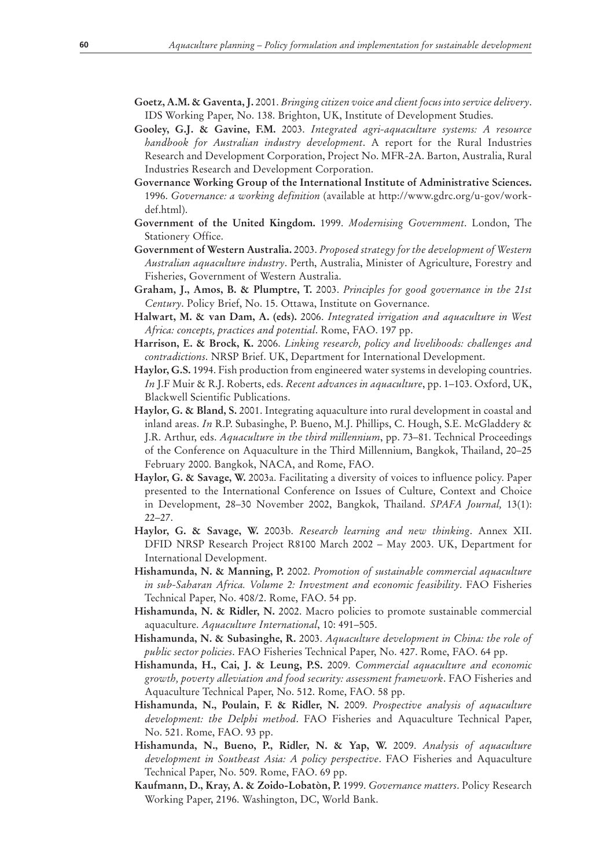- **Goetz, A.M. & Gaventa, J.** 2001. *Bringing citizen voice and client focus into service delivery*. IDS Working Paper, No. 138. Brighton, UK, Institute of Development Studies.
- **Gooley, G.J. & Gavine, F.M.** 2003. *Integrated agri-aquaculture systems: A resource handbook for Australian industry development*. A report for the Rural Industries Research and Development Corporation, Project No. MFR-2A. Barton, Australia, Rural Industries Research and Development Corporation.
- **Governance Working Group of the International Institute of Administrative Sciences.** 1996. *Governance: a working definition* (available at http://www.gdrc.org/u-gov/workdef.html).
- **Government of the United Kingdom.** 1999. *Modernising Government*. London, The Stationery Office.
- **Government of Western Australia.** 2003. *Proposed strategy for the development of Western Australian aquaculture industry*. Perth, Australia, Minister of Agriculture, Forestry and Fisheries, Government of Western Australia.
- **Graham, J., Amos, B. & Plumptre, T.** 2003. *Principles for good governance in the 21st Century*. Policy Brief, No. 15. Ottawa, Institute on Governance.
- **Halwart, M. & van Dam, A. (eds).** 2006. *Integrated irrigation and aquaculture in West Africa: concepts, practices and potential*. Rome, FAO. 197 pp.
- **Harrison, E. & Brock, K.** 2006. *Linking research, policy and livelihoods: challenges and contradictions*. NRSP Brief. UK, Department for International Development.
- **Haylor, G.S.** 1994. Fish production from engineered water systems in developing countries. *In* J.F Muir & R.J. Roberts, eds. *Recent advances in aquaculture*, pp. 1–103. Oxford, UK, Blackwell Scientific Publications.
- **Haylor, G. & Bland, S.** 2001. Integrating aquaculture into rural development in coastal and inland areas. *In* R.P. Subasinghe, P. Bueno, M.J. Phillips, C. Hough, S.E. McGladdery & J.R. Arthur, eds. *Aquaculture in the third millennium*, pp. 73–81. Technical Proceedings of the Conference on Aquaculture in the Third Millennium, Bangkok, Thailand, 20–25 February 2000. Bangkok, NACA, and Rome, FAO.
- **Haylor, G. & Savage, W.** 2003a. Facilitating a diversity of voices to influence policy. Paper presented to the International Conference on Issues of Culture, Context and Choice in Development, 28–30 November 2002, Bangkok, Thailand. *SPAFA Journal,* 13(1): 22–27.
- **Haylor, G. & Savage, W.** 2003b. *Research learning and new thinking*. Annex XII. DFID NRSP Research Project R8100 March 2002 – May 2003. UK, Department for International Development.
- **Hishamunda, N. & Manning, P.** 2002. *Promotion of sustainable commercial aquaculture in sub-Saharan Africa. Volume 2: Investment and economic feasibility*. FAO Fisheries Technical Paper, No. 408/2. Rome, FAO. 54 pp.
- **Hishamunda, N. & Ridler, N.** 2002. Macro policies to promote sustainable commercial aquaculture. *Aquaculture International*, 10: 491–505.
- **Hishamunda, N. & Subasinghe, R.** 2003. *Aquaculture development in China: the role of public sector policies*. FAO Fisheries Technical Paper, No. 427. Rome, FAO. 64 pp.
- **Hishamunda, H., Cai, J. & Leung, P.S.** 2009. *Commercial aquaculture and economic growth, poverty alleviation and food security: assessment framework*. FAO Fisheries and Aquaculture Technical Paper, No. 512. Rome, FAO. 58 pp.
- **Hishamunda, N., Poulain, F. & Ridler, N.** 2009. *Prospective analysis of aquaculture development: the Delphi method*. FAO Fisheries and Aquaculture Technical Paper, No. 521. Rome, FAO. 93 pp.
- **Hishamunda, N., Bueno, P., Ridler, N. & Yap, W.** 2009. *Analysis of aquaculture development in Southeast Asia: A policy perspective*. FAO Fisheries and Aquaculture Technical Paper, No. 509. Rome, FAO. 69 pp.
- **Kaufmann, D., Kray, A. & Zoido-Lobatòn, P.** 1999. *Governance matters*. Policy Research Working Paper, 2196. Washington, DC, World Bank.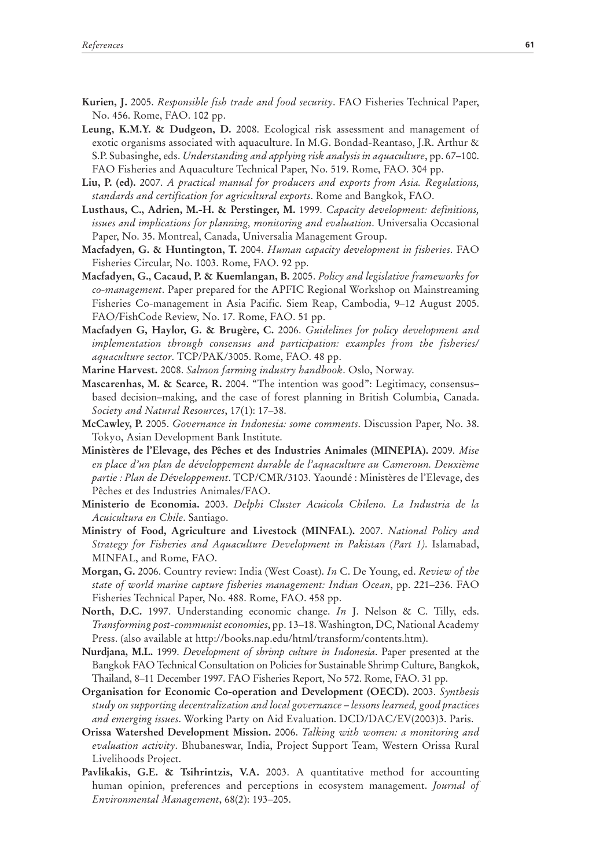- **Kurien, J.** 2005. *Responsible fish trade and food security*. FAO Fisheries Technical Paper, No. 456. Rome, FAO. 102 pp.
- **Leung, K.M.Y. & Dudgeon, D.** 2008. Ecological risk assessment and management of exotic organisms associated with aquaculture. In M.G. Bondad-Reantaso, J.R. Arthur & S.P. Subasinghe, eds. *Understanding and applying risk analysis in aquaculture*, pp. 67–100. FAO Fisheries and Aquaculture Technical Paper, No. 519. Rome, FAO. 304 pp.
- **Liu, P. (ed).** 2007. *A practical manual for producers and exports from Asia. Regulations, standards and certification for agricultural exports*. Rome and Bangkok, FAO.
- **Lusthaus, C., Adrien, M.-H. & Perstinger, M.** 1999. *Capacity development: definitions, issues and implications for planning, monitoring and evaluation*. Universalia Occasional Paper, No. 35. Montreal, Canada, Universalia Management Group.
- **Macfadyen, G. & Huntington, T.** 2004. *Human capacity development in fisheries*. FAO Fisheries Circular, No. 1003. Rome, FAO. 92 pp.
- **Macfadyen, G., Cacaud, P. & Kuemlangan, B.** 2005. *Policy and legislative frameworks for co-management*. Paper prepared for the APFIC Regional Workshop on Mainstreaming Fisheries Co-management in Asia Pacific. Siem Reap, Cambodia, 9–12 August 2005. FAO/FishCode Review, No. 17. Rome, FAO. 51 pp.
- **Macfadyen G, Haylor, G. & Brugère, C.** 2006. *Guidelines for policy development and implementation through consensus and participation: examples from the fisheries/ aquaculture sector*. TCP/PAK/3005. Rome, FAO. 48 pp.
- **Marine Harvest.** 2008. *Salmon farming industry handbook*. Oslo, Norway.
- **Mascarenhas, M. & Scarce, R.** 2004. "The intention was good": Legitimacy, consensus– based decision–making, and the case of forest planning in British Columbia, Canada. *Society and Natural Resources*, 17(1): 17–38.
- **McCawley, P.** 2005. *Governance in Indonesia: some comments*. Discussion Paper, No. 38. Tokyo, Asian Development Bank Institute.
- **Ministères de l'Elevage, des Pêches et des Industries Animales (MINEPIA).** 2009. *Mise en place d'un plan de développement durable de l'aquaculture au Cameroun. Deuxième partie : Plan de Développement*. TCP/CMR/3103. Yaoundé : Ministères de l'Elevage, des Pêches et des Industries Animales/FAO.
- **Ministerio de Economia.** 2003. *Delphi Cluster Acuicola Chileno. La Industria de la Acuicultura en Chile*. Santiago.
- **Ministry of Food, Agriculture and Livestock (MINFAL).** 2007. *National Policy and Strategy for Fisheries and Aquaculture Development in Pakistan (Part 1)*. Islamabad, MINFAL, and Rome, FAO.
- **Morgan, G.** 2006. Country review: India (West Coast). *In* C. De Young, ed. *Review of the state of world marine capture fisheries management: Indian Ocean*, pp. 221–236. FAO Fisheries Technical Paper, No. 488. Rome, FAO. 458 pp.
- **North, D.C.** 1997. Understanding economic change. *In* J. Nelson & C. Tilly, eds. *Transforming post-communist economies*, pp. 13–18. Washington, DC, National Academy Press. (also available at http://books.nap.edu/html/transform/contents.htm).
- **Nurdjana, M.L.** 1999. *Development of shrimp culture in Indonesia*. Paper presented at the Bangkok FAO Technical Consultation on Policies for Sustainable Shrimp Culture, Bangkok, Thailand, 8–11 December 1997. FAO Fisheries Report, No 572. Rome, FAO. 31 pp.
- **Organisation for Economic Co-operation and Development (OECD).** 2003. *Synthesis study on supporting decentralization and local governance – lessons learned, good practices and emerging issues*. Working Party on Aid Evaluation. DCD/DAC/EV(2003)3. Paris.
- **Orissa Watershed Development Mission.** 2006. *Talking with women: a monitoring and evaluation activity*. Bhubaneswar, India, Project Support Team, Western Orissa Rural Livelihoods Project.
- **Pavlikakis, G.E. & Tsihrintzis, V.A.** 2003. A quantitative method for accounting human opinion, preferences and perceptions in ecosystem management. *Journal of Environmental Management*, 68(2): 193–205.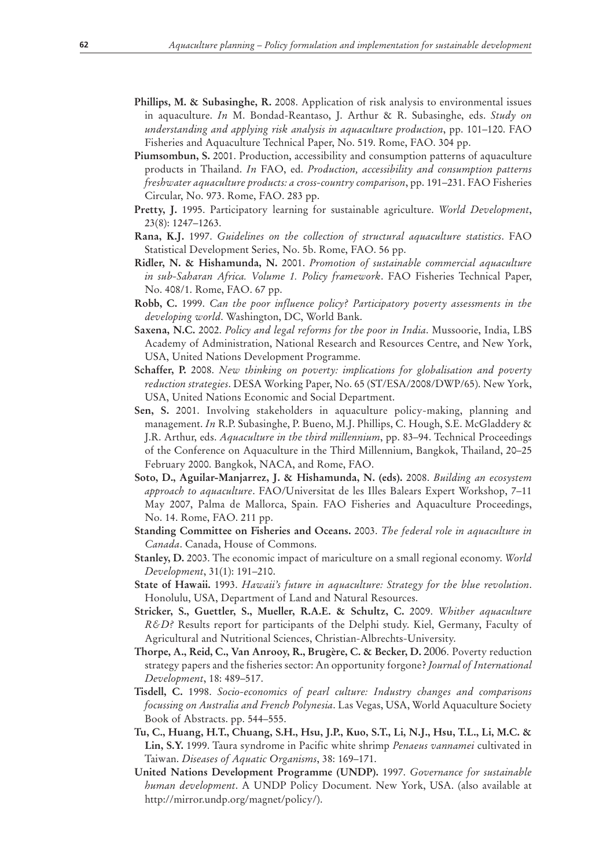- **Phillips, M. & Subasinghe, R.** 2008. Application of risk analysis to environmental issues in aquaculture. *In* M. Bondad-Reantaso, J. Arthur & R. Subasinghe, eds. *Study on understanding and applying risk analysis in aquaculture production*, pp. 101–120. FAO Fisheries and Aquaculture Technical Paper, No. 519. Rome, FAO. 304 pp.
- **Piumsombun, S.** 2001. Production, accessibility and consumption patterns of aquaculture products in Thailand. *In* FAO, ed. *Production, accessibility and consumption patterns freshwater aquaculture products: a cross-country comparison*, pp. 191–231. FAO Fisheries Circular, No. 973. Rome, FAO. 283 pp.
- **Pretty, J.** 1995. Participatory learning for sustainable agriculture. *World Development*, 23(8): 1247–1263.
- **Rana, K.J.** 1997. *Guidelines on the collection of structural aquaculture statistics*. FAO Statistical Development Series, No. 5b. Rome, FAO. 56 pp.
- **Ridler, N. & Hishamunda, N.** 2001. *Promotion of sustainable commercial aquaculture in sub-Saharan Africa. Volume 1. Policy framework*. FAO Fisheries Technical Paper, No. 408/1. Rome, FAO. 67 pp.
- **Robb, C.** 1999. *Can the poor influence policy? Participatory poverty assessments in the developing world*. Washington, DC, World Bank.
- **Saxena, N.C.** 2002. *Policy and legal reforms for the poor in India*. Mussoorie, India, LBS Academy of Administration, National Research and Resources Centre, and New York, USA, United Nations Development Programme.
- **Schaffer, P.** 2008. *New thinking on poverty: implications for globalisation and poverty reduction strategies*. DESA Working Paper, No. 65 (ST/ESA/2008/DWP/65). New York, USA, United Nations Economic and Social Department.
- **Sen, S.** 2001. Involving stakeholders in aquaculture policy-making, planning and management. *In* R.P. Subasinghe, P. Bueno, M.J. Phillips, C. Hough, S.E. McGladdery & J.R. Arthur, eds. *Aquaculture in the third millennium*, pp. 83–94. Technical Proceedings of the Conference on Aquaculture in the Third Millennium, Bangkok, Thailand, 20–25 February 2000. Bangkok, NACA, and Rome, FAO.
- **Soto, D., Aguilar-Manjarrez, J. & Hishamunda, N. (eds).** 2008. *Building an ecosystem approach to aquaculture*. FAO/Universitat de les Illes Balears Expert Workshop, 7–11 May 2007, Palma de Mallorca, Spain. FAO Fisheries and Aquaculture Proceedings, No. 14. Rome, FAO. 211 pp.
- **Standing Committee on Fisheries and Oceans.** 2003. *The federal role in aquaculture in Canada*. Canada, House of Commons.
- **Stanley, D.** 2003. The economic impact of mariculture on a small regional economy. *World Development*, 31(1): 191–210.
- **State of Hawaii.** 1993. *Hawaii's future in aquaculture: Strategy for the blue revolution*. Honolulu, USA, Department of Land and Natural Resources.
- **Stricker, S., Guettler, S., Mueller, R.A.E. & Schultz, C.** 2009. *Whither aquaculture R&D?* Results report for participants of the Delphi study. Kiel, Germany, Faculty of Agricultural and Nutritional Sciences, Christian-Albrechts-University.
- **Thorpe, A., Reid, C., Van Anrooy, R., Brugère, C. & Becker, D.** 2006. Poverty reduction strategy papers and the fisheries sector: An opportunity forgone? *Journal of International Development*, 18: 489–517.
- **Tisdell, C.** 1998. *Socio-economics of pearl culture: Industry changes and comparisons focussing on Australia and French Polynesia*. Las Vegas, USA, World Aquaculture Society Book of Abstracts. pp. 544–555.
- **Tu, C., Huang, H.T., Chuang, S.H., Hsu, J.P., Kuo, S.T., Li, N.J., Hsu, T.L., Li, M.C. & Lin, S.Y.** 1999. Taura syndrome in Pacific white shrimp *Penaeus vannamei* cultivated in Taiwan. *Diseases of Aquatic Organisms*, 38: 169–171.
- **United Nations Development Programme (UNDP).** 1997. *Governance for sustainable human development*. A UNDP Policy Document. New York, USA. (also available at http://mirror.undp.org/magnet/policy/).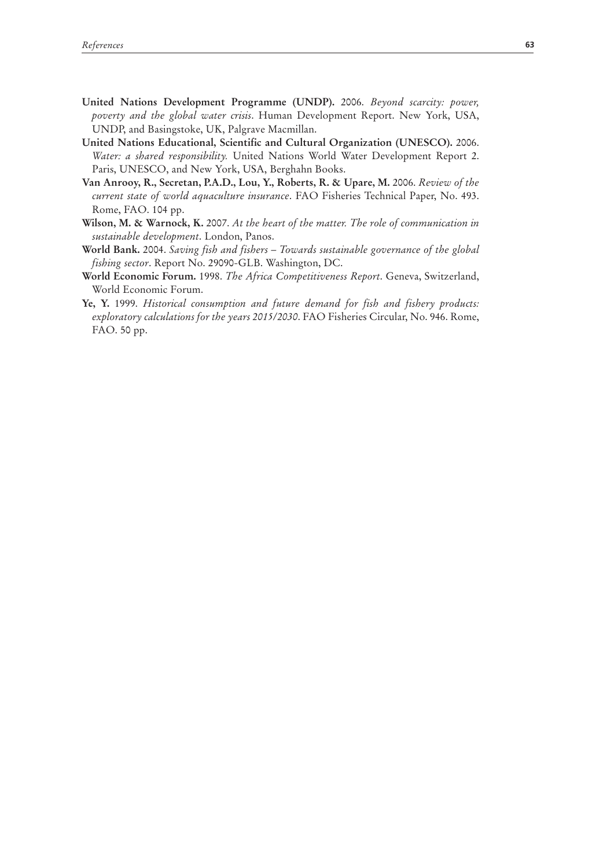- **United Nations Development Programme (UNDP).** 2006. *Beyond scarcity: power, poverty and the global water crisis*. Human Development Report. New York, USA, UNDP, and Basingstoke, UK, Palgrave Macmillan.
- **United Nations Educational, Scientific and Cultural Organization (UNESCO).** 2006. *Water: a shared responsibility.* United Nations World Water Development Report 2. Paris, UNESCO, and New York, USA, Berghahn Books.
- **Van Anrooy, R., Secretan, P.A.D., Lou, Y., Roberts, R. & Upare, M.** 2006. *Review of the current state of world aquaculture insurance*. FAO Fisheries Technical Paper, No. 493. Rome, FAO. 104 pp.
- **Wilson, M. & Warnock, K.** 2007. *At the heart of the matter. The role of communication in sustainable development*. London, Panos.
- **World Bank.** 2004. *Saving fish and fishers Towards sustainable governance of the global fishing sector*. Report No. 29090-GLB. Washington, DC.
- **World Economic Forum.** 1998. *The Africa Competitiveness Report*. Geneva, Switzerland, World Economic Forum.
- **Ye, Y.** 1999. *Historical consumption and future demand for fish and fishery products: exploratory calculations for the years 2015/2030*. FAO Fisheries Circular, No. 946. Rome, FAO. 50 pp.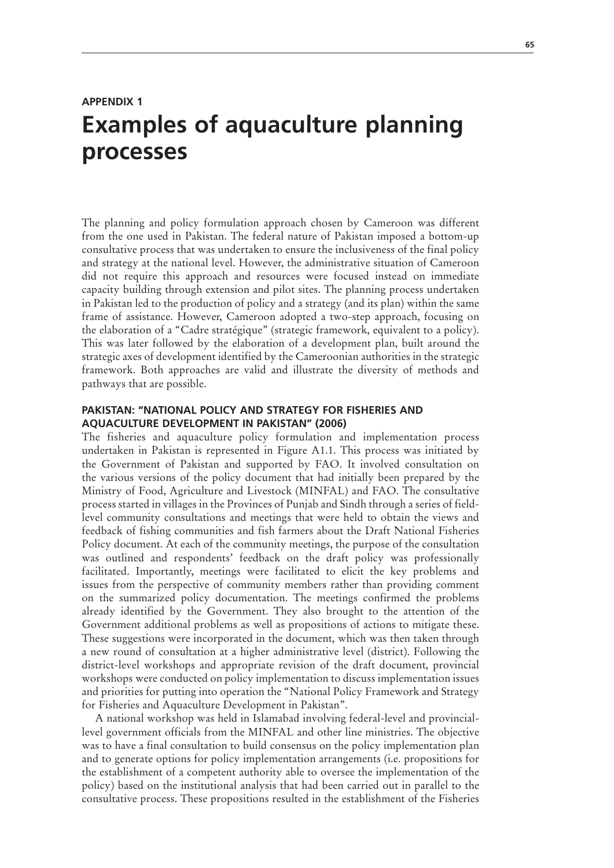## **APPENDIX 1 Examples of aquaculture planning processes**

The planning and policy formulation approach chosen by Cameroon was different from the one used in Pakistan. The federal nature of Pakistan imposed a bottom-up consultative process that was undertaken to ensure the inclusiveness of the final policy and strategy at the national level. However, the administrative situation of Cameroon did not require this approach and resources were focused instead on immediate capacity building through extension and pilot sites. The planning process undertaken in Pakistan led to the production of policy and a strategy (and its plan) within the same frame of assistance. However, Cameroon adopted a two-step approach, focusing on the elaboration of a "Cadre stratégique" (strategic framework, equivalent to a policy). This was later followed by the elaboration of a development plan, built around the strategic axes of development identified by the Cameroonian authorities in the strategic framework. Both approaches are valid and illustrate the diversity of methods and pathways that are possible.

## **PAKISTAN: "NATIONAL POLICY AND STRATEGY FOR FISHERIES AND AQUACULTURE DEVELOPMENT IN PAKISTAN" (2006)**

The fisheries and aquaculture policy formulation and implementation process undertaken in Pakistan is represented in Figure A1.1. This process was initiated by the Government of Pakistan and supported by FAO. It involved consultation on the various versions of the policy document that had initially been prepared by the Ministry of Food, Agriculture and Livestock (MINFAL) and FAO. The consultative process started in villages in the Provinces of Punjab and Sindh through a series of fieldlevel community consultations and meetings that were held to obtain the views and feedback of fishing communities and fish farmers about the Draft National Fisheries Policy document. At each of the community meetings, the purpose of the consultation was outlined and respondents' feedback on the draft policy was professionally facilitated. Importantly, meetings were facilitated to elicit the key problems and issues from the perspective of community members rather than providing comment on the summarized policy documentation. The meetings confirmed the problems already identified by the Government. They also brought to the attention of the Government additional problems as well as propositions of actions to mitigate these. These suggestions were incorporated in the document, which was then taken through a new round of consultation at a higher administrative level (district). Following the district-level workshops and appropriate revision of the draft document, provincial workshops were conducted on policy implementation to discuss implementation issues and priorities for putting into operation the "National Policy Framework and Strategy for Fisheries and Aquaculture Development in Pakistan".

A national workshop was held in Islamabad involving federal-level and provinciallevel government officials from the MINFAL and other line ministries. The objective was to have a final consultation to build consensus on the policy implementation plan and to generate options for policy implementation arrangements (i.e. propositions for the establishment of a competent authority able to oversee the implementation of the policy) based on the institutional analysis that had been carried out in parallel to the consultative process. These propositions resulted in the establishment of the Fisheries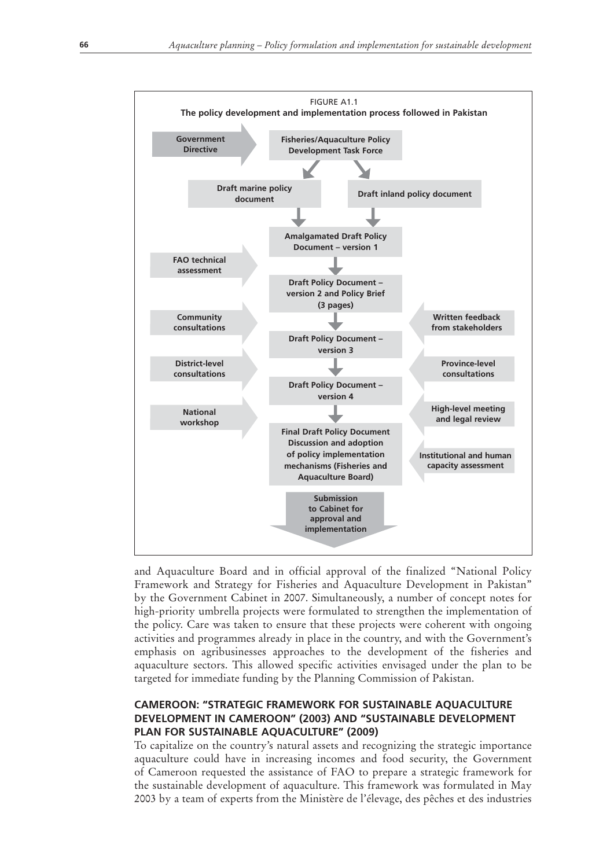

and Aquaculture Board and in official approval of the finalized "National Policy Framework and Strategy for Fisheries and Aquaculture Development in Pakistan" by the Government Cabinet in 2007. Simultaneously, a number of concept notes for high-priority umbrella projects were formulated to strengthen the implementation of the policy. Care was taken to ensure that these projects were coherent with ongoing activities and programmes already in place in the country, and with the Government's emphasis on agribusinesses approaches to the development of the fisheries and aquaculture sectors. This allowed specific activities envisaged under the plan to be targeted for immediate funding by the Planning Commission of Pakistan.

## **CAMEROON: "STRATEGIC FRAMEWORK FOR SUSTAINABLE AQUACULTURE DEVELOPMENT IN CAMEROON" (2003) AND "SUSTAINABLE DEVELOPMENT PLAN FOR SUSTAINABLE AQUACULTURE" (2009)**

To capitalize on the country's natural assets and recognizing the strategic importance aquaculture could have in increasing incomes and food security, the Government of Cameroon requested the assistance of FAO to prepare a strategic framework for the sustainable development of aquaculture. This framework was formulated in May 2003 by a team of experts from the Ministère de l'élevage, des pêches et des industries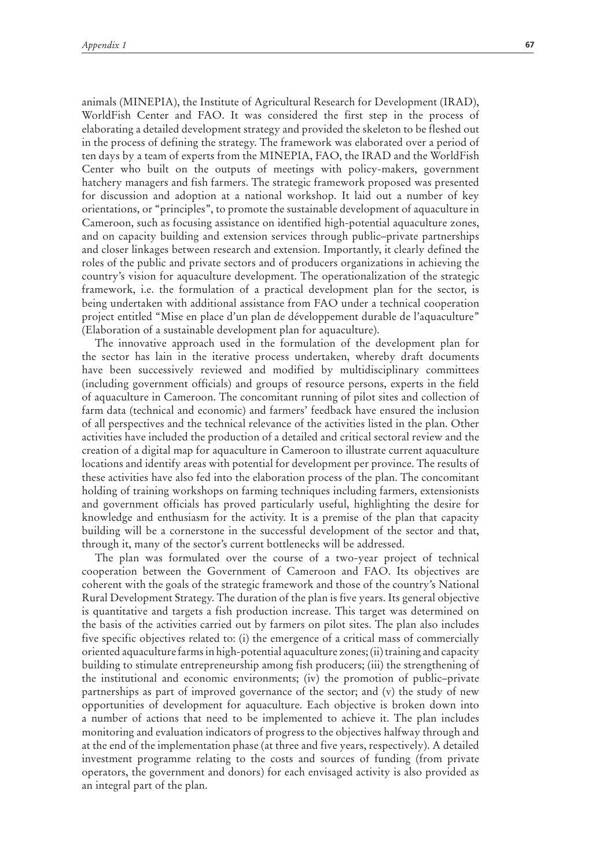animals (MINEPIA), the Institute of Agricultural Research for Development (IRAD), WorldFish Center and FAO. It was considered the first step in the process of elaborating a detailed development strategy and provided the skeleton to be fleshed out in the process of defining the strategy. The framework was elaborated over a period of ten days by a team of experts from the MINEPIA, FAO, the IRAD and the WorldFish Center who built on the outputs of meetings with policy-makers, government hatchery managers and fish farmers. The strategic framework proposed was presented for discussion and adoption at a national workshop. It laid out a number of key orientations, or "principles", to promote the sustainable development of aquaculture in Cameroon, such as focusing assistance on identified high-potential aquaculture zones, and on capacity building and extension services through public–private partnerships and closer linkages between research and extension. Importantly, it clearly defined the roles of the public and private sectors and of producers organizations in achieving the country's vision for aquaculture development. The operationalization of the strategic framework, i.e. the formulation of a practical development plan for the sector, is being undertaken with additional assistance from FAO under a technical cooperation project entitled "Mise en place d'un plan de développement durable de l'aquaculture" (Elaboration of a sustainable development plan for aquaculture).

The innovative approach used in the formulation of the development plan for the sector has lain in the iterative process undertaken, whereby draft documents have been successively reviewed and modified by multidisciplinary committees (including government officials) and groups of resource persons, experts in the field of aquaculture in Cameroon. The concomitant running of pilot sites and collection of farm data (technical and economic) and farmers' feedback have ensured the inclusion of all perspectives and the technical relevance of the activities listed in the plan. Other activities have included the production of a detailed and critical sectoral review and the creation of a digital map for aquaculture in Cameroon to illustrate current aquaculture locations and identify areas with potential for development per province. The results of these activities have also fed into the elaboration process of the plan. The concomitant holding of training workshops on farming techniques including farmers, extensionists and government officials has proved particularly useful, highlighting the desire for knowledge and enthusiasm for the activity. It is a premise of the plan that capacity building will be a cornerstone in the successful development of the sector and that, through it, many of the sector's current bottlenecks will be addressed.

The plan was formulated over the course of a two-year project of technical cooperation between the Government of Cameroon and FAO. Its objectives are coherent with the goals of the strategic framework and those of the country's National Rural Development Strategy. The duration of the plan is five years. Its general objective is quantitative and targets a fish production increase. This target was determined on the basis of the activities carried out by farmers on pilot sites. The plan also includes five specific objectives related to: (i) the emergence of a critical mass of commercially oriented aquaculture farms in high-potential aquaculture zones; (ii) training and capacity building to stimulate entrepreneurship among fish producers; (iii) the strengthening of the institutional and economic environments; (iv) the promotion of public–private partnerships as part of improved governance of the sector; and (v) the study of new opportunities of development for aquaculture. Each objective is broken down into a number of actions that need to be implemented to achieve it. The plan includes monitoring and evaluation indicators of progress to the objectives halfway through and at the end of the implementation phase (at three and five years, respectively). A detailed investment programme relating to the costs and sources of funding (from private operators, the government and donors) for each envisaged activity is also provided as an integral part of the plan.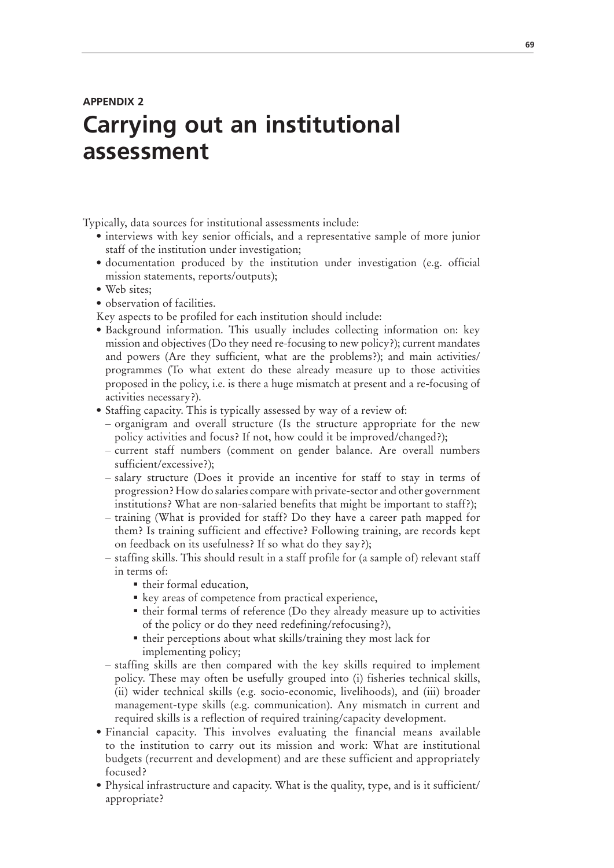## **APPENDIX 2 Carrying out an institutional assessment**

Typically, data sources for institutional assessments include:

- interviews with key senior officials, and a representative sample of more junior staff of the institution under investigation;
- documentation produced by the institution under investigation (e.g. official mission statements, reports/outputs);
- Web sites:
- observation of facilities.

Key aspects to be profiled for each institution should include:

- Background information. This usually includes collecting information on: key mission and objectives (Do they need re-focusing to new policy?); current mandates and powers (Are they sufficient, what are the problems?); and main activities/ programmes (To what extent do these already measure up to those activities proposed in the policy, i.e. is there a huge mismatch at present and a re-focusing of activities necessary?).
- Staffing capacity. This is typically assessed by way of a review of:
	- organigram and overall structure (Is the structure appropriate for the new policy activities and focus? If not, how could it be improved/changed?);
	- current staff numbers (comment on gender balance. Are overall numbers sufficient/excessive?);
	- salary structure (Does it provide an incentive for staff to stay in terms of progression? How do salaries compare with private-sector and other government institutions? What are non-salaried benefits that might be important to staff?);
	- training (What is provided for staff? Do they have a career path mapped for them? Is training sufficient and effective? Following training, are records kept on feedback on its usefulness? If so what do they say?);
	- staffing skills. This should result in a staff profile for (a sample of) relevant staff in terms of:
		- their formal education,
		- **Example 1** key areas of competence from practical experience,
		- their formal terms of reference (Do they already measure up to activities of the policy or do they need redefining/refocusing?),
		- $\blacksquare$  their perceptions about what skills/training they most lack for implementing policy;
	- staffing skills are then compared with the key skills required to implement policy. These may often be usefully grouped into (i) fisheries technical skills, (ii) wider technical skills (e.g. socio-economic, livelihoods), and (iii) broader management-type skills (e.g. communication). Any mismatch in current and required skills is a reflection of required training/capacity development.
- Financial capacity. This involves evaluating the financial means available to the institution to carry out its mission and work: What are institutional budgets (recurrent and development) and are these sufficient and appropriately focused?
- Physical infrastructure and capacity. What is the quality, type, and is it sufficient/ appropriate?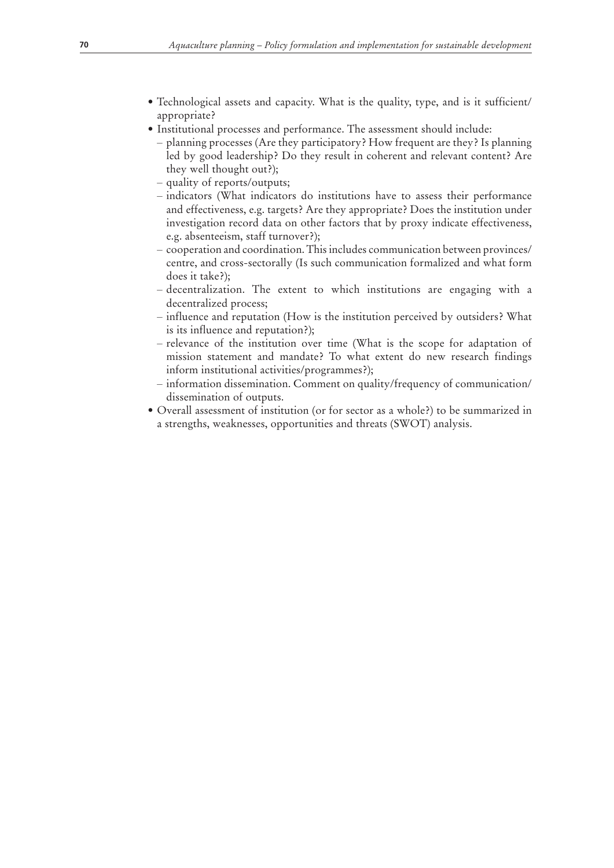- · Technological assets and capacity. What is the quality, type, and is it sufficient/ appropriate?
- Institutional processes and performance. The assessment should include:
	- planning processes (Are they participatory? How frequent are they? Is planning led by good leadership? Do they result in coherent and relevant content? Are they well thought out?);
	- quality of reports/outputs;
	- indicators (What indicators do institutions have to assess their performance and effectiveness, e.g. targets? Are they appropriate? Does the institution under investigation record data on other factors that by proxy indicate effectiveness, e.g. absenteeism, staff turnover?);
	- cooperation and coordination. This includes communication between provinces/ centre, and cross-sectorally (Is such communication formalized and what form does it take?);
	- decentralization. The extent to which institutions are engaging with a decentralized process;
	- influence and reputation (How is the institution perceived by outsiders? What is its influence and reputation?);
	- relevance of the institution over time (What is the scope for adaptation of mission statement and mandate? To what extent do new research findings inform institutional activities/programmes?);
	- information dissemination. Comment on quality/frequency of communication/ dissemination of outputs.
- Overall assessment of institution (or for sector as a whole?) to be summarized in a strengths, weaknesses, opportunities and threats (SWOT) analysis.